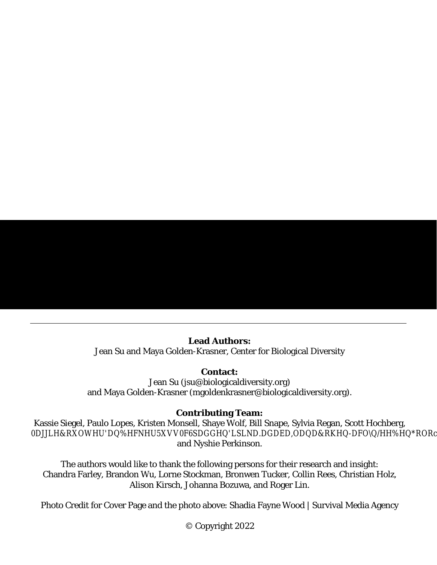# **TABLE OF CONTENTS**

| THE CLIMATE EMERGENCY'S IMPACTS ON AND THREATS TO THE UNITED STATES 7<br>I.                    |
|------------------------------------------------------------------------------------------------|
| II.                                                                                            |
| PART 3. THE PRESIDENT'S EMERGENCY POWERS TO EFFECT BOLD CLIMATE ACTION  15                     |
| I.                                                                                             |
| 1.                                                                                             |
| 2.                                                                                             |
| 3.                                                                                             |
| II.                                                                                            |
| Grow Domestic Green Manufacturing to Speed the Nationwide Transformation to Clean Energy<br>1. |
|                                                                                                |
| Direct FEMA to Construct Climate-Resilient Energy Systems in Frontline Communities 40<br>1.    |
|                                                                                                |

# **TABLES**

| TABLE 2. CONGRESSIONAL APPROPRIATIONS TO THE DPA FUND SINCE FY2010 30 |  |
|-----------------------------------------------------------------------|--|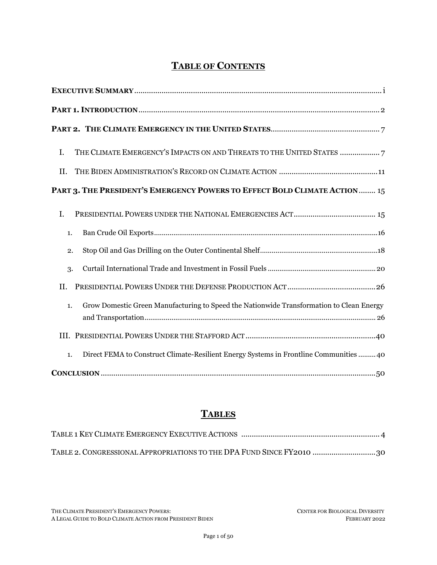## **PART 1. INTRODUCTION**

<span id="page-1-0"></span>"*The United States and the world face a profound climate crisis. We have a narrow moment to pursue action at home and abroad in order to avoid the most catastrophic impacts of that crisis and to seize the opportunity that tackling climate change presents*."

<span id="page-1-2"></span><span id="page-1-1"></span>– U.S. President Joe Biden<sup>1</sup>

"*I think it might be a good idea for President Biden to call a climate emergency. . . Then he can do many, many things under the emergency powers of the President . . . that he could do without legislation. . . . [I]f there ever was an emergency, climate is one*."

– U.S. Senate Majority Leader Chuck Schumer<sup>2</sup>

*"The alarm bells are deafening, and the evidence is irrefutable: greenhouse gas emissions from fossil-fuel burning and deforestation are choking our planet and putting billions of people at immediate risk. . . . If we combine forces now, we can avert climate catastrophe. But [] there is no time for delay and no room for excuses."*

-United Nations Secretary-General António Guterres<sup>3</sup>

The United States and the planet are irrefutably suffering from the climate emergency. The 2021 report from the United Nations Intergovernmental Panel on Climate Change ("IPCC") made plain that the world faces a "code red for humanity."4 In the United States, the climate emergency is manifested in this past year's onslaught of fatal hurricanes sweeping the Gulf through Puerto Rico,<sup>5</sup> heat domes exhausting the Pacific Northwest,<sup>6</sup> wildfires scorching the West,7 and below-freezing temperatures collapsing energy systems in the South. <sup>8</sup> These disasters paint only a fragment of the global portrait of the climate emergency — contoured not only by extreme weather events, but the associated spiraling of climate migration and

Exec. Order No. 14,008, 86 Fed. Reg. 7619 (Jan. 27, 2021), [https://www.whitehouse.gov/briefing-room/presidential](https://www.whitehouse.gov/briefing-room/presidential-actions/2021/01/27/executive-order-on-tackling-the-climate-crisis-at-home-and-abroad)[actions/2021/01/27/executive-order-on-tackling-the-climate-crisis-at-home-and-abroad.](https://www.whitehouse.gov/briefing-room/presidential-actions/2021/01/27/executive-order-on-tackling-the-climate-crisis-at-home-and-abroad)

<sup>2</sup> Rachel Maddow Show, *Schumer Calls on President Biden to Declare 'Climate Emergency*', MSNBC (Jan. 25, 2021), [https://www.youtube.com/watch?v=1rC2AuBducw.](https://www.youtube.com/watch?v=1rC2AuBducw) 

<sup>3</sup> Press Release, United Nations Secretary-General, Secretary-General Calls Latest IPCC Climate Report 'Code Red for Humanity', Stressing 'Irrefutable' Evidence of Human Influence (Aug. 9, 2021), [https://www.un.org/press/en/2021/sgsm20847.doc.htm.](https://www.un.org/press/en/2021/sgsm20847.doc.htm) 

<sup>4</sup> United Nations Secretary-General, *Secretary-General's statement on the IPCC Working Group 1 Report on the Physical Science Basis of the Sixth Assessment* (Aug. 9, 2021), [https://www.un.org/sg/en/content/secretary-generals-statement-the-ipcc](https://www.un.org/sg/en/content/secretary-generals-statement-the-ipcc-working-group-1-report-the-physical-science-basis-of-the-sixth-assessment)[working-group-1-report-the-physical-science-basis-of-the-sixth-assessment.](https://www.un.org/sg/en/content/secretary-generals-statement-the-ipcc-working-group-1-report-the-physical-science-basis-of-the-sixth-assessment)

<sup>5</sup> Jason Samenow et al., *How Tropical Storms and Hurricanes Have Hit U.S. Shores with Unparalleled Frequency*, Wash. Post, Sept. 29, 2021, <https://www.washingtonpost.com/weather/2021/09/29/record-us-hurricane-landfalls-climate/> (An unsurpassed 50 named storms have formed over the warming Atlantic waters since the start of the 2020 season, with a record-setting 18 striking the Lower 48 states, including seven hurricanes); B. F. Battistoli et al., *Voices in the Storm: The Lost Discourse of Climate Change in Hurricanes Harvey and Irma*, 1.2 Int'l J. of Crisis Comm. 72 (2017), [https://greenpublishers.org/wp](https://greenpublishers.org/wp-content/uploads/2018/05/IJCCV1N2A2-Battistoli-OA.pdf)content/uploads/2018/05/IJCCV1N2A2-Battistoli-OA.pdf.

<sup>6</sup> Andrea Januta, *Pacific Northwest Heat Wave Virtually Impossible Without Climate Change – Research*, Reuters, July 8, 2021, [https://www.reuters.com/business/environment/heat-wave-pacific-northwest-could-soon-repeat-due-climate-change](https://www.reuters.com/business/environment/heat-wave-pacific-northwest-could-soon-repeat-due-climate-change-research-2021-07-07/)[research-2021-07-07/;](https://www.reuters.com/business/environment/heat-wave-pacific-northwest-could-soon-repeat-due-climate-change-research-2021-07-07/) Sarah Kaplan, *Heat Waves are Dangerous. Isolation and Inequality Make them Deadly*, Wash. Post, July 21, 2021[, https://www.washingtonpost.com/climate-environment/2021/07/21/heat-wave-death-portland/.](https://www.washingtonpost.com/climate-environment/2021/07/21/heat-wave-death-portland/) 

<sup>7</sup> Alejandra Borunda, *The Science Connecting Wildfires to Climate Change*, Nat. Geo., Sept. 17, 2020, [https://www.nationalgeographic.com/science/article/climate-change-increases-risk-fires-western-us;](https://www.nationalgeographic.com/science/article/climate-change-increases-risk-fires-western-us) Blacki Migliozzi et al., *Record Wildfires on the West Coast Are Capping a Disastrous Decade*, N.Y. Times, Sept. 24, 2020, [https://www.nytimes.com/interactive/2020/09/24/climate/fires-worst-year-california-oregon-washington.html.](https://www.nytimes.com/interactive/2020/09/24/climate/fires-worst-year-california-oregon-washington.html)

<sup>8</sup> Michael E. Webber, *The Texas Power Crisis Didn't Have to Happen*, ASME (June 15, 2021), https://www.asme.org/topicsresources/content/the-texas-power-crisis-didn-t-have-to-happen; Peter Cramton, Opinion, *Lessons From the 2021 Texas Electricity Crisis*, Utility Dive, Mar. 23, 2021[, https://www.utilitydive.com/news/lessons-from-the-2021-texas-electricity-crisis/596998/.](https://www.utilitydive.com/news/lessons-from-the-2021-texas-electricity-crisis/596998/)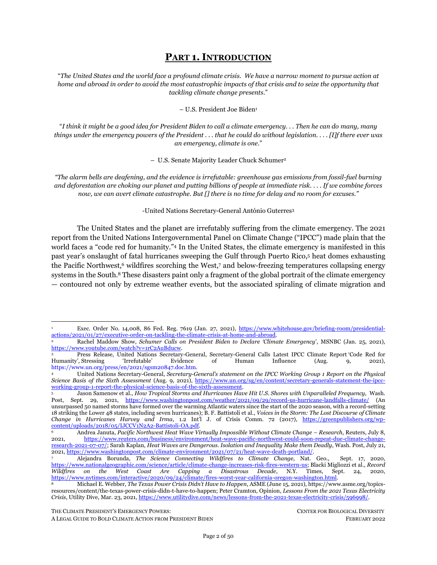<span id="page-2-1"></span><span id="page-2-0"></span>political unrest, <sup>9</sup> intensifying infectious disease and food insecurity, <sup>10</sup> and accelerated biodiversity loss whereby one-third of the world's species face extinction by 2070 due to climate change.<sup>11</sup> Climate impacts are also felt unequally. Indigenous, Black, Latino, Asian, and other communities of color in the United States, as well as poor communities in the Global South, experience more acute climate harm that is intertwined with structural racism and colonialism.

The solutions to combatting climate change are also just as clear. Ending fossil fuel extraction, architecting renewable and resilient energy systems, <sup>12</sup> and achieving zero-emission economies are foundational to limiting warming to 1.5 degrees Celsius above preindustrial levels, the target of the 2015 Paris Agreement. At the same time, particularly in the United States, supplanting the fossil fuel complex with regenerative energy systems presents the extraordinary opportunity to redress racial, ecological, and socioeconomic injustices long perpetuated by an extractive economy.

2022 is a clarion call for President Biden to become the much-needed Climate President. Achieving zero-emission economies is technically possible but only with a sharp course change in political direction now. Unfortunately, the Biden administration's first year met challenges in effectuating climate progress. While the administration enacted encouraging policies on renewable energy, job generation, and environmental justice, its legislative vehicle to enact those goals  $-$  the Build Back Better Act  $-$  faces indefinite abeyance. At the same time, the Biden administration has continued to facilitate fossil fuel extraction, recently holding the largest offshore oil and gas lease sale in U.S. history and approving 34% more oil and gas permits on federal lands than the Trump administration.

Nevertheless, President Biden is poised to lead the tectonic shift in global climate leadership because he possesses the executive tools – both ordinary and emergency executive powers — to do so. In 2019 the Center for Biological Diversity published a legal paper discussing the most critical non-emergency executive powers available to the president for bold climate action.<sup>13</sup> These include a ban on all fossil fuel infrastructure approvals, a permanent end to the federal fossil fuel leasing and drilling program, and regulations of greenhouse gas ("GHG") emissions by setting a national air ambient quality standard under the Clean Air Act.

As a complement to the 2019 research, this paper examines a sibling tranche of lawful authorities available to the president: emergency executive powers that can be applied to combatting the climate crisis. Specifically, this paper explores five meaningful climate executive actions that can be triggered through three emergency and national defense framework statutes: the National Emergencies Act, the Defense Production Act, and the Robert T. Stafford Disaster Relief and Emergency Assistance Act. (See Table 1.) Because fossil fuels are the driving cause of the climate emergency and have yielded devastating impacts on communities, this report focuses on executive powers that can activate the swifter transition away from fossil fuels to a renewable energy system. However, this discussion is not exhaustive of all relevant executive powers that can mitigate climate harm; the application of these statutory frameworks can and should be

<sup>9</sup> Abrahm Lustgarten, *The Great Climate Migration*, N.Y. Times Magazine, [https://www.nytimes.com/interactive/2020/07/23/magazine/climate-migration.html.](https://www.nytimes.com/interactive/2020/07/23/magazine/climate-migration.html)

<sup>10</sup> Marina Romanello et al., *The 2021 Report of the Lancet Countdown on Health and Climate Change: Code Red for a Healthy Future*, 398 The Lancet 1619 (2021), [https://www.thelancet.com/journals/lancet/article/PIIS0140-6736\(21\)01787-6/fulltext.](https://www.thelancet.com/journals/lancet/article/PIIS0140-6736(21)01787-6/fulltext)

<sup>11</sup> Cristian Roman-Palacios & John J. Wiens, *Recent Responses to Climate Change Reveal the Drivers of Species Extinction and Survival*, 117 (8) PNAS 4211 (2020)[, https://doi.org/10.1073/pnas.1913007117.](https://doi.org/10.1073/pnas.1913007117)

<sup>&</sup>lt;sup>12</sup> Mark Jacobson et al., Zero air pollution and zero carbon from all energy at low cost and without blackouts in variable weather throughout the U.S. with 100% wind-water-solar and storage, 184 Renewable Energy 430-442 (2022), https://web.stanford.edu/group/efmh/jacobson/Articles/I/21-USStates-PDFs/21-USStatesPaper.pdf.

<sup>13</sup> Kassie Siegel & Jean Su, Ctr. for Biological Diversity, *Legal Authority for Presidential Executive Action on Climate: Legal Analysis Underpinning the #ClimatePresident Action Plan* (2019), [https://www.climatepresident.org/Legal-Authority-for-](https://www.climatepresident.org/Legal-Authority-for-Presidential-Climate-Action.pdf)[Presidential-Climate-Action.pdf.](https://www.climatepresident.org/Legal-Authority-for-Presidential-Climate-Action.pdf)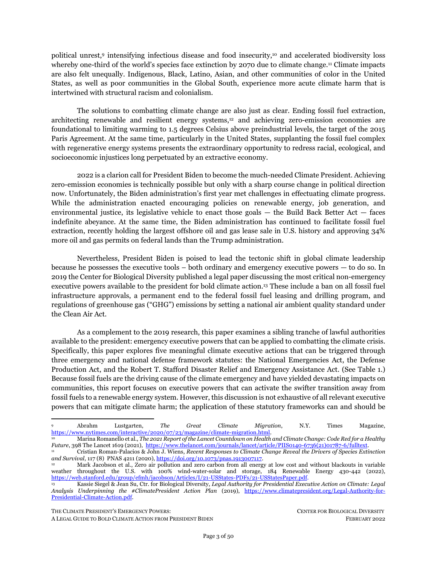<span id="page-3-0"></span>extended to other high GHG-emitting sectors, including agriculture, deforestation and ecosystem destruction, and industrial processes, outside of the energy and electricity system.

### **Table 1 . Key Climate Emergency Executive Actions**

| <b>CLIMATE ACTION</b>                                                                                                                                                                                                                                                                                                                                                                                                                                                                                                                                                                                                                                                   | <b>LEGAL AUTHORITIES</b>                                                                                                                                                |
|-------------------------------------------------------------------------------------------------------------------------------------------------------------------------------------------------------------------------------------------------------------------------------------------------------------------------------------------------------------------------------------------------------------------------------------------------------------------------------------------------------------------------------------------------------------------------------------------------------------------------------------------------------------------------|-------------------------------------------------------------------------------------------------------------------------------------------------------------------------|
| <b>Halt Crude Oil Exports</b><br>After declaring a national climate emergency, the president can reinstate the crude oil<br>export ban overturned in 2015. This would cut greenhouse gas emissions by up to 165<br>million metric tons of CO2-equivalent each year, comparable to closing 42 coal<br>plants.                                                                                                                                                                                                                                                                                                                                                            | <b>National Emergencies Act</b><br><b>Energy Policy Conservation Act</b><br>$(42 \text{ U.S.C. } § 6212a(d))$                                                           |
| <b>Stop Oil and Gas Drilling in the</b><br><b>Outer Continental Shelf</b><br>After declaring a national climate emergency, the president can suspend the<br>operations of all offshore leases. This will stop extraction in the more than 11 million<br>acres of federal waters currently subject to active oil and gas leases and complement<br>ordinary executive powers for offshore oil and gas extraction.                                                                                                                                                                                                                                                         | National Emergencies Act<br>Outer Continental Shelf Lands<br>Act (43 U.S.C. §§ 1334(g),<br>1341(c)<br><b>Outer Continental Shelf Lands</b><br>Act (43 U.S.C. § 1341(a)) |
| <b>Restrict International Trade and</b><br><b>Private Investment in Fossil Fuels</b><br>After declaring a national climate emergency, the president can restrict U.S. fossil<br>fuel exports that are primarily derived from the Permian Basin; curb fossil fuel<br>imports that would add to the U.S.' carbon emissions; and halt hundreds of billions of<br>dollars of U.S. investment in fossil fuel projects abroad.                                                                                                                                                                                                                                                | <b>National Emergencies Act</b><br><b>International Emergency</b><br>Economic Powers Act (50 U.S.C.<br>§§ 1701, 1702)                                                   |
| <b>Grow Domestic Manufacturing for Clean Energy and Transportation to</b><br><b>Speed the Nationwide Transition Off Fossil Fuels</b><br>After determining that the climate emergency threatens the national defense, the<br>president can spur domestic industry to manufacture renewable energy and clean<br>transportation technologies while generating millions of good-paying, union jobs. The<br>president can leverage DPA funds and the federal procurement budget of \$650 billion<br>per year to purchase these technologies and allocate them in federal agencies and in<br>partnership with priority environmental justice communities and public entities. | Defense Production Act<br>Title I (50 U.S.C. §§ 4511 et seq.)<br>Title III (50 U.S.C. §§ 4531 et<br>seq.)<br>Title VII (50 U.S.C. §§ 4551 et<br>seq.)                   |
| Build Resilient and Distributed Renewable Energy Systems in Climate-<br><b>Vulnerable Communities</b><br>After declaring the climate crisis an emergency and after declaring major disasters,<br>the president can direct the Federal Emergency Management Agency to construct<br>renewable energy systems, optimizing distributed energy resources in partnership<br>with environmental justice communities vulnerable to climate disasters, as well as<br>limit construction of fossil fuel infrastructure.                                                                                                                                                           | Robert T. Stafford Disaster Relief<br>and Emergency Assistance Act<br>(42 U.S.C. §§ 5170, 5191)                                                                         |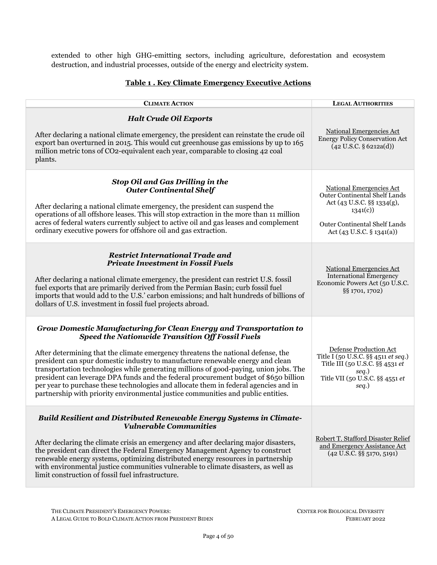The use of emergency powers is not new. Since the National Emergencies Act was enacted in 1976, every president has declared at least one national emergency during their term of office for a total of over 70 emergency declarations. Further, presidents have routinely used the Defense Production Act and Stafford Act to deal with emergency situations threatening national security. In fact, Biden has already employed his executive powers under both statutes to address the coronavirus pandemic and climaterelated disasters in his administration's first year. <sup>14</sup>

<span id="page-4-0"></span>Though obvious, it is critical that emergency powers are used lawfully and effectively. Our democracy was constructed to ensure checks and balances across a tripartite system of government — and must be safeguarded to protect our collective liberties. Congress statutorily enacted emergency powers to allow the executive branch greater flexibility to respond to extraordinary events. The climate emergency is such a seminal event, and the president should use emergency powers to address the existential threat. But we caution that emergency powers can be abused and were in fact violated by the Trump administration.<sup>15</sup> However, the use of emergency powers to respond to the climate crisis is precisely the purpose for which the laws are intended and should be employed.

Moreover, while the powers outlined in this paper can significantly slash GHG and polluting emissions, they are also not sufficient, alone, to fully address the climate emergency. Proceeding with climate action under existing emergency powers does not supplant, but rather complements, the need for full use of the president's ordinary executive powers and additional strong congressional climate legislation. At the same time, any continued lack of climate progress by Congress should not also hamstring the president from using lawful emergency and other executive powers. At base, utilization of presidential emergency authorities is one tool of many, but a potent one that can move the country into an energy and social transition vital to saving the planet.

In fact, current Congress members have been vocal of their support for Biden to utilize the emergency powers Congress has already granted. In January 2020 Senate Majority Leader Chuck Schumer directly called on Biden to declare a climate emergency on national television,<sup>16</sup> while Sen. Jeff Merkley echoed that call in an op-ed in the *Washington Post*. <sup>17</sup> House Rep. Earl Blumenauer, House Rep. Alexandria Ocasio-Cortez and Sen. Bernie Sanders, with 52 additional Congress members, separately introduced the Climate Emergency Act of 2021, which directs the president to declare a climate emergency pursuant to the National Emergencies Act.<sup>18</sup>

<sup>14</sup> *See* Exec. Order No. 13,987, 86 Fed. Reg. 7019 (Jan. 20, 2021), [https://www.federalregister.gov/documents/2021/01/25/2021-01759/organizing-and-mobilizing-the-united-states-government-to](https://www.federalregister.gov/documents/2021/01/25/2021-01759/organizing-and-mobilizing-the-united-states-government-to-provide-a-unified-and-effective-response)[provide-a-unified-and-effective-response;](https://www.federalregister.gov/documents/2021/01/25/2021-01759/organizing-and-mobilizing-the-united-states-government-to-provide-a-unified-and-effective-response) Exec. Order No. 14,001, 86 Fed. Reg. 7219 (Jan. 21, 2021), [https://www.federalregister.gov/documents/2021/01/26/2021-01865/a-sustainable-public-health-supply-chain.](https://www.federalregister.gov/documents/2021/01/26/2021-01865/a-sustainable-public-health-supply-chain)

<sup>15</sup> The Trump administration abused emergency powers when unlawfully redirecting military funds toward border wall construction. Multiple litigation challenges ensued. *See*, *e.g*., *Ctr. for Biological Diversity v. Trump*, 453 F. Supp. 3d 11 (D.D.C. 2020)*; Sierra Club v. Trump*, 977 F.3d 853 (9th Cir. 2020) (holding Trump administration's abuse of military fund redistribution emergency powers unlawful); *Biden v. Sierra Club*, 142 S Ct. 56 (2021), vacating and remanding *Sierra Club v. Trump*, 977 F.3d 853 (9th Cir. 2020); *Sierra Club v. Biden*, Nos. 19-17501, 19-17502, 20-15044, 2021 U.S. App. LEXIS 34695 (9th Cir. Nov. 22, 2021) (vacated and remanded to District Court). *See also El Paso Cty. v. Trump*, 408 F. Supp. 3d 840 (W.D. Tex. 2019) (striking down Trump's reappropriation of military funds as violating Congress's express denial of additional funds for border wall construction). <sup>16</sup> Rachel Maddow Show, *supra* not[e 2.](#page-1-1)

<sup>17</sup> Jeff Merkley, *Opinion: How Joe Biden Can Act Boldly on the Climate Crisis,* Wash. Post, Dec. 21, 2020, [https://www.washingtonpost.com/opinions/2020/12/21/jeff-merkley-biden-climate-crisis-executive-action/.](https://www.washingtonpost.com/opinions/2020/12/21/jeff-merkley-biden-climate-crisis-executive-action/)

<sup>&</sup>lt;sup>18</sup> Climate Emergency Act of 2021, H.R. 794, 117<sup>th</sup> Cong. (2021), [https://www.congress.gov/bill/117th-congress/house](https://www.congress.gov/bill/117th-congress/house-bill/794/text?q=%7B%22search%22%3A%5B%22hr+1%22%5D%7D&r=66&s=1)[bill/794/text?q=%7B%22search%22%3A%5B%22hr+1%22%5D%7D&r=66&s=1;](https://www.congress.gov/bill/117th-congress/house-bill/794/text?q=%7B%22search%22%3A%5B%22hr+1%22%5D%7D&r=66&s=1) Press Release, U.S. Congresssman Earl Blumenauer, Blumenauer, Ocasio-Cortez, and Sanders Introduce Legislation to Mandate National Climate Emergency Declaration, (Feb. 4, 2021), [https://blumenauer.house.gov/media-center/press-releases/blumenauer-ocasio-cortez-and-sanders-introduce](https://blumenauer.house.gov/media-center/press-releases/blumenauer-ocasio-cortez-and-sanders-introduce-legislation-mandate)[legislation-mandate.](https://blumenauer.house.gov/media-center/press-releases/blumenauer-ocasio-cortez-and-sanders-introduce-legislation-mandate)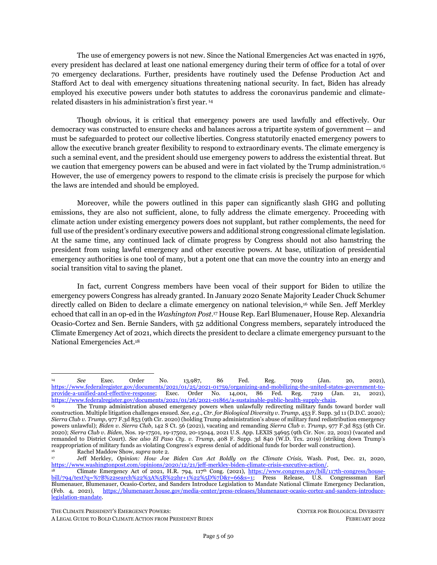<span id="page-5-0"></span>Calls for a presidential climate emergency declaration are reflected in action taken at sub-national levels. Hawaii is the first state to declare a climate emergency, while over 170 local U.S. jurisdictions have done the same. <sup>19</sup> Further, there is robust domestic public support for a presidential declaration of a climate emergency. Demands for a presidential climate emergency declaration and bold climate executive actions have been endorsed by nearly 750 environmental, racial justice, and faith organizations nationwide.<sup>20</sup> And in October 2021, thousands of people, including Indigenous and faith leaders and environmental and racial justice advocates, marched and risked arrest in the nation's capital to urge a climate emergency declaration from the president. 21

Public support within the United States is a microcosm of the global movement to confront climate injustice. At least 37 countries have declared states of climate emergency to compel bold climate action, and almost 13 percent of the global population now lives in climate emergency jurisdictions. <sup>22</sup> However, the United States remains an outlier in enacting a climate emergency declaration. United Nations Secretary-General António Guterres has appealed to all countries, including the United States, to declare climate emergencies to combat the global existential crisis.<sup>23</sup> President Biden should heed that clarion call. This paper proffers a roadmap for the president to seize the mantle of the Climate President — and turn this profound emergency into the transformative opportunity the country needs.

<sup>19</sup> Kate Yoder, *"Climate Emergency": Hawaii is the first state to call it like it is*, Grist, Apr. 30, 2021, [https://grist.org/politics/hawaii-is-the-first-state-to-declare-a-climate-emergency/;](https://grist.org/politics/hawaii-is-the-first-state-to-declare-a-climate-emergency/) *See* Climate Emergency Declaration, *Climate Emergency Declarations in 2,071 Jurisdictions and Local Governments Cover 1 Billion Citizens* (Feb. 1, 2021), [https://climateemergencydeclaration.org/climate-emergency-declarations-cover-15-million-citizens/#nationalgovernments.](https://climateemergencydeclaration.org/climate-emergency-declarations-cover-15-million-citizens/#nationalgovernments) <sup>20</sup> *The #ClimatePresident Action Plan: 10 Steps for the Next Administration's First 10 Days*,

<https://www.climatepresident.org/> (last updated Jan. 2021).

<sup>21</sup> People vs. Fossil Fuels,<https://peoplevsfossilfuels.org/> (last visited Feb. 7, 2022); Ellie Silverman, *Indigenous Activists Come to D.C. with a Message for Biden: Declare a National Climate Emergency*, Wash. Post, Oct. 11, 2021, [https://www.washingtonpost.com/dc-md-va/2021/10/11/indigenous-protest-dc-climate-change/.](https://www.washingtonpost.com/dc-md-va/2021/10/11/indigenous-protest-dc-climate-change/) 

<sup>22</sup> This number includes the 27 member states of the European Union, which declared a climate emergency on November 28, 2019. Several of the EU member states also separately declared climate emergencies, as have many supra-national governments. *See*  Climate Emergency Declaration, *supra* note [19.](#page-5-0) 

<sup>23</sup> Fiona Harvey, *UN Secretary General Urges All Countries to Declare Climate Emergencies,* Guardian, Dec. 12, 2020, [https://www.theguardian.com/environment/2020/dec/12/un-secretary-general-all-countries-declare-climate-emergencies](https://www.theguardian.com/environment/2020/dec/12/un-secretary-general-all-countries-declare-climate-emergencies-antonio-guterres-climate-ambition-summit)[antonio-guterres-climate-ambition-summit.](https://www.theguardian.com/environment/2020/dec/12/un-secretary-general-all-countries-declare-climate-emergencies-antonio-guterres-climate-ambition-summit)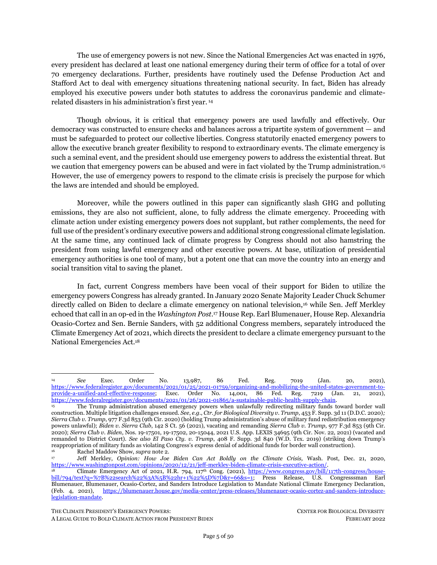## **PART 2. THE CLIMATE EMERGENCY IN THE UNITED STATES**

# <span id="page-6-1"></span><span id="page-6-0"></span>**I. THE CLIMATE EMERGENCY'S IMPACTS ON AND THREATS TO THE UNITED STATES**

<span id="page-6-2"></span>The United States is experiencing an accelerating climate emergency.

<span id="page-6-3"></span>*Extreme weather events.* Extreme weather events are sweeping the country and are predicted to become more intense and frequent. Temperatures are expected to rise by 2.5°F (1.4°C), on average, by mid-century relative to 1976-2005, continuing the trend of record-setting hot years.<sup>24</sup> Rising temperatures are exacerbating historic droughts,<sup>25</sup> while hotter and drier conditions are contributing to an increase in extreme fire weather, area burned by wildfire, and a lengthening of the wildfire season, particularly in the U.S. West. <sup>26</sup> Heavy precipitation events — including fatal Atlantic hurricanes and landfalling "atmospheric rivers" on the West Coast — are increasing in frequency and intensity.<sup>27</sup> Meanwhile sea-level rise is boosting the frequency, depth and extent of high tide flooding, and flooding rates are accelerating in many Atlantic and Gulf Coast cities.<sup>28</sup> In Florida and Virginia, nuisance flooding due to sea-level rise has already resulted in severe property damage and social disruption.<sup>29</sup>

<span id="page-6-4"></span>*Public health harms and fatalities.* The climate emergency drives and exacerbates public health harms, disproportionately affecting communities of color and low-wealth communities, as well as vulnerable populations such as children, older adults, and persons with disabilities and pre-existing medical conditions.<sup>30</sup> The Lancet Commission on Health and Climate Change has called climate change "the biggest global health threat of the 21st century"<sup>31</sup> and the "defining narrative of human health" triggering food shortages, deadly disasters, and disease outbreaks that are poised to dwarf the toll of the coronavirus.32 The

THE CLIMATE PRESIDENT'S EMERGENCY POWERS: CENTER FOR BIOLOGICAL DIVERSITY

<sup>24</sup> U.S. Global Change Research Program, *Climate Science Special Report: Fourth National Climate Assessment, Vol. I* 11 (2017),<https://science2017.globalchange.gov/> [hereinafter *Fourth National Climate Assessment, Vol. I*].

<sup>&</sup>lt;sup>25</sup>  $\hat{Id}$ . at 45, 236.<br><sup>26</sup> IIS Global Ch

<sup>26</sup> U.S. Global Change Research Program, *Impacts, Risks, and Adaptation in the United States, Fourth National Climate Assessment, Vol. II* (2018)[, https://nca2018.globalchange.gov/](https://nca2018.globalchange.gov/) [hereinafter *Fourth National Climate Assessment, Vol. II*].

<sup>27</sup> Fourth National Climate Assessment, Vol. I, *supra* note [24,](#page-6-2) at 74, 207, 218, 257; Greg Holland & Cindy L. Bruyère, *Recent Intense Hurricane Response to Global Climate Change*, 42 Clim. Dyn. 617 (2014); Erik Fraza & James B. Elsner, *A Climatological Study of The Effect of Sea-Surface Temperature on North Atlantic Hurricane Intensification*, 36 Phys. Geogr. 395 (2015); *Fourth National Climate Assessment, Vol. II*, *supra* note [26,](#page-6-3) at 74; Kieran T. Bhatia et al., *Recent Increases in Tropical Cyclone Intensification Rates*, 10 Nat. Commun. 635 (2019); Kerry Emanuel, *Assessing the Present and Future Probability of Hurricane Harvey's Rainfall*, 114 PNAS 12681 (2017); David Keellings & José J. Hernández Ayala, *Extreme Rainfall Associated with Hurricane Maria over Puerto Rico and its Connections to Climate Variability and Change*, 46 Geophys. Res. Lett. 2964 (2019); Mark D. Risser & Michael F. Wehner, *Attributable Human-Induced Changes in The Likelihood and Magnitude of the Observed Extreme Precipitation During Hurricane Harvey*, 44 Geophys. Res. Lett. 12,457 (2017); Christina M. Patricola & Michael F. Wehner, *Anthropogenic Influences on Major Tropical Cyclone Events*, 563 Nature 339 (2018).

<sup>28</sup> *Fourth National Climate Assessment, Vol. II*, *supra* note [26,](#page-6-3) at 75, 77, 98-99, 487, 758.

<sup>29</sup> Larry P. Atkinson et al., *Sea Level Rise and Flooding Risk in Virginia*, 5 Sea Grant Law and Policy Journal 3 (2013), [http://digitalcommons.odu.edu/ccpo\\_pubs/102;](http://digitalcommons.odu.edu/ccpo_pubs/102) Shimon Wdowinski et al., *Increasing Flooding Hazard in Coastal Communities Due to Rising Sea Level: Case Study of Miami Beach, Florida*, 126 Ocean & Coastal Management 1 (2016).

<sup>30</sup> Tim Donaghy & Charlie Jiang, Greenpeace, Gulf Coast Center for Law & Policy, Red, Black & Green Movement, and Movement for Black Lives, *Fossil Fuel Racism: How Phasing Out Oil, Gas, and Coal Can Protect Communities* (2021), [https://www.greenpeace.org/usa/wp-content/uploads/2021/04/Fossil-Fuel-Racism.pdf;](https://www.greenpeace.org/usa/wp-content/uploads/2021/04/Fossil-Fuel-Racism.pdf) U.S. Environmental Protection Agency, *Climate Change and Social Vulnerability in the United States: A Focus on Six Impacts, EPA 430-R-21-003* (2021), *available at*  [www.epa.gov/cira/social-vulnerability-report;](http://www.epa.gov/cira/social-vulnerability-report) *Fourth National Climate Assessment, Vol. II*, *supra* note [26,](#page-6-3) at 548; U.S. Global Change Research Program, *The Impacts of Climate Change on Human Health in the United States: A Scientific Assessment* (2016), [https://health2016.globalchange.gov/\[hereinafter](https://health2016.globalchange.gov/%5bhereinafter) USGCRP, *The Impacts of Climate Change on Human Health* (2016)].

<sup>31</sup> Nick Watts et al., *The 2018 Report of The Lancet Countdown on Health and Climate Change: Shaping the Health of Nations for Centuries to Come*, 392 The Lancet 2479, 2482 (2018).

<sup>32</sup> Romanello et al., *supra* not[e 10;](#page-2-0) *see also* World Health Organization, *WHO's 10 Calls for Climate Action to Assure Sustained Recovery from Covid-19* (Oct. 11, 2021), [https://www.who.int/news/item/11-10-2021-who-s-10-calls-for-climate-action-to-assure](https://www.who.int/news/item/11-10-2021-who-s-10-calls-for-climate-action-to-assure-sustained-recovery-from-covid-19)[sustained-recovery-from-covid-19](https://www.who.int/news/item/11-10-2021-who-s-10-calls-for-climate-action-to-assure-sustained-recovery-from-covid-19) (calling climate change "the single biggest health threat facing humanity" and warning that its effects could be more catastrophic and enduring than the coronavirus pandemic).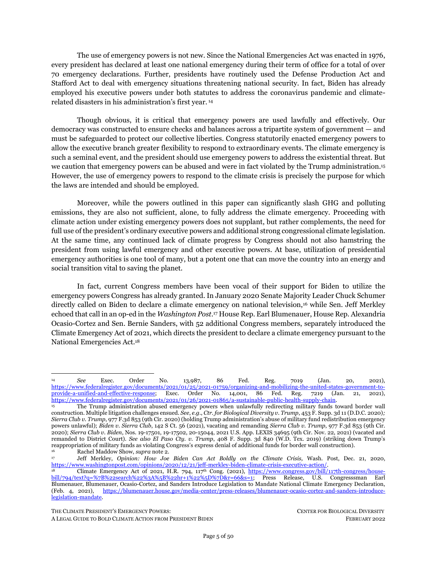climate emergency escalates exposure to heat waves, floods, droughts, and other extreme weather events; increases the spread of infectious diseases; decreases the quality and safety of air, food and water; causes increasing displacement of vulnerable populations; and exacerbates stresses on mental health and wellbeing.<sup>33</sup>

<span id="page-7-0"></span>*Exacerbated social and racial inequities***.** Black, Latino, Indigenous, Asian, and other communities of color in the United States bear the brunt of the climate emergency from multiple and cascading angles. First, communities of color and low-wealth families suffer most from the nation's dependence on fossil fuels resulting in environmental racism. Fossil fuel infrastructure — including oil and gas wells, refineries, fossil fuel power plants, and processing, transmission and storage facilities — is often concentrated in communities of color and low-wealth communities, causing asthma, cancer, and other serious health harms to residents exposed to hazardous air and water pollution from these facilities.<sup>34</sup> Critically, fossil fuel extraction — through the establishment of temporary male housing sites used for fossil fuel construction and oilfield work — has been extensively linked to increased levels of violence against Indigenous women, contributing to the Missing and Murdered Indigenous Women, Girls, and Two-Spirit People epidemic.<sup>35</sup>

<span id="page-7-2"></span><span id="page-7-1"></span>Much like the health impacts of fossil fuel pollution, climate change impacts are, and will continue to be, unevenly and inequitably distributed across the country.<sup>36</sup> Researchers have found that Black, Latino, and low-income households are more likely to live in high climate-risk areas like heat domes, flood zones, and hurricane-prone areas, <sup>37</sup> less likely to have money to harden infrastructure in advance of disasters and resources to evacuate during disasters, and less likely to receive assistance during recovery periods<sup>38</sup> — all while contributing fewer GHG emissions than high-income households.<sup>39</sup> When analyzing urban patterns across the United States, studies show that communities of color and low-wealth families live in hotter

<sup>33</sup> *Fourth National Climate Assessment, Vol. II*, *supra* note [26,](#page-6-3) at 540; USGCRP, *The Impacts of Climate Change on Human Health* (2016), *supra* not[e 30.](#page-6-4)

<sup>34</sup> *See* Robert Bullard, *Dumping in Dixie: Race, Class and Environmental Quality* (1990); Robert D. Bullard et al., *Toxic Wastes and Race at Twenty: 1987-2007* (2007), [http://www.ejnet.org/ej/twart.pdf;](http://www.ejnet.org/ej/twart.pdf) Adrian Wilson et al., NAACP, Indigenous Environmental Network & Little Village Environmental Justice Organization, *Coal Blooded: Putting Profits Before People* (2012), [https://naacp.org/resources/coal-blooded-putting-profits-people;](https://naacp.org/resources/coal-blooded-putting-profits-people) U.S. Environmental Protection Agency, *EJ Screening Report for the Clean Power Plan* (2015), [https://archive.epa.gov/epa/sites/production/files/2016-04/documents/ejscreencpp.pdf;](https://archive.epa.gov/epa/sites/production/files/2016-04/documents/ejscreencpp.pdf) Emanuele Massetti et al., *Environmental Quality and the U.S. Power Sector: Air Quality, Water Quality, Land Use and Environmental Justice, ORNL/SPR-2016/772* (2017)[, https://info.ornl.gov/sites/publications/files/Pub60561.pdf;](https://info.ornl.gov/sites/publications/files/Pub60561.pdf) PSE Healthy Energy, *Natural Gas Power Plants in California's Disadvantaged Communities* (2017), [https://www.psehealthyenergy.org/wp](https://www.psehealthyenergy.org/wp-content/uploads/2017/04/CA.EJ_.Gas_.Plants.pdf)[content/uploads/2017/04/CA.EJ\\_.Gas\\_.Plants.pdf.](https://www.psehealthyenergy.org/wp-content/uploads/2017/04/CA.EJ_.Gas_.Plants.pdf) In fact, People of color are more likely to live near fossil fuel power plants, with one study showing the share of minorities living within three miles (five kilometers) of a coal- or oil-fired power plant is up to 37% higher than the national average of 25%.

<sup>35</sup> Livia Charles, Saffia Cissoko, & Osprey Orielle Lake, *Gendered and Racial Impacts of the Fossil Fuel Industry in North America and Complicit Financial Institutions* (2021), [https://e01c23b4-9f2e-4830-9320](https://e01c23b4-9f2e-4830-9320-a86de06b013e.filesusr.com/ugd/d99d2e_918b1e133b2548549b686e4b6eac4cc3.pdf) [a86de06b013e.filesusr.com/ugd/d99d2e\\_918b1e133b2548549b686e4b6eac4cc3.pdf;](https://e01c23b4-9f2e-4830-9320-a86de06b013e.filesusr.com/ugd/d99d2e_918b1e133b2548549b686e4b6eac4cc3.pdf) Barbara Clabots, Opinion, *The Darkest Side of Fossil-Fuel Extraction*, Scientific American, Oct. 14, 2019, [https://blogs.scientificamerican.com/voices/the-darkest-side-of-fossil](https://blogs.scientificamerican.com/voices/the-darkest-side-of-fossil-fuel-extraction/)[fuel-extraction/;](https://blogs.scientificamerican.com/voices/the-darkest-side-of-fossil-fuel-extraction/) *Human Trafficking in the U.S.*, C-SPAN (Sept. 23, 2020), [https://www.c-span.org/video/?315168-1/human](https://www.c-span.org/video/?315168-1/human-trafficking-us)[trafficking-us.](https://www.c-span.org/video/?315168-1/human-trafficking-us) 

<sup>36</sup> Solomon Hsiang et al., *Estimating Economic Damage from Climate Change in the United States*, 356 *Science 1362* (2017), [https://science.sciencemag.org/content/356/6345/1362;](https://science.sciencemag.org/content/356/6345/1362) U.S. Env't Protection Agency, *supra* note [34;](#page-7-0) Wanter Uja, *The Effects of Natural Disasters on Energy Infrastructure*, Lewis & Clark Law School (Aug. 19, 2020), [https://law.lclark.edu/live/blogs/132-the-effects-of-natural-disasters-on-energy.](https://law.lclark.edu/live/blogs/132-the-effects-of-natural-disasters-on-energy)

<sup>37</sup> *See Poor, Southern Counties are Most at Risk*, Associated Press (2017), [https://interactives.ap.org/climate-change](https://centerforbiologicald-my.sharepoint.com/personal/jsu_biologicaldiversity_org/Documents/Climate%20Emergencies%20Paper/), https:/interactives.ap.org/climate-change-economic-damage/)[economic-damage/;](https://centerforbiologicald-my.sharepoint.com/personal/jsu_biologicaldiversity_org/Documents/Climate%20Emergencies%20Paper/), https:/interactives.ap.org/climate-change-economic-damage/) Ben Wisner, *At Risk: Natural Hazards, People's Vulnerability and Disasters* (2006).

<sup>38</sup> *See* Christopher Flavelle, *Why Does Disaster Aid Often Favor White People?,* N.Y. Times, June 7, 2021; Rebecca Hersher, *Why FEMA Aid is Unavailable To Many Who Need It The Most*, NPR, June 29, 2021, [https://www.npr.org/2021/06/29/1004347023/why-fema-aid-is-unavailable-to-many-who-need-it-the-most.](https://www.npr.org/2021/06/29/1004347023/why-fema-aid-is-unavailable-to-many-who-need-it-the-most)

<sup>39</sup> Lutz Sager, *Income Inequality and Carbon Consumption: Evidence from Environmental Engel Curves*, 84 Energy Econ. 104,507 (2019).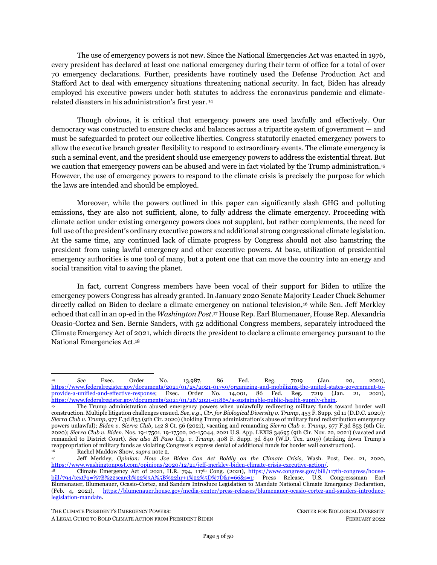neighborhoods than their white counterparts,<sup>40</sup> as exposure to extreme heat is associated with century-old patterns of residential redlining, racist housing covenants and other discriminatory practices.<sup>41</sup> The climate emergency thus also exacerbates energy insecurity and poverty among communities of color. Black and Latino families on average bear quadruple the energy burdens of white families, with some Black households in the South bearing energy burdens as much as 40% of their total income, due to historical racist redlining policies.<sup>42</sup> As severe climate-induced heat waves and cold freezes increase the demand for electricity and gas heat, communities of color face increased energy burden and likelihood of shutoffs for inability to pay — with potentially fatal consequences.<sup>43</sup>

<span id="page-8-0"></span>*Species extinction and ecocide***.** Additionally, fossil fuel pollution and the climate emergency threaten catastrophic species losses if GHG emissions continue unabated.<sup>44</sup> Climate change is increasing stress on species and ecosystems, causing disruptions of species' distribution, timing of breeding and migration, physiology, vital rates, genetics, and the ecosystem processes that support basic human needs.<sup>45</sup> Climate change-related local extinctions are already widespread.<sup>46</sup> Species extinction risk will accelerate with continued carbon pollution, threatening the loss of at least one-third of animal and plant species in the next 50 years.<sup>47</sup> A 2019 United Nations report concluded that 1 million animal and plant species are now threatened with extinction, with climate change as a primary driver.<sup>48</sup> Scientists have called for a rapid transformation of our energy system away from fossil fuels to prevent such a mass extinction.<sup>49</sup>

*Economic harms***.** The climate crisis is exacting a heavy economic toll, already costing the U.S. economy more than \$1 trillion dollars in damages, with economic losses worsening with each additional

<sup>40</sup> Angel Hsu et al., *Disproportionate Exposure to Urban Heat Island Across Major U.S. Cities*  (2020), [https://ssrn.com/abstract=3684952;](https://ssrn.com/abstract=3684952) Susanne Benz & Jennifer Burney, *Widespread Race and Class Disparities in Surface Urban Heat Extremes Across the United States*, 9 Earth's Future e2021EF002016 (2021).

<sup>41</sup> Jeremy S. Hoffman et al., *The Effects of Historical Housing Policies on Resident Exposure to Intra-Urban Heat: A Study of 108 US Urban Areas*, 8 Climate 12 (2020).

<sup>42</sup> *Low-Income, Black, Hispanic, and Native American Households Face High Energy Burdens,* ACEEE*,*  <https://www.aceee.org/energy-burden> (last visited Feb. 7, 2022); *Climate Change—Preparing for the Energy Transition: Hearing Before the H. Subcomm. on Energy and Mineral Res. of the H. Comm on Nat. Res*, 116th Cong. 8-10 (2019) (statement of Chandra Farley, Just Energy Director, Partnership for Southern Equity).

<sup>43</sup> Critically, energy insecurity and resulting utility disconnections have fatal consequences. A study from the National Bureau of Economic Research found that a national moratorium on power and water utility shutoffs, had it been implemented at the start of the pandemic, could have reduced COVID-19 deaths by 14.8% and infections by 8.7%. Kay Jowers et al., *Housing Precarity & the Covid-19 Pandemic: Impacts of Utility Disconnection and Eviction Moratoria on Infections and Deaths Across U.S. Counties*, (Nat'l Bureau of Econ. Res., Working Paper No. 28394, 2021), [https://www.nber.org/system/files/working\\_papers/w28394/w28394.pdf.](https://www.nber.org/system/files/working_papers/w28394/w28394.pdf) *See also* Jean Su, *Climate, Environmental, and Energy Justice: Integrating Justice into Electricity System Design and Decision-Making, in* Advancing Equity in Utility Regulation, Lawrence Berkeley National Laboratory (Nov. 2021), [https://eta](https://eta-publications.lbl.gov/sites/default/files/feur_12_-_advancing_equity_in_utility_regulation.pdf)[publications.lbl.gov/sites/default/files/feur\\_12\\_-\\_advancing\\_equity\\_in\\_utility\\_regulation.pdf;](https://eta-publications.lbl.gov/sites/default/files/feur_12_-_advancing_equity_in_utility_regulation.pdf) Jean Su & Chris Kuveke, Ctr. for Biological Diversity and Bailout Watch, *Powerless in the Pandemic* (2021), [https://bailout.cdn.prismic.io/bailout/6d3d3f34-8a75-](https://bailout.cdn.prismic.io/bailout/6d3d3f34-8a75-4ed5-9d42-225446bd32a8_Powerless_Report_v6.pdf) [4ed5-9d42-225446bd32a8\\_Powerless\\_Report\\_v6.pdf.](https://bailout.cdn.prismic.io/bailout/6d3d3f34-8a75-4ed5-9d42-225446bd32a8_Powerless_Report_v6.pdf)

<sup>44</sup> Intergovernmental Panel on Climate Change, *Climate Change 2021: The Physical Science Basis. Contribution of Working Group I to the Sixth Assessment Report of the Intergovernmental Panel on Climate Change* (2021), [https://www.ipcc.ch/report/ar6/wg1/#FullReport.](https://www.ipcc.ch/report/ar6/wg1/%23FullReport)

<sup>45</sup> *See*, *e.g*., Kassie Siegel & Brendan Cummings, Ctr. for Biological Diversity*, Before The Secretary Of Interior: Petition to List the Polar Bear (*Ursus Martimus*) as a Threatened Species Under the Endangered Species Act* (2005), [https://www.biologicaldiversity.org/species/mammals/polar\\_bear/pdfs/15976\\_7338.pdf;](https://www.biologicaldiversity.org/species/mammals/polar_bear/pdfs/15976_7338.pdf) Press Release, Ctr. for Biological Diversity, Court Upholds Endangered Species Act Protection for Polar Bears: Ruling Confirms that Global Warming Threatens Polar Bears with Extinction, (June 30, 2011)[, https://www.biologicaldiversity.org/news/press\\_releases/2011/polar-bear-06-30-2011.html;](https://www.biologicaldiversity.org/news/press_releases/2011/polar-bear-06-30-2011.html) Rachel Warren et al., *Increasing Impacts of Climate Change upon Ecosystems with Increasing Global Mean Temperature Rise*, 106 Climatic Change 141 (2011); Brett R. Scheffers et al., *The Broad Footprint of Climate Change from Genes to Biomes to People,* 354 Science 719 (2016).

<sup>46</sup> John J. Wiens, *Climate-Related Local Extinctions are Already Widespread Among Plant and Animal Species*, 14 PLoS Bio. e2001104 (2016).

<sup>47</sup> Roman-Palacios & Wiens, *supra* not[e 11.](#page-2-1)

<sup>48</sup> IPBES, *Global Assessment Report on Biodiversity and Ecosystem Services* (E.S. Brondízio et al eds., 2019), [https://ipbes.net/news/Media-Release-Global-Assessment.](https://ipbes.net/news/Media-Release-Global-Assessment)

<sup>49</sup> Anthony D. Barnosky, *Transforming the Global Energy System is Required to Avoid the Sixth Mass Extinction*, 2 MRS Energy and Sustainability E10 (2015).

THE CLIMATE PRESIDENT'S EMERGENCY POWERS: CENTER FOR BIOLOGICAL DIVERSITY

A LEGAL GUIDE TO BOLD CLIMATE ACTION FROM PRESIDENT BIDEN FEBRUARY 2022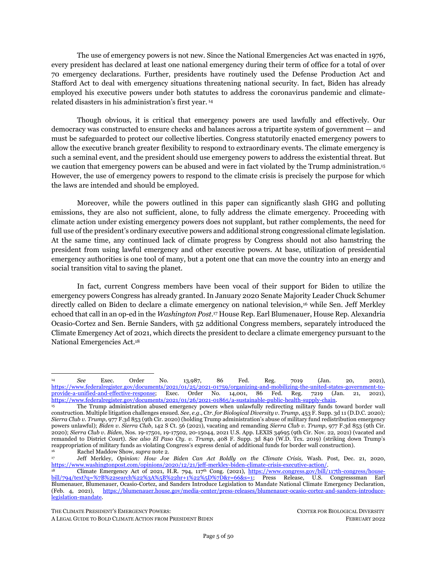ton of carbon pollution.<sup>50</sup> Each 1°C temperature rise is estimated to decrease U.S. gross domestic product (GDP) by 1.2%, with the poorest U.S. regions suffering most.<sup>51</sup> The National Oceanic and Atmospheric Administration estimated that since 1980, the U.S. has experienced more than 310 weather and climate disasters, amounting to over \$2.155 trillion in damages. <sup>52</sup> In 2021 alone, there were 20 weather and climate disaster events with losses exceeding \$1 billion each and 688 deaths. <sup>53</sup> Further, a 2021 study of the U.S. health costs of air pollution from fossil fuel combustion and resulting climate change estimated the costs already exceed \$800 billion per year and are expected to become even higher without rapid action to curb fossil fuel pollution.<sup>54</sup>

<span id="page-9-1"></span><span id="page-9-0"></span>*National and global security***.** Finally, the climate emergency also poses significant security risks to the country and the planet. At the start of his presidency, Biden issued Executive Order 14008 that stated: "[i]t is the policy of my Administration that climate considerations shall be an essential element of United States foreign policy and national security."<sup>55</sup> Recently the White House, Pentagon, and intelligence agencies released reports expressing deep concern that the shifts unleashed by climate change can reshape U.S. strategic interests and threaten its geopolitical position.<sup>56</sup> In a 2021 report, the White House acknowledged the intimate relationship among climate change, migration and conflict.<sup>57</sup> Extreme weather events has been leading to climate migration and political unrest in at-risk countries and is expected to increase. <sup>58</sup> The Office of the Director of National Intelligence forecasted that climate change could spawn social upheaval and threaten political stability due to global famine.<sup>59</sup> These reports echo longstanding concerns from the intelligence and defense communities that called for action to reduce greenhouse gas emissions and in some cases have adopted renewable energy solutions. <sup>60</sup> The Army notes that climate change poses "an increased risk of armed conflict in places where established social orders and populations are disrupted.<sup>61</sup> The risk will rise even more where climate effects compound social instability, reduce access to basic necessities, undermine fragile governments and economies, damage vital infrastructure, and lower agricultural production."<sup>62</sup>

<sup>50</sup> Hsiang, *supra* not[e 36;](#page-7-1) *Examining the Macroeconomic Impacts of a Changing Climate: Hearing Before the Subcomm. on Nat'l Sec., Int'l Dev., and Monetary Policy of the H. Comm. on Fin. Servs*., 116th Cong. (2019), *available at*  [https://www.congress.gov/116/meeting/house/109911/witnesses/HHRG-116-BA10-Wstate-BurkeM-20190911.pdf.](https://www.congress.gov/116/meeting/house/109911/witnesses/HHRG-116-BA10-Wstate-BurkeM-20190911.pdf) <sup>51</sup> Hsiang, Hsiang, *supra* note [36.](#page-7-1)

<sup>52</sup> NOAA National Centers for Environmental Information (NCEI), *Billion-Dollar Weather and Climate Disasters* (2022), [https://www.ncdc.noaa.gov/billions/,](https://www.ncdc.noaa.gov/billions/) DOI: [10.25921/stkw-7w73.](https://www.doi.org/10.25921/stkw-7w73)

<sup>53</sup> *Id.* <sup>54</sup> Med. Soc. Consortium on Climate and Health, *The Costs of Inaction: The Economic Burden of Fossil Fuels and Climate Change on Health in the United States* (2021) 5, [https://medsocietiesforclimatehealth.org/wp](https://medsocietiesforclimatehealth.org/wp-content/uploads/2021/05/CostofInactionReport-May2021.pdf)[content/uploads/2021/05/CostofInactionReport-May2021.pdf.](https://medsocietiesforclimatehealth.org/wp-content/uploads/2021/05/CostofInactionReport-May2021.pdf)

<sup>55</sup> Exec. Order No. 14,008, 86 Fed. Reg. 7619, *supra* not[e 1.](#page-1-2)

<sup>56</sup> U.S. Dep't of Defense, Office of the Undersecretary for Policy (Strategy, Plans, and Capabilities), *Department of Defense Climate Risk Analysis, Report Submitted to National Security Council* (2021), [https://media.defense.gov/2021/Oct/21/2002877353/-1/-1/0/DOD-CLIMATE-RISK-ANALYSIS-FINAL.PDF;](https://media.defense.gov/2021/Oct/21/2002877353/-1/-1/0/DOD-CLIMATE-RISK-ANALYSIS-FINAL.PDF) U.S. Dep't of the Army, Office of the Assistant Secretary of the Army for Installations, Energy and Environment, *United States Army Climate Strategy* (2022), [https://www.army.mil/e2/downloads/rv7/about/2022\\_army\\_climate\\_strategy.pdf;](https://www.army.mil/e2/downloads/rv7/about/2022_army_climate_strategy.pdf) White House, *Report on the Impact of Climate Change on Migration* (2021), [https://www.whitehouse.gov/wp-content/uploads/2021/10/Report-on-the-Impact-of-](https://www.whitehouse.gov/wp-content/uploads/2021/10/Report-on-the-Impact-of-Climate-Change-on-Migration.pdf)[Climate-Change-on-Migration.pdf.](https://www.whitehouse.gov/wp-content/uploads/2021/10/Report-on-the-Impact-of-Climate-Change-on-Migration.pdf) *See also* Christopher Flavelle et al., *Climate Change Poses a Widening Threat to National Security*, N.Y. Times, updated Oct. 24, 2021[, https://www.nytimes.com/2021/10/21/climate/climate-change-national-security.html.](https://www.nytimes.com/2021/10/21/climate/climate-change-national-security.html) <sup>57</sup> White House, *supra* not[e 56.](#page-9-0)

<sup>58</sup> *Id*.; Shane Harris & Michael Birnbaum, *White House, Intelligence Agencies, Pentagon Issue Reports Warning Climate Change Threatens Global Security*, Wash. Post, Oct., 21, 2021, [https://www.washingtonpost.com/national-security/intelligence](https://www.washingtonpost.com/national-security/intelligence-pentagon-climate-change-warnings/2021/10/21/ea3a2c84-31d3-11ec-a1e5-07223c50280a_story.html)[pentagon-climate-change-warnings/2021/10/21/ea3a2c84-31d3-11ec-a1e5-07223c50280a\\_story.html;](https://www.washingtonpost.com/national-security/intelligence-pentagon-climate-change-warnings/2021/10/21/ea3a2c84-31d3-11ec-a1e5-07223c50280a_story.html) Nat'l Intelligence Council, *Global Trends 2040: A More Contested World* (2021), https://www.dni.gov/files/ODNI/documents/assessments/GlobalTrends\_2040.pdf.

<sup>59</sup> Nat'l Intelligence Council*, supra* not[e 58.](#page-9-1)

<sup>60</sup> Michael T. Clare, *All Hell Breaking Loose: The Pentagon's Perspective on Climate Change* (2020).

<sup>&</sup>lt;sup>61</sup> In its first climate strategy report recently released in 2022, the U.S. military set the goals of using 100% pollution-free electricity on Army installations by 2030. U.S. Dep't of the Army, *supra* not[e 56.](#page-9-0)

*Id.* at 4-5.

THE CLIMATE PRESIDENT'S EMERGENCY POWERS: CENTER FOR BIOLOGICAL DIVERSITY

A LEGAL GUIDE TO BOLD CLIMATE ACTION FROM PRESIDENT BIDEN FEBRUARY 2022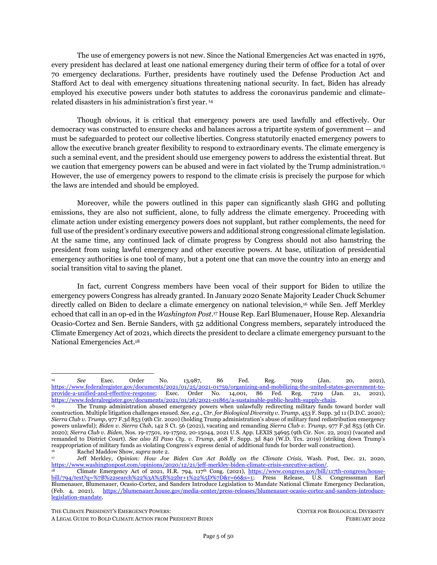### <span id="page-10-0"></span>**II. THE BIDEN ADMINISTRATION'S RECORD ON CLIMATE ACTION**

<span id="page-10-2"></span>The Biden administration's record on climate action is confused, breaks key campaign promises, and warrants clearer and more progressive leadership. Encouragingly, the administration jumpstarted the term with productive executive orders on climate, environmental justice, and renewable energy job generation. But the execution of these initiatives remains to be seen, largely because the administration chose to primarily pursue its climate priorities through legislative strategy — rather than a complementary executive strategy — in the Build Back Better Act, <sup>63</sup> which has failed to pass to date. Discouragingly, the Biden administration has permitted fossil fuel extraction, even superseding the Trump administration on federal drilling permitting. To date the administration has been characterized by a mélange of positive rhetoric, expanding fossil fuel extraction, and moribund climate legislation that has resulted in a lack of substantial progress on climate in its first year.<sup>64</sup>

<span id="page-10-4"></span><span id="page-10-3"></span><span id="page-10-1"></span>First, the Biden administration enacted a series of forward-looking climate directives encouraging the renewable energy transition and accompanying clean job generation, but these priorities have yet to be realized. In recognizing the "narrow moment" to tackle the "profound climate crisis," Biden issued a "whole of government" directive to "deploy [their] full capacity" to combat the climate crisis.<sup>65</sup> This included the order to leverage the federal government's procurement power to catalyze a 100% carbon-free electricity system by 2035 and a clean vehicle fleet.<sup>66</sup> The administration has yet to take any action on actualizing this order, <sup>67</sup> however, and the U.S. Postal Service is poised to approve one of the largest vehicle purchases globally, of which 90% of the new fleet will be fossil fuel vehicles. <sup>68</sup> Separately, the Biden administration has increased offshore wind leasing<sup>69</sup> and has issued a broad solar blueprint whereby half of the country's electricity could be solar-powered by 2040,<sup>70</sup> but it also maintains strong support for continued oil and gas production when tied to greenwashing technologies like carbon capture and storage — a major funding priority for the Department of Energy<sup>71</sup> — that perpetuates fossil fuel extraction and environmental racism. Similarly, the administration has finalized near-term tailpipe emissions standards that are weaker than what President Obama proposed a decade ago and rely on unenforceable voluntary commitments from

THE CLIMATE PRESIDENT'S EMERGENCY POWERS: CENTER FOR BIOLOGICAL DIVERSITY

<sup>63</sup> White House, *Remarks by President Biden in Address to a Joint Session of Congress*, (Apr. 28, 2021), [https://www.whitehouse.gov/briefing-room/speeches-remarks/2021/04/29/remarks-by-president-biden-in-address-to-a-joint](https://www.whitehouse.gov/briefing-room/speeches-remarks/2021/04/29/remarks-by-president-biden-in-address-to-a-joint-session-of-congress/)[session-of-congress/](https://www.whitehouse.gov/briefing-room/speeches-remarks/2021/04/29/remarks-by-president-biden-in-address-to-a-joint-session-of-congress/) ("For too long, we've failed to use the most important word when it comes to meeting the climate crisis: 'jobs.' Jobs. Jobs."); White House, The Build Back Better Agenda, [https://www.whitehouse.gov/build-back-better/;](https://www.whitehouse.gov/build-back-better/) White House, *Fact Sheet: The American Jobs Plan* (Mar. 31, 2021)[, https://www.whitehouse.gov/briefing-room/statements-releases/2021/03/31/fact](https://www.whitehouse.gov/briefing-room/statements-releases/2021/03/31/fact-sheet-the-american-jobs-plan/)[sheet-the-american-jobs-plan/](https://www.whitehouse.gov/briefing-room/statements-releases/2021/03/31/fact-sheet-the-american-jobs-plan/) [hereinafter *Fact Sheet: The American Jobs Plan*].

<sup>64</sup> *See* Ctr. for Biological Diversity Action Fund, *President Biden's Environmental Report Card: Semester Two: C-*, (Jan. 2022) https://centeractionfund.org/wp-content/uploads/Biden-Environmental-Report-Card-12-Months.pdf.

<sup>65</sup> Exec. Order No. 14,008, 86 Fed. Reg. 7619, *supra* not[e 1.](#page-1-2); White House, *Fact Sheet: President Biden Takes Executive Actions to Tackle the Climate Crisis* (Jan. 27, 2021), [https://www.whitehouse.gov/briefing-room/statements-releases/2021/01/27/fact](https://www.whitehouse.gov/briefing-room/statements-releases/2021/01/27/fact-sheet-president-biden-takes-executive-actions-to-tackle-the-climate-crisis-at-home-and-abroad-create-jobs-and-restore-scientific-integrity-across-federal-government/)[sheet-president-biden-takes-executive-actions-to-tackle-the-climate-crisis-at-home-and-abroad-create-jobs-and-restore-scientific](https://www.whitehouse.gov/briefing-room/statements-releases/2021/01/27/fact-sheet-president-biden-takes-executive-actions-to-tackle-the-climate-crisis-at-home-and-abroad-create-jobs-and-restore-scientific-integrity-across-federal-government/)[integrity-across-federal-government/.](https://www.whitehouse.gov/briefing-room/statements-releases/2021/01/27/fact-sheet-president-biden-takes-executive-actions-to-tackle-the-climate-crisis-at-home-and-abroad-create-jobs-and-restore-scientific-integrity-across-federal-government/)

<sup>66</sup> Exec. Order No. 14,008, 86 Fed. Reg. 7619, *supra* not[e 1.,](#page-1-2) Sec. 204-205.

<sup>67</sup> William Snape, Ctr. for Biological Diversity, *Petition for the General Services Administration to Commit the Federal Real Estate Portfolio to 100% Clean and Renewable Electricity Sources, Lease Out Excess Clean Renewable Energy Capacity, and Electrify the Federal Fleet with Zero Emission Vehicles* (2021), https://www.biologicaldiversity.org/programs/climate\_law\_institute/energy\_and\_global\_warming/pdfs/GSA-Petitionn.pdf. <sup>68</sup> *See* U.S. Postal Serv., *Final Environmental Impact Statement: Next Generation Delivery Vehicle Acquisitions* (2021), [https://uspsngdveis.com/documents/USPS+NGDV+FEIS\\_Dec+2021.pdf.](https://uspsngdveis.com/documents/USPS+NGDV+FEIS_Dec+2021.pdf)

<sup>69</sup> White House, *Fact Sheet: Biden-Harris Administration Races to Deploy Clean Energy that Creates Jobs and Lowers Costs* (Jan. 12, 2022), [https://www.whitehouse.gov/briefing-room/statements-releases/2022/01/12/fact-sheet-biden-harris-administration](https://www.whitehouse.gov/briefing-room/statements-releases/2022/01/12/fact-sheet-biden-harris-administration-races-to-deploy-clean-energy-that-creates-jobs-and-lowers-costs/)races-to-deploy-clean-energy-that-creates-jobs-and-lowers-costs/.<br>
<sup>70</sup> U.S. Dep't of Energy, *Solar Futures Study* 

<sup>70</sup> U.S. Dep't of Energy, *Solar Futures Study* (2021), [https://www.energy.gov/sites/default/files/2021-](https://www.energy.gov/sites/default/files/2021-09/Solar%20Futures%20Study.pdf) [09/Solar%20Futures%20Study.pdf.](https://www.energy.gov/sites/default/files/2021-09/Solar%20Futures%20Study.pdf)

<sup>71</sup> James Osbourne, *Energy Secretary Sees Future for Oil and Gas, Just Not the One You Might Want*, Hous. Chron., Aug. 27, 2021, https://www.houstonchronicle.com/business/energy/article/Granholm-sees-future-for-oil-and-gas-just-not-16414786. U.S. Dep't of Energy, *DOE invests \$45 million to decarbonize natural gas power and industrial sectors using carbon capture and storage* (Oct. 6, 2021), [https://www.energy.gov/articles/doe-invests-45-million-decarbonize-natural-gas-power-and-industrial](https://www.energy.gov/articles/doe-invests-45-million-decarbonize-natural-gas-power-and-industrial-sectors-using-carbon)[sectors-using-carbon.](https://www.energy.gov/articles/doe-invests-45-million-decarbonize-natural-gas-power-and-industrial-sectors-using-carbon)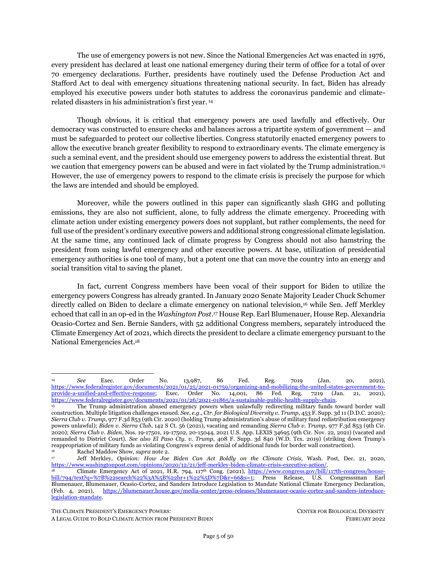automakers to electrify their fleets.<sup>72</sup> The administration also put all of its proverbial climate eggs into the Build Back Better Act — a piece of legislation that faces indefinite abeyance and whose purgatory arguably lies in how the administration undercut progressive calls to marry it to the Republican-favored Bipartisan Infrastructure Law.<sup>73</sup>

Second, the Biden administration's record on fossil fuel extraction is self-contradictory and retrograde. Fulfilling a campaign promise long fought for by environmental organizations, Biden paused new oil and gas leasing on federal lands and launched a review of the federal fossil fuel leasing and permitting program at the start of his term. <sup>74</sup> But the temporary moratorium was blocked by a Trumpappointed district court judge in June 2021. <sup>75</sup> Since this single district court ruling, which was wrongly decided and is on appeal, the administration has not used all existing executive powers to slow fossil fuel leasing, including deferring sales while completing the required environmental review on their effects, updating management plans to remove areas from leasing eligibility, and withdrawing all unleased offshore areas from leasing.<sup>76</sup> In a whiplash move, the Biden administration held the largest oil and gas lease sale in U.S. history of 80 million acres off the Gulf of Mexico just days after committing to climate action at the 2021 international climate talks in Glasgow; the sale was recently struck down as unlawful by another district court due to flaws in the government's analysis of the greenhouse gas pollution that will result from the sale. <sup>77</sup> Further undermining his initial order to address federal fossil fuel leasing, Biden's administration has approved more than 3,500 permits on existing leases on public lands and waters just in his first year  $$ outpacing the Trump administration's first-year total by an astounding 34%. <sup>78</sup> Additionally, while the administration has canceled the Keystone XL oil pipeline from Canada and did not appeal a court decision shutting down the largest Alaskan oil-and-gas drilling project, <sup>79</sup> it continues to support the buildout of fossil

THE CLIMATE PRESIDENT'S EMERGENCY POWERS: CENTER FOR BIOLOGICAL DIVERSITY

<sup>72</sup> Revised 2023 and Later Model Year Light-Duty Vehicle Greenhouse Gas Emissions Standards, 86 Fed. Reg. 74,434 (Dec. 30, 2021) (to be codified at 40 C.F.R. pts. 86 and 600).<br>  $\frac{30}{73}$  Adia Chavez, How Democrats Lost

<sup>73</sup> Adia Chavez, *How Democrats Lost Build Back Better*, The Nation, Dec. 21, 2021, [https://www.thenation.com/article/politics/build-back-better-cpc/;](https://www.thenation.com/article/politics/build-back-better-cpc/) Michelle Goldberg, Opinion, *Pramila Jayapal Won't Let the Biden Presidency Fail*, N.Y. Times, Oct. 16, 2021, [https://www.nytimes.com/2021/10/16/opinion/pramila-jayapal](https://www.nytimes.com/2021/10/16/opinion/pramila-jayapal-infrastructure.html)[infrastructure.html.](https://www.nytimes.com/2021/10/16/opinion/pramila-jayapal-infrastructure.html)

<sup>74</sup> Exec. Order No. 14,008, 86 Fed. Reg. 7619, *supra* not[e 1.;](#page-1-2) *see also* Press Release, Ctr. for Biological Diversity, 500 Groups Urge Biden to Order Fossil Fuel Leasing Ban (Dec. 15, 2020), [https://biologicaldiversity.org/w/news/press-releases/500-groups](https://biologicaldiversity.org/w/news/press-releases/500-groups-urge-biden-order-fossil-fuel-leasing-ban-2020-12-15/)[urge-biden-order-fossil-fuel-leasing-ban-2020-12-15/.](https://biologicaldiversity.org/w/news/press-releases/500-groups-urge-biden-order-fossil-fuel-leasing-ban-2020-12-15/)

<sup>75</sup> Kevin McGill, *Federal judge blocks Biden's pause on new oil, gas leases*, Associated Press, June 16, 2021, [https://apnews.com/article/joe-biden-climate-change-environment-and-nature-business-9751c4909a8b1baba28f3bcff9d5fa6e.](https://apnews.com/article/joe-biden-climate-change-environment-and-nature-business-9751c4909a8b1baba28f3bcff9d5fa6e) 

<sup>76</sup> In January 2022, 361 climate, conservation, and environmental justice organizations legally petitioned the Biden administration to take these actions within his statutorily-authorized powers to phase out fossil fuel production on federal lands. Ctr. for Biological Diversity, *Petition to Reduce the Rate of Oil and Gas Production on Public Lands and Waters to Near Zero by 2035* (2022), [https://www.biologicaldiversity.org/programs/public\\_lands/energy/dirty\\_energy\\_development/pdfs/Petition-to-Phase-](https://www.biologicaldiversity.org/programs/public_lands/energy/dirty_energy_development/pdfs/Petition-to-Phase-Down-Fossil-Fuel-Production-on-Public-Lands-and-Water-19-Jan-2022.pdf)[Down-Fossil-Fuel-Production-on-Public-Lands-and-Water-19-Jan-2022.pdf.](https://www.biologicaldiversity.org/programs/public_lands/energy/dirty_energy_development/pdfs/Petition-to-Phase-Down-Fossil-Fuel-Production-on-Public-Lands-and-Water-19-Jan-2022.pdf) *See also* Randi Spivak, Opinion, *Climate can't wait: Biden must use his power to end new fossil fuel leasing*, The Hill, Dec. 7, 2021, [https://thehill.com/opinion/energy](https://thehill.com/opinion/energy-environment/584784-climate-cant-wait-biden-must-use-his-power-to-end-new-fossil-fuel)[environment/584784-climate-cant-wait-biden-must-use-his-power-to-end-new-fossil-fuel.](https://thehill.com/opinion/energy-environment/584784-climate-cant-wait-biden-must-use-his-power-to-end-new-fossil-fuel)

<sup>77</sup> *Friends of the Earth v. Haaland*, No. 21-2317-RC, 2022 U.S. Dist. LEXIS 15172, at \*29-54 (D.D.C. Jan. 27, 2022).

<sup>78</sup> Press Release, Ctr. for Biological Diversity, New Data: Biden's First Year Drilling Permitting Stomps Trump's by 34% (Jan. 21, 2022), [https://biologicaldiversity.org/w/news/press-releases/new-data-biden-slays-trumps-first-year-drilling-permitting-by-](https://biologicaldiversity.org/w/news/press-releases/new-data-biden-slays-trumps-first-year-drilling-permitting-by-34-2022-01-21/)[34-2022-01-21/.](https://biologicaldiversity.org/w/news/press-releases/new-data-biden-slays-trumps-first-year-drilling-permitting-by-34-2022-01-21/)

<sup>79</sup> In October 2021, the Biden administration decided not to appeal a federal district court decision halting ConocoPhillips' Willow Master Development Plan, which would have been the largest oil-and-gas drilling project in the Alaskan Arctic. *Sovereign Iñupiat for a Living Arctic v. Bureau of Land Mgmt.,* No. 3:20-cv-00290-SLG, 2021 U.S. Dist. LEXIS 155471 (D. Alaska Aug. 18, 2021).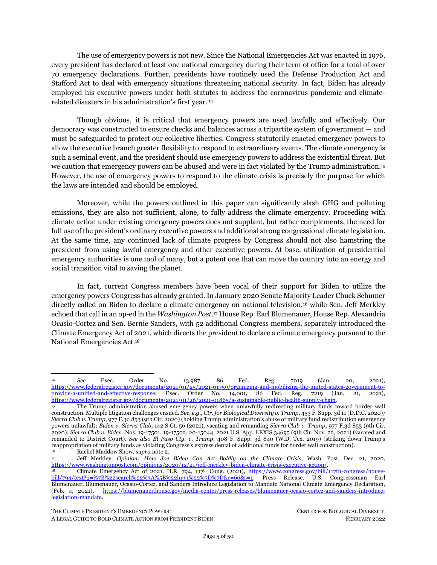fuel infrastructure, including the controversial Line 3, Dakota Access, and Mountain Valley Pipelines; 80 continued drilling in Alaska; and multiple liquefied gas export terminals.<sup>81</sup>

Third, the Biden administration's agenda on environmental justice is similarly fraught and unrealized. In an initial set of executive orders, Biden articulated the need to "secur[e] environmental justice" and established the Justice40 Initiative ("J40"), a whole-of-government effort that commits to deliver 40% of federal investments "in climate and clean energy to disadvantaged communities."<sup>82</sup> The J40 initiative has yet to produce tangible results and has drawn criticism from key environmental justice leaders, including for the omission of race as a factor in the White House's recent proposal of the Climate and Economic Justice Screening Tool to help direct J40 funds.<sup>83</sup> The Biden administration pursued a "people as policy" strategy to appoint several environmental justice leaders into positions with the administration to build a J40 framework for execution, but the administration's failure to provide adequate resources to support this tremendous piece of work has started to lead to attrition.<sup>84</sup> Further, the administration's commitment to fossil fuel extraction and support for carbon capture and storage and other polluting energies explicitly undermines recommendations from the White House Environmental Justice Advisory Council.<sup>85</sup>

Finally, Biden fulfilled a campaign promise to rejoin the Paris Agreement, but the administration's global commitments remain lackluster in meeting the country's fair share of global climate action.<sup>86</sup> The administration's international climate pledges of reducing climate-heating emissions by 50-52% by 2030 fails to meet the demands of climate science and environmental justice. A 70% reduction in greenhouse gas emissions by 2030 — accompanied by international financial support to enable the equivalent of another 125% reductions in developing countries — is needed to comport with the U.S.'s fair share to cut domestic emissions as the world's largest historical climate polluter.<sup>87</sup> Further, the administration's pledges similarly fall short of the U.S. fair share of financial support for addressing adaptation, mitigation, and loss and

THE CLIMATE PRESIDENT'S EMERGENCY POWERS: CENTER FOR BIOLOGICAL DIVERSITY

The future of the Mountain Valley Pipeline is precarious, in light of several recent federal court rulings invalidating key permits. *See Appalachian Voices et al. v. U.S. Dept. of Interior, et al*., No. 20-2159, slip op. (4th Cir. Feb. 3, 2022) (invalidating the biological opinion and incidental take statement issued by the U.S. Fish and Wildlife Service under the Endangered Species Act), [https://www.sierraclub.org/sites/www.sierraclub.org/files/press-room/Document%20%2859%29.pdf;](https://www.sierraclub.org/sites/www.sierraclub.org/files/press-room/Document%20%2859%29.pdf) *Wild Virginia v. U.S. Forest Serv*., Nos. 21-1039, 21-1082, 2022 U.S. App. LEXIS 2313 (4th Cir. Jan 25, 2022); Press Release, Ctr. for Biological Diversity, Federal Court Invalidates Another Key Permit in Endangered Species Act Case, Casting Serious Doubt on Future of Mountain Valley Pipeline (Feb. 3, 2022), [https://biologicaldiversity.org/w/news/press-releases/federal-court-invalidates-another-key-permit-in-endangered](https://biologicaldiversity.org/w/news/press-releases/federal-court-invalidates-another-key-permit-in-endangered-species-act-case-casting-serious-doubt-on-future-of-mountain-valley-pipeline-2022-02-03/email_view/)[species-act-case-casting-serious-doubt-on-future-of-mountain-valley-pipeline-2022-02-03/email\\_view/.](https://biologicaldiversity.org/w/news/press-releases/federal-court-invalidates-another-key-permit-in-endangered-species-act-case-casting-serious-doubt-on-future-of-mountain-valley-pipeline-2022-02-03/email_view/)

<sup>81</sup> Carlos Anchondo et al, *Surging U.S. LNG puts Biden in climate bind*, E&E News, July 8, 2021, [https://www.eenews.net/articles/surging-u-s-lng-puts-biden-in-climate-bind/.](https://www.eenews.net/articles/surging-u-s-lng-puts-biden-in-climate-bind/) 

<sup>82</sup> White House, *supra* not[e 65;](#page-10-1) Shalanda Young, Brenda Mallory & Gina McCarthy, *The Path to Achieving Justice40,* White House (July 20, 2021), [https://www.whitehouse.gov/omb/briefing-room/2021/07/20/the-path-to-achieving-justice40/.](https://www.whitehouse.gov/omb/briefing-room/2021/07/20/the-path-to-achieving-justice40/) *See also* White House, Exec. Order No. 13,985, 86 Fed. Reg. 7009 (Jan. 20, 2021)[, https://www.whitehouse.gov/briefing-room/presidential](https://www.whitehouse.gov/briefing-room/presidential-actions/2021/01/20/executive-order-advancing-racial-equity-and-support-for-underserved-communities-through-the-federal-government/)[actions/2021/01/20/executive-order-advancing-racial-equity-and-support-for-underserved-communities-through-the-federal](https://www.whitehouse.gov/briefing-room/presidential-actions/2021/01/20/executive-order-advancing-racial-equity-and-support-for-underserved-communities-through-the-federal-government/)[government/.](https://www.whitehouse.gov/briefing-room/presidential-actions/2021/01/20/executive-order-advancing-racial-equity-and-support-for-underserved-communities-through-the-federal-government/) 

<sup>83</sup> Valerie Valcovici, U.S. unveils tool to direct green investment in disadvantaged communities, Reuters, Feb. 18, 2022, [https://www.reuters.com/business/sustainable-business/us-unveils-tool-direct-green-investment-disadvantaged-communities-](https://www.reuters.com/business/sustainable-business/us-unveils-tool-direct-green-investment-disadvantaged-communities-2022-02-18/)

[<sup>2022-02-18/;</sup>](https://www.reuters.com/business/sustainable-business/us-unveils-tool-direct-green-investment-disadvantaged-communities-2022-02-18/) Zack Coleman, *Tensions Erupt Between Environmental Justice Leaders and White House*, Politico, Oct. 5, 2021, [https://www.politico.com/news/2021/10/05/environmental-justice-white-house-biden-515094;](https://www.politico.com/news/2021/10/05/environmental-justice-white-house-biden-515094) *see also* Dana Johnson & Jean Su, Opinion, *Regulators Can No Longer Rubber-Stamp the Expansion of the Oil and Gas Industry*, The Hill, Oct. 15, 2021, [https://thehill.com/opinion/energy-environment/576950-we-can-no-longer-rubber-stamp-expansion-of-the-oil-and-gas.](https://thehill.com/opinion/energy-environment/576950-we-can-no-longer-rubber-stamp-expansion-of-the-oil-and-gas) 

<sup>84</sup> Darryl Fears, *Biden's Focus on Environmental Justice Led to a Year of Progress—and Burnout*, Wash. Post., Jan. 27, 2021, [https://www.washingtonpost.com/climate-environment/2022/01/27/environmental-justice-biden-cecilia-martinez/.](https://www.washingtonpost.com/climate-environment/2022/01/27/environmental-justice-biden-cecilia-martinez/)

<sup>85</sup> White House Environmental Justice Advisory Council, *Final Recommendations: Justice40 Climate and Economic Justice Screening Tool & Executive Order 12898 Revisions* (2021)*,* [https://www.epa.gov/sites/default/files/2021-](https://www.epa.gov/sites/default/files/2021-05/documents/whiteh2.pdf) [05/documents/whiteh2.pdf.](https://www.epa.gov/sites/default/files/2021-05/documents/whiteh2.pdf)

<sup>86</sup> Press Release, Ctr. for Biological Diversity, COP26 Summit Ends Without Biden Taking Crucial Action on Fossil Fuels (Nov. 13, 2021), [https://biologicaldiversity.org/w/news/press-releases/cop26-summit-ends-without-biden-taking-crucial-action-on](https://biologicaldiversity.org/w/news/press-releases/cop26-summit-ends-without-biden-taking-crucial-action-on-fossil-fuels-2021-11-13/)[fossil-fuels-2021-11-13/;](https://biologicaldiversity.org/w/news/press-releases/cop26-summit-ends-without-biden-taking-crucial-action-on-fossil-fuels-2021-11-13/) The U.S. Climate Fair Share,<https://usfairshare.org/> (last visited Feb. 22, 2022).

<sup>87</sup> Press Release, Ctr. for Biological Diversity, U.S. Climate Target Falls Short of What Science, Justice Demand (Nov. 13, 2021), [https://biologicaldiversity.org/w/news/press-releases/us-climate-target-falls-short-of-what-science-justice-demand-2021-04-](https://biologicaldiversity.org/w/news/press-releases/us-climate-target-falls-short-of-what-science-justice-demand-2021-04-22/email_view/)

[<sup>22/</sup>email\\_view/;](https://biologicaldiversity.org/w/news/press-releases/us-climate-target-falls-short-of-what-science-justice-demand-2021-04-22/email_view/) Brady Dennis, *As Biden Convenes World Leaders, U.S. Pledges to Cut Emissions up to 52% by 2030*, Wash. Post, Apr. 22, 2021[, https://www.washingtonpost.com/climate-environment/2021/04/22/global-emissions-52-percent-biden/.](https://www.washingtonpost.com/climate-environment/2021/04/22/global-emissions-52-percent-biden/) 

<span id="page-12-0"></span>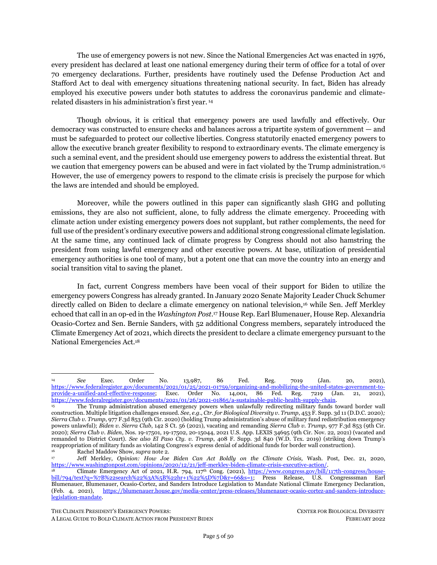damage needs in the Global South.<sup>88</sup> The administration's FY21 budget, with its \$1.2 billion for the Green Climate Fund, is not even sufficient to pay the \$2 billion still owed from Obama's initial pledge of \$3 billion for the GCF's Initial Resource Mobilization phase, much less catch up to other developed countries that, unlike the United States, have since made additional pledges to the GCF-1 Replenishment.<sup>89</sup>

The public wants and needs the president to make meaningful progress to confront the climate emergency. <sup>90</sup> The laws discussed below provide him with broad emergency executive powers to achieve substantial reductions in carbon emissions and rebuild a just and renewable economy.

THE CLIMATE PRESIDENT'S EMERGENCY POWERS: CENTER FOR BIOLOGICAL DIVERSITY

In September 2021, the U.S. promised to deliver \$11.4 billion per year in climate finance by 2024. By contrast, that amount is roughly what the Pentagon spends in about six days based off the defense appropriations for Fiscal Year 2022. The Overseas Development Institute conservatively estimated that the U.S. fair share should be \$43 billion per year, while the U.S. Fair Share NDC called for \$90 billion per year. Under any estimate, the Biden administration's pledge is woefully inadequate. *See* Action Aid, *Action Aid Reacts to Revised U.S. Climate Finance Pledge* (Sept. 21, 2021), [https://www.actionaidusa.org/news/actionaid-usa-reaction-to](https://nam02.safelinks.protection.outlook.com/?url=https%3A%2F%2Fwww.actionaidusa.org%2Fnews%2Factionaid-usa-reaction-to-revised-us-climate-finance-pledge%2F&data=04%7C01%7Cjsu%40biologicaldiversity.org%7Cf72eb5417d0f450b075308d99befc53d%7C95c0c3b8013c435ebeea2c762e78fae0%7C1%7C0%7C637712276415518083%7CUnknown%7CTWFpbGZsb3d8eyJWIjoiMC4wLjAwMDAiLCJQIjoiV2luMzIiLCJBTiI6Ik1haWwiLCJXVCI6Mn0%3D%7C1000&sdata=LsVcXPRme5o6zGsRcLo5PrXyCRB6RJDtDm9x1QCHrys%3D&reserved=0)[revised-us-climate-finance-pledge/;](https://nam02.safelinks.protection.outlook.com/?url=https%3A%2F%2Fwww.actionaidusa.org%2Fnews%2Factionaid-usa-reaction-to-revised-us-climate-finance-pledge%2F&data=04%7C01%7Cjsu%40biologicaldiversity.org%7Cf72eb5417d0f450b075308d99befc53d%7C95c0c3b8013c435ebeea2c762e78fae0%7C1%7C0%7C637712276415518083%7CUnknown%7CTWFpbGZsb3d8eyJWIjoiMC4wLjAwMDAiLCJQIjoiV2luMzIiLCJBTiI6Ik1haWwiLCJXVCI6Mn0%3D%7C1000&sdata=LsVcXPRme5o6zGsRcLo5PrXyCRB6RJDtDm9x1QCHrys%3D&reserved=0) see also Valerie Volcovici, *Biden Pledges to Double U.S. Climate Change Aid; Some Activists Unimpressed*, Reuters, Sept. 21, 2021, [https://www.reuters.com/business/environment/us-seeks-double-climate-change-aid](https://www.reuters.com/business/environment/us-seeks-double-climate-change-aid-developing-nations-biden-2021-09-21/)[developing-nations-biden-2021-09-21/.](https://www.reuters.com/business/environment/us-seeks-double-climate-change-aid-developing-nations-biden-2021-09-21/) 

<sup>89</sup> Joe Lo, *Joe Biden's \$1.2bn Budget for Green Climate Fund Falls Short of Campaigner Demands*, Climate Home News, Apr. 13, 2021, [https://www.climatechangenews.com/2021/04/13/joe-bidens-1-2bn-budget-green-climate-fund-falls-short-campaigner](https://www.climatechangenews.com/2021/04/13/joe-bidens-1-2bn-budget-green-climate-fund-falls-short-campaigner-demands/)[demands/.](https://www.climatechangenews.com/2021/04/13/joe-bidens-1-2bn-budget-green-climate-fund-falls-short-campaigner-demands/)

<sup>90</sup> Ryan Heath, *The World is on Fire and Our Leaders are Failing, Poll Finds*, Politico, Feb. 8, 2022, [https://www.politico.com/news/2022/02/08/citizens-politicians-combat-climate-change-00004590.](https://www.politico.com/news/2022/02/08/citizens-politicians-combat-climate-change-00004590)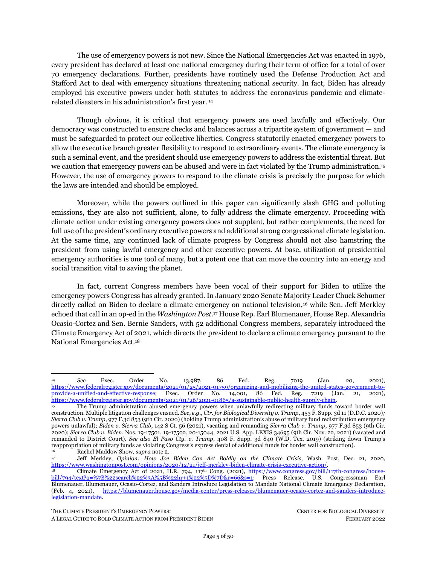# **PART 3. THE PRESIDENT'S EMERGENCY POWERS TO EFFECT BOLD CLIMATE ACTION**

<span id="page-14-0"></span>This section discusses the president's most significant powers to effect bold climate action under three statutory emergency and national defense frameworks: (1) the National Emergencies Act ("NEA"); (2) the Defense Production Act ("DPA"); and (3) the Robert T. Stafford Disaster Relief and Emergency Assistance Act ("the Stafford Act").

The first part identifies three impactful climate actions that can be triggered when the president declares a national climate emergency under the NEA: (i) banning crude oil exports pursuant to the Energy Policy Conservation Act; (ii) stopping oil and gas drilling on the Outer Continental Shelf pursuant to the Outer Continental Shelf Lands Act; and (iii) curtailing international trade and investment in fossil fuels pursuant to the International Emergency Economic Powers Act. The second part explores how Biden can marshal the Defense Production Act to command and finance domestic industry to: (i) manufacture clean energy and transportation technologies; (ii) leverage federal procurement power and other agency resources to buy those products; and (iii) allocate those goods to federal agencies, environmental justice communities and public entities. These significant DPA actions can burgeon a thriving renewable energy and transportation industrial base and generate millions of good-paying green jobs. The third part examines the president's ability, pursuant to emergency and major disaster declarations under the Stafford Act, to build resilient and distributed renewable energy systems in frontline communities vulnerable to climate change.

To note, the actions enumerated here are not exhaustive of all emergency actions that can address the climate crisis. This paper primarily focuses on actions in the energy sector because fossil fuels are the dominant driver of the climate emergency nationally and worldwide. <sup>91</sup> At the same time, conversion to a renewable energy grid brings vital benefits of not only carbon reduction but also restorative racial justice, environmental protection, and job generation.<sup>92</sup> These legal pathways, though, can be applied to other GHG emitting sectors beyond the energy system — including agriculture, deforestation and ecosystem destruction, and heavy industrial processes.

## <span id="page-14-2"></span><span id="page-14-1"></span>**I. PRESIDENTIAL POWERS UNDER THE NATIONAL EMERGENCIES ACT**

Congress enacted the National Emergencies Act of 1976, 50 U.S.C. §§ 1601-1651 ("NEA"), to empower the president to declare a national emergency "with respect to acts of Congress authoring the exercise." The Brennan Center has identified 136 statutory powers that may become available to the president upon declaration of a national emergency.<sup>93</sup> The NEA further provides a framework of congressional oversight over the president's emergency declaration and prevents those declarations from

<sup>91</sup> *Fourth National Climate Assessment, Vol. II, supra* note [26,](#page-6-3) at 39, 60 (reporting that fossil fuel combustion accounts for approximately 85% of total U.S. greenhouse gas emissions, which are " driving an increase in global surface temperatures and other widespread changes in Earth's climate that are unprecedented in the history of modern civilization.")

<sup>92</sup> *See* Jacobson et al., *supra* note 12; Shalanda Baker, *Revolutionary Power* 30 (2021); Al Weinrub & Denise Fairchild, *Energy Democracy: Advancing Equity in Clean Energy Solutions* (2017).

<sup>93</sup> Brennan Center, *A Guide to Emergency Powers and their Use* (Apr. 24, 2020), [https://www.brennancenter.org/our](https://www.brennancenter.org/our-work/research-reports/guide-emergency-powers-and-their-use)[work/research-reports/guide-emergency-powers-and-their-use.](https://www.brennancenter.org/our-work/research-reports/guide-emergency-powers-and-their-use) In contrast, the Congressional Research Service has identified 117 sections of the U.S. Code that would be triggered by a national emergency declaration. Cong. Research Serv.*,* R46379, *Emergency Authorities Under the National Emergencies Act, Stafford Act, and Public Health Service Act* (2020), [https://crsreports.congress.gov/product/pdf/R/R46379.](https://crsreports.congress.gov/product/pdf/R/R46379)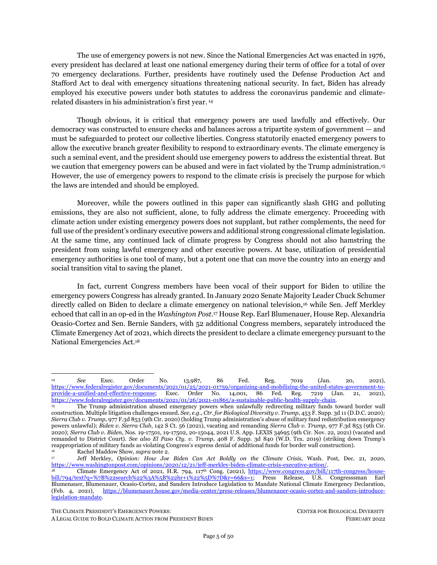continuing in perpetuity.<sup>94</sup> If triggered by the president's declaration of a national climate emergency pursuant to the NEA, the following statutory powers serve as the most significant and relevant levers to effect meaningful climate action.

The NEA does not explicitly define "national emergency" and permits wide presidential discretion for that designation. Absent a statutory definition, the plain meaning of emergency is defined as "an unforeseen combination of circumstances or the resulting state that calls for immediate action."<sup>95</sup> The climate crisis personifies the term's plain definition because, as detailed in Part 2 (I),*infra*, it is manifesting in unforeseen and intensifying harms to public health and lives, ecosystems, the economy and property, and national and global security. Moreover, climate scientists have stated that immediate action specifically, slashing greenhouse gas emissions by 45% from 2010 levels by 2030 — must be taken now to limit global warming to 1.5°C above preindustrial levels to avert climate's most catastrophic consequences.96 Accordingly, the climate crisis qualifies as an emergency under the NEA and warrants the president's national emergency declaration.

## **1. Ban Crude Oil Exports**

<span id="page-15-0"></span>The president can unilaterally ban all crude oil exports pursuant to his authorities under the NEA and the Energy Policy and Conservation Act ("EPCA"). In doing so, he can reinstate the ban on crude oil exports that was repealed in 2015, significantly curb crude oil extraction, and lower the country's greenhouse gas emissions.

### *Legal Authority*

In the 2016 Appropriations Act, 97 Congress lifted a 40-year ban on the export of crude oil that was originally enacted in the 1975 Energy Policy and Conservation Act ("EPCA") in response to the 1973 Arab oil embargo crisis. <sup>98</sup> However, Congress amended EPCA to include a safety valve for the president to stop crude oil exports in times of national emergency. Specifically, 42 U.S.C. § 6212a(d)(1)(A) provides:

(1) IN GENERAL—The President may impose export licensing requirements or other restrictions on the export of crude oil from the United States for a period of not more than 1 year if—

The NEA provides that a national emergency will end (1) automatically after one year unless the President publishes a notice of renewal in the Federal Register, (2) upon a presidential declaration ending the national emergency, or (3) if Congress enacts a joint resolution terminating the emergency (which would likely require the votes of two-thirds majorities in each house of Congress to override a presidential veto). 50 U.S.C. § 1622. In addition, NEA requires that all emergency declarations are published in the Federal Register and subject to regular reporting requirements from the President. 50 U.S.C. § 1703.<br>
Definition of "Emergency," Merriam-Webster Dictionary,

<sup>95</sup> Definition of "Emergency," Merriam-Webster Dictionary, [https://www.merriam](https://www.merriam-webster.com/dictionary/emergency#:~:text=%3A%20an%20unexpected%20and%20usually%20dangerous,emergency%20saved%20the%20baby)[webster.com/dictionary/emergency#:~:text=%3A%20an%20unexpected%20and%20usually%20dangerous,emergency%20saved%](https://www.merriam-webster.com/dictionary/emergency#:~:text=%3A%20an%20unexpected%20and%20usually%20dangerous,emergency%20saved%20the%20baby) [20the%20baby's%20life.](https://www.merriam-webster.com/dictionary/emergency#:~:text=%3A%20an%20unexpected%20and%20usually%20dangerous,emergency%20saved%20the%20baby)

<sup>96</sup> Joeri Rogelj et al., *Mitigation Pathways Compatible with 1.5°C in the Context of Sustainable Development*, *In:* Global Warming of 1.5°C, An IPCC Special Report on the Impacts of Global Warming Of 1.5°C Above Pre-Industrial Levels and Related Global Greenhouse Gas Emission Pathways, in the Context of Strengthening the Global Response to the Threat of Climate Change, Sustainable Development, and Efforts to Eradicate Poverty (2018),<https://www.ipcc.ch/sr15/> at 95, Figure 2.5, Figure 2.6, *see also* Intergovernmental Panel on Climate Change, *Summary for Policymakers, In:* Global Warming of 1.5°C, An IPCC Special Report on the Impacts of Global Warming Of 1.5°C Above Pre-Industrial Levels and Related Global Greenhouse Gas Emission Pathways, in the Context of Strengthening the Global Response to the Threat of Climate Change, Sustainable Development, and Efforts to Eradicate Poverty (2018),<https://www.ipcc.ch/sr15/> at 12-14; Intergovernmental Panel on Climate Change, *supra* note [44,](#page-8-0) *Summary for Policymakers*, at Table 1, 1-52, 1-53; United Nations Environment Programme, *Emissions Gap Report 2021: The Heat Is On – A World of Climate Promises Not Yet Delivered* (2021)[, https://www.unep.org/resources/emissions-gap-report-2021.](https://www.unep.org/resources/emissions-gap-report-2021)

Consolidated Appropriations Act, 2016, Pub. L. No. 114-113, [https://www.congress.gov/114/plaws/publ113/PLAW-](https://www.congress.gov/114/plaws/publ113/PLAW-114publ113.pdf)[114publ113.pdf.](https://www.congress.gov/114/plaws/publ113/PLAW-114publ113.pdf) 

<sup>98</sup> 42 U.S.C. § 6212a. In response to the 1973 Arab oil embargo crisis, Congress passed EPCA to, among other things, prohibit the export of crude oil and natural gas from the United States with the purpose of conserving national energy supplies and reducing the impact of energy supply disruptions. 42 U.S.C. §6201.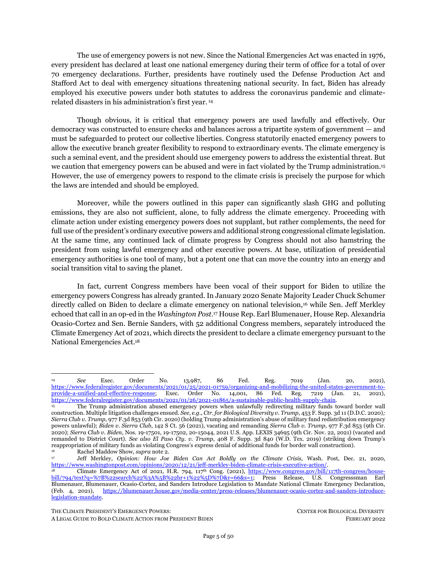<span id="page-16-0"></span>(A) the President declares a national emergency and formally notices the declaration of a national emergency in the Federal Register;

Further, 42 U.S.C. § 6212a(d)(2) provides that any such imposed restriction on crude oil exports "may be renewed for 1 or more additional periods of not more than 1 year each," allowing the president to reinstate the crude oil export ban on a year-by-year basis as consistent with other emergency declarations under the NEA.

### *Application to Climate Action: Halt Crude Oil Exports*

The president can declare a climate emergency and reinstate the crude oil export ban pursuant to the NEA and EPCA. No president has yet declared a national climate emergency and triggered 42 U.S.C. § 6212a(d)(1)(A) to reimpose the crude oil export ban.

<span id="page-16-1"></span>However, in the six years that have passed since the export ban was lifted, crude oil exports have exacerbated the climate emergency. Crude oil exports have skyrocketed, increasing by approximately 750% since the export ban was lifted, and now averaging 3 million barrels per day.<sup>99</sup> More than one-quarter of U.S crude production is now exported.<sup>100</sup> This surge in exported crude oil has been supplied almost entirely by a corresponding increase in U.S. oil production — which has risen by 20 to 30% since 2015 — incentivized by lifting the export ban.<sup>101</sup> Reinstating the crude oil export ban could cut global emissions by up to 165 million metric tons of CO2-equivalent each year, comparable to closing 42 coal plants, making this action a key piece of fighting the climate emergency.<sup>102</sup>

The harms from greatly bolstered oil production and export due to the ban's repeal are felt not only in the global climate, but also in the country's own land, air and communities. The ban's repeal has unleashed devastating effects on U.S. land, with the footprint of new well pads and related infrastructure consuming upwards of 2,000 square miles over 15 years.<sup>103</sup> Moreover, as the majority of new wells are being developed through unconventional, ultra-hazardous hydraulic fracturing ("fracking"), American communities are experiencing increased toxic air pollution, drinking water contamination, decimation of wildlife habitat, risk of explosions from "bomb trains" and spills from pipelines carrying crude oil crosscountry, and surges in earthquakes like those caused by the oil industry in Oklahoma.

There is broad public support for the ban on crude oil exports. Prior to the Obama administration's lift of the ban, polling showed wide popular support for continued restrictions on crude oil exports.<sup>104</sup> In

<sup>99</sup> Oil Change Int'l & Greenpeace, *Policy Briefing: Carbon Impacts of Reinstating the U.S. Crude Export Ban* (2020), [http://priceofoil.org/2020/01/28/crude-export-ban-carbon;](http://priceofoil.org/2020/01/28/crude-export-ban-carbon) U.S. Energy Info. Admin., *Petroleum & Other Liquids: Data - Exports*, [https://www.eia.gov/dnav/pet/pet\\_move\\_exp\\_dc\\_NUS-Z00\\_mbblpd\\_m.htm](https://www.eia.gov/dnav/pet/pet_move_exp_dc_NUS-Z00_mbblpd_m.htm) (last visited February 2, 2022) [hereinafter U.S. E.I.A., *Petroleum & Other Liquids: Data – Exports*].

In 2020, 29% of U.S. crude production was exported, and 26% was exported in 2021. Monthly U.S. crude production was sourced from U.S. Energy Info. Admin, *Petroleum & Other Liquids: Data – Crude Oil Production*, [https://www.eia.gov/dnav/pet/pet\\_crd\\_crpdn\\_adc\\_mbbl\\_m.htm](https://www.eia.gov/dnav/pet/pet_crd_crpdn_adc_mbbl_m.htm) (last visited February 2, 2022) [hereinafter U.S. E.I.A., *Petroleum & Other Liquids: Data – Crude Oil Production*]. Monthly U.S. crude exports were sourced from U.S. E.I.A., *Petroleum & Other Liquids: Data – Exports, supra* not[e 99.](#page-16-0)

<sup>101</sup> Government Accountability Office, GAO-21-118, *Crude Oil Markets: Effects of the Repeal of the Crude Oil Export Ban* (2020), [https://www.gao.gov/products/GAO-21-118;](https://www.gao.gov/products/GAO-21-118) Compared with 2015, U.S. crude oil production was 30% higher in 2019 and 20% higher in 2020 and 2021. U.S. crude oil production data sourced from U.S. E.I.A., *Petroleum & Other Liquids: Data – Crude Oil Production, supra* not[e 100.](#page-16-1)

<sup>102</sup> Oil Change Int'l & Greenpeace, *supra* not[e 99.](#page-16-0)

<sup>&</sup>lt;sup>103</sup> Matt Lee-Ashley & Alison Cassady, *The Environmental Impacts of Exporting More American Crude Oil, Ctr. for American* Progress (Aug. 21, 2015), [https://www.americanprogress.org/issues/green/news/2015/08/21/119756/the-environmental-impacts](https://www.americanprogress.org/issues/green/news/2015/08/21/119756/the-environmental-impacts-of-exporting-more-american-crude-oil/)[of-exporting-more-american-crude-oil/.](https://www.americanprogress.org/issues/green/news/2015/08/21/119756/the-environmental-impacts-of-exporting-more-american-crude-oil/)

<sup>104</sup> Selam Gebrekidan, *Americans Choose Savings at the Pump over Oil Exports: Reuters/Ipsos Poll*, Reuters, Mar. 20, 2014, [https://www.reuters.com/article/us-usa-energy-exports/americans-choose-savings-at-the-pump-over-oil-exports-reuters-ipsos](https://www.reuters.com/article/us-usa-energy-exports/americans-choose-savings-at-the-pump-over-oil-exports-reuters-ipsos-poll-idUSBREA2J1TT20140320)[poll-idUSBREA2J1TT20140320.](https://www.reuters.com/article/us-usa-energy-exports/americans-choose-savings-at-the-pump-over-oil-exports-reuters-ipsos-poll-idUSBREA2J1TT20140320)

THE CLIMATE PRESIDENT'S EMERGENCY POWERS: CENTER FOR BIOLOGICAL DIVERSITY

A LEGAL GUIDE TO BOLD CLIMATE ACTION FROM PRESIDENT BIDEN FEBRUARY 2022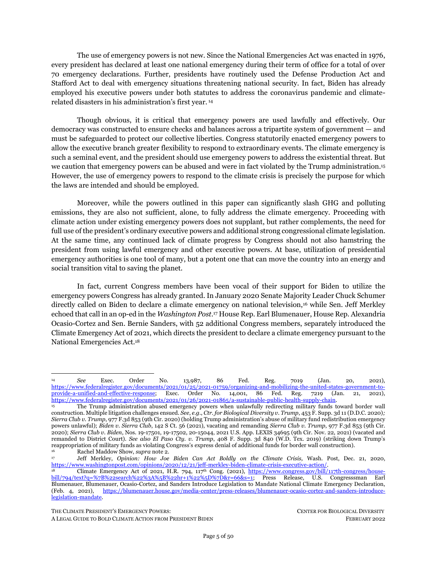April 2016, 350 organizations petitioned Obama to reinstate the crude oil export ban using these emergency powers.<sup>105</sup> Similarly, launched in 2020, the Build Back Fossil Free Campaign, comprised of 750 organizations, urged Biden to ban crude oil exports. 106

<span id="page-17-0"></span>The climate emergency is a national emergency. In light of the substantial contribution of crude oil exports to greenhouse gas emissions and the grave domestic harms associated with crude oil export infrastructure, Biden should unilaterally reinstate the ban on crude oil exports.

## **2. Stop Oil and Gas Drilling on the Outer Continental Shelf**

A national climate emergency declaration provides the president with one of several pathways to phase out offshore drilling, another significant contributor to the climate crisis. The Outer Continental Shelf Lands Act ("OCSLA") establishes a framework for the disposition and management of potential oil and gas resources on the Outer Continental Shelf ("OCS").<sup>107</sup> By declaring a national climate emergency under the NEA, the president triggers Section 12(c) of OSCLA, which provides that the secretary of the U.S. Department of the Interior (upon recommendation from the secretary of Defense) can suspend operations on any offshore lease during a state of national emergency declared by the president. <sup>108</sup> This executive action can help promote the end to the pollution and destruction caused by offshore oil extraction and curb the country's greenhouse gas emissions.

### *Legal Authority*

OCSLA establishes a framework under which the secretary of the Interior may lease areas of the OCS for purposes of exploring and developing the oil and gas deposits of the OCS's submerged lands.<sup>109</sup> It also provides for the protection of the environment from these activities. In particular, OCSLA directs that offshore oil and gas operations shall be "subject to environmental safeguards," consistent with "national needs," and be conducted so as to "prevent or minimize . . . damage to the environment."<sup>110</sup> OCSLA also specifically requires that offshore oil development be balanced "with protection of the human, marine, and coastal environments."<sup>111</sup>

In amending OCSLA in 1978, Congress recognized that offshore oil and gas development was more of a stopgap measure than a long-term solution to the nation's energy needs:

Development of our OCS resources will afford us needed time — as much as a generation — within which to develop alternative sources of energy before the inevitable exhaustion of the world's

<sup>105</sup> Ctr. for Bio. Diversity et al., *Before the President of the United States: Petition for the Declaration of a National Emergency Addressing Climate Change and the Consequent Prohibition of United States Crude Oil* (2016), [https://www.biologicaldiversity.org/programs/climate\\_law\\_institute/energy\\_and\\_global\\_warming/pdfs/National\\_Climate\\_Emer](https://www.biologicaldiversity.org/programs/climate_law_institute/energy_and_global_warming/pdfs/National_Climate_Emergency_Petition_4-20-16.pdf) [gency\\_Petition\\_4-20-16.pdf;](https://www.biologicaldiversity.org/programs/climate_law_institute/energy_and_global_warming/pdfs/National_Climate_Emergency_Petition_4-20-16.pdf) Jean Su, Ctr. for Bio. Diversity, *Before the President of the United States: Addendum to Petition: Legal, Factual, and Scientific Basis and Justification for the Presidential Declaration of a National Emergency Addressing Climate Change and the Consequent Prohibition of U.S. Crude Oil Exports* (2016), [https://www.biologicaldiversity.org/programs/climate\\_law\\_institute/energy\\_and\\_global\\_warming/pdfs/ADDENDUM\\_to\\_Nation](https://www.biologicaldiversity.org/programs/climate_law_institute/energy_and_global_warming/pdfs/ADDENDUM_to_National_Climate_Emergency_Petition_4-20-16.pdf) al\_Climate\_Emergency\_Petition\_4-20-16.pdf.

<sup>&</sup>lt;sup>106</sup> Build Back Fossil Free,  $\frac{https://buildbackfossilfree.org/}{107}$  (last visited Feb. 9, 2022).

<sup>107</sup> *See* 43 U.S.C. § 1332.<br>108 *Id §* 1241(c)

<sup>108</sup> *Id*. § 1341(c).

<sup>109</sup> 43 U.S.C. §§ 1331, *et seq*.

<sup>110</sup> *Id.* § 1332(3), (6).

 $111$  *Id.* § 1802(2).

THE CLIMATE PRESIDENT'S EMERGENCY POWERS: CENTER FOR BIOLOGICAL DIVERSITY A LEGAL GUIDE TO BOLD CLIMATE ACTION FROM PRESIDENT BIDEN FEBRUARY 2022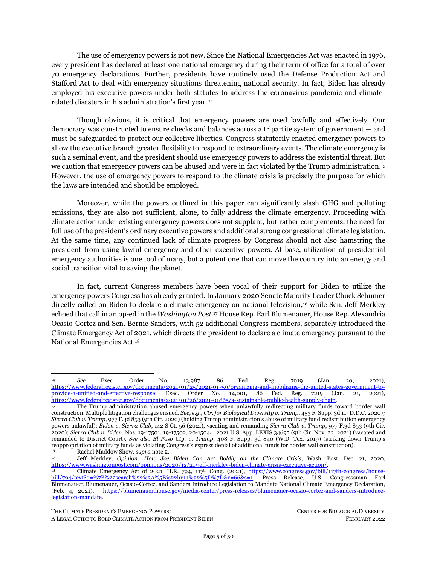traditional supply of fossil fuels. It will provide time to bring on-line, and improve energy technologies dealing with, solar, geothermal, . . . and other energy forms.<sup>112</sup>

In keeping with these goals, OCSLA contains multiple provisions under which the executive branch can restrict offshore drilling activities without the need for an emergency declaration. <sup>113</sup> Indeed, the president and the secretary of the Interior have many tools to end offshore oil and gas leasing and drilling without the need for an emergency declaration, but the president can supplement this authority by declaring a climate emergency.

In particular, Section 12(c) contains a "[n]ational security clause." This clause specifies that any offshore oil and gas lease issued under OCSLA "shall contain or be construed to contain a provision whereby authority is vested in the Secretary [of the Interior], upon a recommendation of the Secretary of Defense, during a state of war or national emergency declared by the Congress or the President of the United States . . . *to suspend operations under any lease*."<sup>114</sup>

### *Application to Climate Action: Halt Offshore Drilling*

Pursuant to past lease sales issued under OCSLA in the nearly seven decades since the statute's enactment, there are currently more than 11 million acres of federal waters subject to active oil and gas leases, including more than 10.7 million acres of the Gulf of Mexico; over 152,500 acres of the Pacific Ocean; over 79,300 acres of the Arctic Ocean; and over 76,600 acres of Cook Inlet.<sup>115</sup> Indeed, since the first offshore oil and gas lease sale in 1954, the federal government has offered over *2.8 billion acres* of our offshore waters through lease sales.<sup>116</sup>

While the Department of the Interior has never properly examined the true cumulative climate impacts of all offshore oil and gas leases, the best available science indicates that offshore oil and gas leasing and drilling has exacerbated, and continues to exacerbate, the climate emergency.<sup>117</sup> By declaring a national climate emergency under the NEA, the president can direct the secretary of the Interior to suspend all operations of offshore leases under Section 12(c) of the Act.

<sup>112</sup> H.R. Rep. No. 95-590, at 53 (1977). Notably, a generation typically comprises of 20-30 years, thereby expiring the need for offshore drilling in our current time period per Congress's acknowledgment in 1978.

See, e.g., 43 U.S.C. § 1341(a) (vesting the President with the authority to withdraw federal waters from availability for future oil and gas leasing); *id.* § 1334(g) (requiring lessees to produce oil at a rate consistent with any order issued by the President); *id.* §§ 1340(c)(1), 1334(a)(2)(A)(i) (requiring Interior to reject exploratory drilling plan if it "would probably cause serious harm or damage to life (including fish and other aquatic life), to property, to any mineral (in areas leased or not leased), to the national security or defense, or to the marine, coastal, or human environment" and the "activity cannot be modified to avoid such condition.").

Id. § 1341(c). The clause also provides for "the payment of just compensation to the lessee whose operations are thus suspended." *Id*. While it does not specify how such compensation should be calculated, other sections of OCSLA specify how to calculate compensation for cancelling a lease sale. These provisions mandate that such calculations include "costs, including cleanup costs and damages in the case of an oil spill costs," *id.* § 1334(a)(2)(C), indicating that any consideration of compensation should include of environmental costs, such as the social cost of carbon.<br><sup>115</sup> Bureau of Ocean Energy Mgmt., *Combined* 

<sup>115</sup> Bureau of Ocean Energy Mgmt., *Combined Leasing Report as of Feb. 1, 2022*, [https://www.boem.gov/sites/default/files/documents/oil-gas-energy/Lease%20stats%202-1-22.pdf.](https://www.boem.gov/sites/default/files/documents/oil-gas-energy/Lease%20stats%202-1-22.pdf) 

<sup>116</sup> Bureau of Ocean Energy Mgmt., *Table 1. All Lease Offerings*[, https://www.boem.gov/sites/default/files/documents/about](https://www.boem.gov/sites/default/files/documents/about-boem/Table%201%20SwilerTable%2024FEB2021.pdf)[boem/Table%201%20SwilerTable%2024FEB2021.pdf](https://www.boem.gov/sites/default/files/documents/about-boem/Table%201%20SwilerTable%2024FEB2021.pdf) (updated Nov. 18, 2020).

<sup>117</sup> A D.C. District Court judge recently vacated Lease Sale 257 in the Gulf of Mexico – the largest oil and gas lease sale in U.S. history. *Friends of the Earth v. Haaland*, No. 21-2317-RC, 2022 U.S. Dist. LEXIS 15172, at \*29-54 (D.D.C. Jan. 27, 2022). The court invalidated the lease sale after determining that the administration arbitrarily failed to consider the full effects of the lease sale on climate change. *Id.*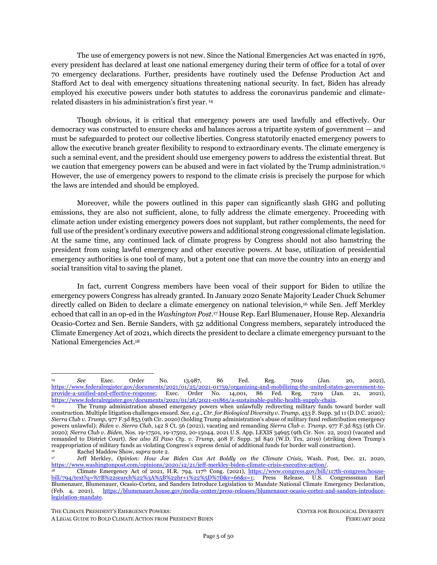### <span id="page-19-2"></span><span id="page-19-1"></span>*The U.S.'s (and World's) Production Gap: Why Climate Action Starts With Keeping Fossil Fuels in the Ground*

Three-quarters of global greenhouse emissions and 85% of U.S. greenhouse pollution comes from fossil fuels.<sup>118</sup> An overwhelming scientific consensus has concluded that new fossil fuel production and infrastructure must be halted and much existing production must be phased out to limit global temperature rise to 1.5°C and avoid catastrophic damage throughout the country and the world.<sup>119</sup> The oil and gas fields and coal mines already in development contain enough carbon to exceed a 1.5°C limit.<sup>120</sup> Unfortunately, fossil fuel producers currently plan to extract more than twice as much fossil fuels by 2030 than can be burned and still limit warming to  $1.5^{\circ}C$ .<sup>121</sup> This discrepancy is known as the "production gap." In order to keep within the 1.5°C limit, the world's fossil fuel production must decrease by roughly six percent per year between 2020 and 2030.<sup>122</sup> Most developed oil and gas fields and coal mines must be shut down before their reserves are fully depleted to keep warming to below  $1.5^{\circ}C.123$ 

The United States is the world's largest oil and gas producer, second largest coal producer, and a dominant driver of global fossil fuel expansion.<sup>124</sup> Without major shifts in policy, U.S. production of both oil and gas is projected to increase more than twice as much as any other country's by 2030.<sup>125</sup> In total the U.S. fossil fuel industry is on track to account for 60% of the world's projected growth in oil and gas production this decade.<sup>126</sup> If global fossil fuel expansion is not immediately halted, it will be impossible to limit temperature rise to 1.5°C and preserve a livable planet.

## **3. Curtail International Trade and Investment in Fossil Fuels**

<span id="page-19-0"></span>President Biden can restrict fossil fuel trade and curb investment in fossil fuel infrastructure abroad pursuant to his powers under NEA and the International Emergency Economic Powers Act ("IEEPA"). IEEPA grants the president broad authority to regulate economic transactions to address a threat that occurs substantially outside the country's boundaries, <sup>127</sup> which the climate emergency does. <sup>128</sup> Because

<sup>118</sup> *Fourth National Climate Assessment, Vol. II, supra* note [26,](#page-6-3) at 60.

<sup>119</sup> Oil Change Int'l*, The Sky's Limit: Why the Paris Climate Goals Require a Managed Decline of Fossil Fuel Production* (2016),<http://priceofoil.org/2016/09/22/the-skys-limit-report/> [hereinafter Oil Change Int'l, *The Sky's Limit*]; Oil Change Int'l, *Drilling Toward Disaster: Why U.S. Oil and Gas Expansion Is Incompatible with Climate Limits* (2019), <http://priceofoil.org/drilling-towards-disaster> [hereinafter Oil Change Int'l, *Drilling Toward Disaster*]; Ploy Achakulwisut & Peter Erickson, *Trends in Fossil Fuel Extraction: Implications for a Shared Effort to Align Global Fossil Fuel Production with Climate Limits* (Stockholm Env't Inst., Working Paper, 2021)[, www.sei.org/publications/trends-in-fossil-fuel-extraction/;](http://www.sei.org/publications/trends-in-fossil-fuel-extraction/) Sven Teske & Sarah Niklas, *Fossil Fuel Exit Strategy: An Orderly Wind Down of Coal, Oil and Gas to Meet the Paris Agreement* (2021), [https://fossilfueltreaty.org/exit-strategy.](https://fossilfueltreaty.org/exit-strategy)<br>
oil Change Int'l The Sku's Lim

<sup>120</sup> Oil Change Int'l, *The Sky's Limit, supra* note [119;](#page-19-1) Oil Change Int'l, *Drilling Toward Disaster, supra* not[e 119.](#page-19-1)

<sup>121</sup> SEI, IISD, ODI, E3G, and UNEP, *The Production Gap Report: 2020 Special Report* (2020),<http://productiongap.org/> [hereinafter SEI, IISD, ODI, E3G, and UNEP, *The Production Gap Report 2020*]; SEI, IISD, ODI, E3G, and UNEP, *The Production Gap Report 2021* (2021)[, http://productiongap.org/2021report](http://productiongap.org/2021report) [hereinafter SEI, IISD, ODI, E3G, and UNEP, *The Production Gap Report 2021*].

<sup>122</sup> SEI, IISD, ODI, E3G, and UNEP, *The Production Gap Report 2020, supra* note [121;](#page-19-2) SEI, IISD, ODI, E3G, and UNEP, *The Production Gap Report 2021, supra* not[e 121.](#page-19-2)

<sup>123</sup> Oil Change Int'l, *The Sky's Limit, supra* note [119;](#page-19-1) Oil Change Int'l, *Drilling Toward Disaster, supra* not[e 119.](#page-19-1)

<sup>124</sup> SEI, IISD, ODI, E3G, and UNEP, *The Production Gap Report 2021, supra* not[e 121,](#page-19-2) at Table 4.1.

Achakulwisut & Erickson, *supra* not[e 119](#page-19-1) at Figure 3.

<sup>126</sup> Oil Change Int'l, *Drilling Toward Disaster, supra* not[e 119.](#page-19-1)

<sup>&</sup>lt;sup>127</sup> 50 U.S.C.  $\S$  51701, 1702.<br>
<sup>128</sup> Clobal Carbon

<sup>128</sup> Global Carbon Project, *Global Carbon Budget 2021* (2021) at 19-20, [https://www.globalcarbonproject.org/carbonbudget/21/files/GCP\\_CarbonBudget\\_2021.pdf.](https://www.globalcarbonproject.org/carbonbudget/21/files/GCP_CarbonBudget_2021.pdf)

THE CLIMATE PRESIDENT'S EMERGENCY POWERS: CENTER FOR BIOLOGICAL DIVERSITY

A LEGAL GUIDE TO BOLD CLIMATE ACTION FROM PRESIDENT BIDEN FEBRUARY 2022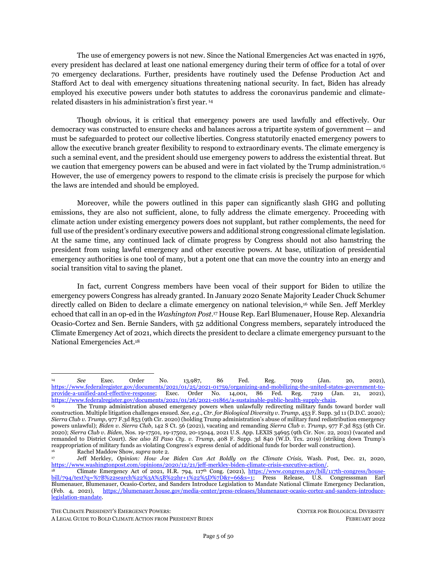fossil fuels are the primary driver of the global climate emergency, climate science mandates that over time all fossil fuel production, export and import must fall to zero. The president can use his IEEPA powers to restrict fossil fuel imports, exports, and international investment to meet these decarbonization goals.

### *Legal Authority*

IEEPA authorizes the president to regulate a variety of economic transactions to address "any unusual and extraordinary threat, which has its source in whole or substantial part outside the United States, to the national security, foreign policy, or economy of the United States."<sup>129</sup> Exercising this authority requires him to first declare a national emergency under the NEA with respect to the identified threat.<sup>130</sup>

Once a national emergency is declared, IEEPA provides the president with powers regarding financial transactions that can address the identified threat. Most relevant here is his authority to prohibit the importation or exportation of any property, subject to U.S. jurisdiction, to address the identified threat. Specifically, the president may:

investigate, block during the pendency of an investigation, regulate, direct and compel, nullify, void, *prevent or prohibit*, any acquisition, holding, withholding, use, transfer, withdrawal, transportation, *importation or exportation of*, or dealing in, or exercising any right, power, or privilege with respect to, or transactions involving, any property in which any foreign country or a national thereof has any interest by any person, or with respect to any property, subject to the jurisdiction of the United States.  $\cdots^{131}$ 

Additionally, the president can prohibit financial transactions to address the identified threat. Specifically, he may:

investigate, regulate, or prohibit—

(i) any transactions in foreign exchange,

(ii) transfers of credit or payments between, by, through, or to any banking institution, to the extent that such transfers or payments involve any interest of any foreign country or a national thereof,

(iii) the importing or exporting of currency or securities, by any person, or with respect to any property, subject to the jurisdiction of the United States; <sup>132</sup>

Presidents have used IEEPA authorities routinely; <sup>133</sup> in fact, the vast majority of emergencies declared under the NEA has relied on IEEPA powers. <sup>134</sup> Since the statute's passage in 1977, IEEPA has been invoked at least 65 times to address issues including global weapons proliferation, human rights abuses, terrorism, and U.S. election interference. 135

THE CLIMATE PRESIDENT'S EMERGENCY POWERS: CENTER FOR BIOLOGICAL DIVERSITY

 $129$  50 U.S.C. § 1701 (a).

 $130 \t\t Id.$ <br> $131 \t\t 50$ <sup>131</sup> 50 U.S.C. § 1702(a)(1)(B) (emphasis added).

<sup>&</sup>lt;sup>132</sup> 50 U.S.C. § 1702(a)(1)(A).<br><sup>133</sup> The president's IEEPA act

<sup>133</sup> The president's IEEPA actions can take the form of regulations, instructions, and revocation of licenses and are generally administered by the Treasury Department's Office of Foreign Assets Control. 50 U.S.C. § 1702(a).

<sup>134</sup> Andrew Boyle, Brennan Center for Justice, *Checking the President's Sanction Powers* (2021), [https://www.brennancenter.org/sites/default/files/2021-06/BCJ-128%20IEEPA%20report.pdf.](https://www.brennancenter.org/sites/default/files/2021-06/BCJ-128%20IEEPA%20report.pdf) 

<sup>135</sup> Id. See also Cong. Research Serv., R45618, *The International Emergency Economic Powers Act: Origins, Evolution, and Use* (2020), <https://crsreports.congress.gov/product/pdf/R/R45618> at 17, 20. See Exec. Order No. 12,735, 55 Fed. Reg. 48587 (Nov. 16, 1990); Exec. Order No. 13,224, 3 C.F.R. 13224 (2002); Exec. Order No. 13,694, 3 C.F.R. 13694 (2016); Exec. Order No. 13,757, 3 C.F.R. 13757 (2017); Exec. Order No. 13,848, 83 Fed. Reg. 46843 (Sept. 12, 2018); Exec. Order No. 13,873, 3 C.F.R. 13873 (2020).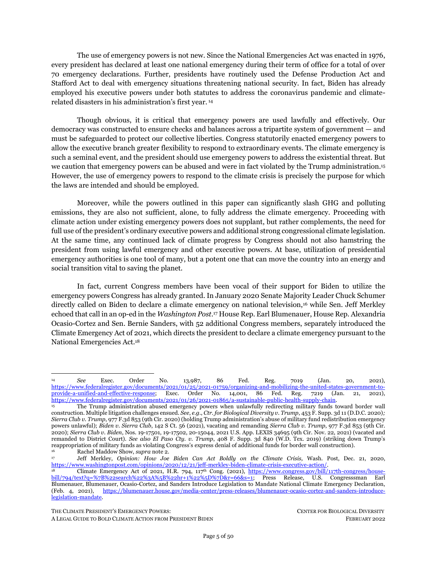### *Application to Climate Action: Curtail International Trade and Investment in Fossil Fuels*

IEEPA grants the president broad authority to regulate business transactions necessary to address core threats to the United States that originate substantially outside of the country. As discussed in Part 2(I), *infra*, the climate emergency poses an extraordinary threat to the country's national security and economy. The climate emergency also originates in "substantial part" outside of the United States because, even though the country is the largest historical emitter and the second highest current emitter, its total contribution is 25.1% of global carbon dioxide emissions resulting from fossil fuels. <sup>136</sup> The remaining threequarters derive from outside the United States. The following three actions concerning fossil fuels serve to substantially curb fossil fuel production and combustion.

### <span id="page-21-0"></span>**A. Prohibit the Export of Oil, Petcoke, Coal, and Gas**

The United States exports significant amounts of fossil fuels that, when extracted and combusted, increase climate pollution and exacerbate the climate emergency. Restricting U.S. fossil fuel exports helps mitigate climate pollution and thus warrants the president's use of his IEEPA emergency powers to "prohibit" the "exportation" of fossil fuel exports to address the climate emergency.<sup>137</sup>

<span id="page-21-1"></span>In 2020 the United States became a net annual petroleum exporter for the first time since at least 1949. <sup>138</sup> U.S. petroleum exports in 2020 exceeded 3.1 billion barrels, including 1.2 billion barrels of crude oil and 1.9 billion barrels of refined petroleum products such as liquified petroleum gases and fuel oils.<sup>139</sup> Notably, the United States is the world's largest exporter of petcoke,<sup>140</sup> an extremely toxic byproduct of refining crude oil, especially heavy crude like Canadian tar sands. Petcoke emits more carbon dioxide than coal when burned.<sup>141</sup> Produced during refining operations, petcoke is exported from the United States to places like Mexico, Japan, Indian, Canada and China to be burned.<sup>142</sup> In 2020 the United States exported about 190 million barrels of petcoke<sup>143</sup>; if burned, those barrels would produce 121 million metric tons CO2equivalent each year.<sup>144</sup> With respect to coal, the United States exported approximately 69 million metric short tons in  $2020 -$  about 13% of U.S. coal production.<sup>145</sup>

<span id="page-21-2"></span>Additionally, U.S. fossil gas exports are growing aggressively, particularly through a surge in shipping liquified gas ("LNG") to global markets but also via pipeline transport to Mexico and Canada.<sup>146</sup> U.S. gas exports have tripled since 2016, when the first U.S. LNG terminal started exporting.<sup>147</sup> In 2020 the

<sup>136</sup> Pierre Friedlingstein et al, *Global Carbon Budget 2021*, Earth System Science Data (2021)[, https://doi.org/10.5194/essd-](https://nam02.safelinks.protection.outlook.com/?url=https%3A%2F%2Fdoi.org%2F10.5194%2Fessd-2021-386&data=04%7C01%7Cjsu%40biologicaldiversity.org%7Caae17b24bd6a43739a3608d9dfd60dd8%7C95c0c3b8013c435ebeea2c762e78fae0%7C1%7C0%7C637786933113365339%7CUnknown%7CTWFpbGZsb3d8eyJWIjoiMC4wLjAwMDAiLCJQIjoiV2luMzIiLCJBTiI6Ik1haWwiLCJXVCI6Mn0%3D%7C1000&sdata=SmN8B0EMSCAeCEs4yld90YBAD7NRMFI2%2FI4LX8Tz3SU%3D&reserved=0)[2021-386.](https://nam02.safelinks.protection.outlook.com/?url=https%3A%2F%2Fdoi.org%2F10.5194%2Fessd-2021-386&data=04%7C01%7Cjsu%40biologicaldiversity.org%7Caae17b24bd6a43739a3608d9dfd60dd8%7C95c0c3b8013c435ebeea2c762e78fae0%7C1%7C0%7C637786933113365339%7CUnknown%7CTWFpbGZsb3d8eyJWIjoiMC4wLjAwMDAiLCJQIjoiV2luMzIiLCJBTiI6Ik1haWwiLCJXVCI6Mn0%3D%7C1000&sdata=SmN8B0EMSCAeCEs4yld90YBAD7NRMFI2%2FI4LX8Tz3SU%3D&reserved=0)

<sup>&</sup>lt;sup>137</sup> 50 U.S.C. § 1702(a)(1)(B) (emphasis added).<br><sup>138</sup> II.S. Energy Info. Admin *Oil and Pet* 

<sup>138</sup> U.S. Energy Info. Admin., *Oil and Petroleum Exports Explained*, [https://www.eia.gov/energyexplained/oil-and](https://www.eia.gov/energyexplained/oil-and-petroleum-products/imports-and-exports.php)[petroleum-products/imports-and-exports.php](https://www.eia.gov/energyexplained/oil-and-petroleum-products/imports-and-exports.php) (last updated Apr. 13, 2021).

<sup>139</sup> U.S. E.I.A., *Petroleum & Other Liquids: Data – Exports, supra* not[e 99.](#page-16-0)

<sup>140</sup> *Petroleum Coke in United States*, Observatory of Economic Complexity, [https://oec.world/en/profile/bilateral](https://oec.world/en/profile/bilateral-product/petroleum-coke/reporter/usa?redirect=true)[product/petroleum-coke/reporter/usa?redirect=true](https://oec.world/en/profile/bilateral-product/petroleum-coke/reporter/usa?redirect=true) (last visited Feb. 9, 2022).

<sup>141</sup> Petroleum coke produces more CO2, CH4, and N2 O per short ton than coal when combusted. U.S. Env't Protection Agency, *Emissions Factors for Greenhouse Gas Inventories*, [https://www.epa.gov/sites/default/files/2021-04/documents/emission](https://www.epa.gov/sites/default/files/2021-04/documents/emission-factors_apr2021.pdf)[factors\\_apr2021.pdf](https://www.epa.gov/sites/default/files/2021-04/documents/emission-factors_apr2021.pdf) (last modified Apr. 1, 2021).

<sup>142</sup> *Petroleum Coke in United States*, *supra* not[e 140.](#page-21-0)

<sup>143</sup> U.S. Energy Info. Admin., *Petroleum & Other Liquids: Data – U.S. Exports of Petroleum Coke,*  <https://www.eia.gov/dnav/pet/hist/LeafHandler.ashx?n=pet&s=mckexus1&f=a> (last visited Feb.10, 2022).

<sup>144</sup> Emissions calculations for petcoke are based on U.S. EPA emissions factors (U.S. Env't Protection Agency, *supra* not[e 141\)](#page-21-1) and the U.S. EIA conversion factor of 5 barrels of petcoke per short ton (U.S. Energy Info. Admin., *Petroleum & Other Liquids: Data – Definitions, Sources and Explanatory Notes,* [https://www.eia.gov/dnav/pet/TblDefs/pet\\_pnp\\_refp\\_tbldef2.asp](https://www.eia.gov/dnav/pet/TblDefs/pet_pnp_refp_tbldef2.asp) (last visited Feb. 10, 2022)).

<sup>145</sup> U.S. Energy Info. Admin., *Coal explained: Coal Imports and Exports*[, https://www.eia.gov/energyexplained/coal/imports](https://www.eia.gov/energyexplained/coal/imports-and-exports.php)[and-exports.php](https://www.eia.gov/energyexplained/coal/imports-and-exports.php) (last updated May 27, 2021).

<sup>0</sup>il Change Int'l, Permian Climate Bomb (2021)[, https://www.permianclimatebomb.org/](https://www.permianclimatebomb.org/) (last visited Feb. 10, 2022). <sup>147</sup> *Id.*

THE CLIMATE PRESIDENT'S EMERGENCY POWERS: CENTER FOR BIOLOGICAL DIVERSITY

A LEGAL GUIDE TO BOLD CLIMATE ACTION FROM PRESIDENT BIDEN FEBRUARY 2022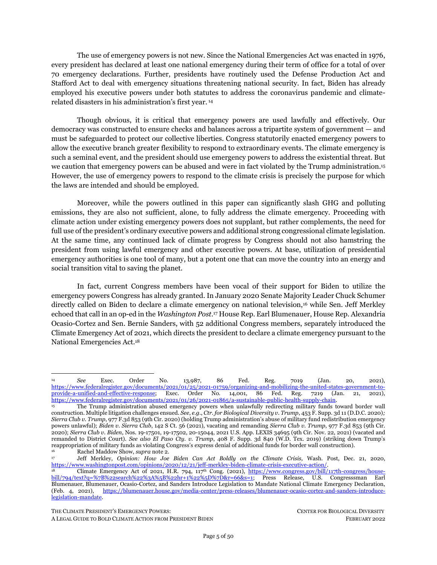United States exported 16% of its gas production,<sup>148</sup> totaling 5.3 trillion cubic feet<sup>149</sup> that, when burned, emits the annual carbon pollution of 73 coal-fired power plants. Gulf Coast communities particularly have been hit hard by the proliferation of LNG terminals and the pollution and safety risks they bring, with four terminals already operating, two under construction, and up to 18 more proposed.<sup>150</sup>

<span id="page-22-0"></span>The surge in U.S. fossil fuel exports comes largely from the exponentially growing extraction of the Permian Basin, effectively the largest carbon bomb on the planet, which covers 6,000 square miles in west Texas and Southeast New Mexico.<sup>151</sup> Burning all the oil, gas, and gas liquids projected to be produced in the Permian Basin between 2021 and 2050 would emit 46 billion metric tons of carbon dioxide.<sup>152</sup> This is equivalent to the annual emissions of 400 typical U.S. coal plants over the 31-year period — roughly 10% of the world's remaining carbon budget under a 1.5° scenario.<sup>153</sup>

<span id="page-22-1"></span>The president should use his IEEPA authorities to sanction entities and individuals attempting to export U.S.-produced fossil fuels.<sup>154</sup> Such utilization is consistent with precedent uses, where previous presidents have, for example, restricted U.S. exports to Nicaragua in a proxy war during the Cold War and South Africa to impose sanctions on the apartheid government. 155

Importantly, a ban on gas exports under IEEPA supersedes allowances for gas exports under the Natural Gas Act ("NGA"). The NGA prohibits the import or export of natural gas, including liquefied natural gas, to or from a foreign country without prior approval from the Department of Energy ("DOE").<sup>156</sup> The DOE may only approve such applications for import/export if they are found to be in the public interest.<sup>157</sup> Thus, to the extent that the president has declared fossil fuel import and export to be contrary to the public interest under a national emergency declaration, DOE cannot approve applications for import or export of natural gas.<sup>158</sup>

THE CLIMATE PRESIDENT'S EMERGENCY POWERS: CENTER FOR BIOLOGICAL DIVERSITY

<sup>148</sup> *Id.*

<sup>149</sup> U.S. Energy Info. Admin., *Natural Gas: Data – U.S. Natural Gas Exports and Re-Exports by Country*, [https://www.eia.gov/dnav/ng/ng\\_move\\_expc\\_s1\\_a.htm](https://www.eia.gov/dnav/ng/ng_move_expc_s1_a.htm) (last visited Feb. 10, 2022).

<sup>150</sup> Oil Change Int'l, *supra* not[e 146.](#page-21-2) The U.S. EIA projects that U.S. LNG export capacity will be the world's largest at the end of 2022. U.S. Energy Info. Admin., *U.S. Liquified Natural Gas Export Capacity Will Be World's Largest by End of 2022,* Today in Energy (Dec. 9, 2021), https://www.eia.gov/todavinenergy/detail.php?id=50598

<sup>151</sup> Oil Change Int'l, *supra* note [146;](#page-21-2) Robert Rapier, *The Permian Basin Is Now the World's Top Oil Producer*, Forbes, Apr. 5, 2019, [https://www.forbes.com/sites/rrapier/2019/04/05/the-permian-basin-is-now-the-worlds-top-oil](https://www.forbes.com/sites/rrapier/2019/04/05/the-permian-basin-is-now-the-worlds-top-oil-producer/?sh=2cf9366c3eff)[producer/?sh=2cf9366c3eff.](https://www.forbes.com/sites/rrapier/2019/04/05/the-permian-basin-is-now-the-worlds-top-oil-producer/?sh=2cf9366c3eff) 

<sup>152</sup> Urgewald et al., *Five Years Lost: How Finance is Blowing the Paris Carbon Budget* (2020), [https://reclaimfinance.org/site/wp-content/uploads/2020/12/FiveYearsLostReport.pdf](https://reclaimfinance.org/site/wp-content/uploads/2020/12/FiveYearsLostReport.pdf%20at%2029) at 29. *Id.* at 20.

<sup>154</sup> If an entity is sanctioned under IEEPA, U.S. financial institutions, businesses, and banks are required to determine whether they hold any property belonging to that entity and freeze it. See, e.g., U.S. Dep't of the Treasury, *Financial Sanctions: Frequently Asked Questions*[, https://home.treasury.gov/policy-issues/financial-sanctions/faqs](https://home.treasury.gov/policy-issues/financial-sanctions/faqs) (last visited Feb. 10, 2022).

Exec. Order No. 12,513, 3 C.F.R. 12513 (1985); Exec. Order No. 12,532, 3 C.F.R. 12532 (1985).<br>15 U.S.C. 8 717b(a).

<sup>&</sup>lt;sup>156</sup> 15 U.S.C. § 717b(a).

<sup>&</sup>lt;sup>157</sup> *Id.*  $\frac{1}{158}$  *See* 

<sup>158</sup> *See Sierra Club v. Dep't of Energy*, 867 F.3d 189, 203 (D.C. Cir. 2017) (explaining that the NGA contains a "general presumption favoring [export] authorization" that can only be overcome through "an affirmative showing of inconsistency with the public interest"). Separately, for nations with which the United States has entered into a free trade agreement, the NGA declares that import/export applications "shall be deemed to be in the public interest" and "shall be granted." 15 U.S.C. § 717b(c). It would be a question of first impression as to whether IEEPA powers invoked pursuant to a declaration of national emergency finding fossil fuel import/export is not in the public interest override the NGA's clear statutory language governing import/export to free trade agreement nations. Nations with such a free trade agreement include: Australia, Bahrain, Canada, Chile, Colombia, Costa Rica, Dominican Republic, El Salvador, Guatemala, Honduras, Israel, Jordan, Korea, Mexico, Morocco, Nicaragua, Oman, Panama, Peru, and Singapore.

A LEGAL GUIDE TO BOLD CLIMATE ACTION FROM PRESIDENT BIDEN FEBRUARY 2022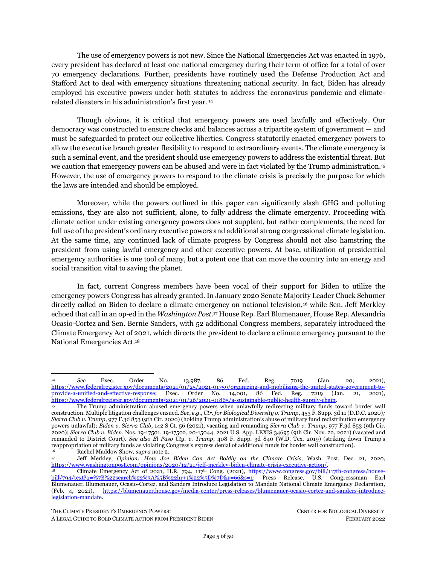### *Additional Benefits of Halting Exports From the Permian Basin: Methane Reductions and Addressing Environmental Racism*

The astronomical methane emissions from oil and gas extraction in the Permian Basin are supercharging the damage from the region's growing production. Scientists estimate that as much as 3.7% of gas production at the Permian Basin is being vented and leaked into the atmosphere — making methane emissions in the Permian Basin amount to over 9.5 billion tons of CO2-equitvalent by 2050. *<sup>159</sup>* The oil and gas are mostly shipped via pipelines to the Gulf Coast where they are refined or processed in highly toxic petrochemical — or plastics — plants, and ultimately exported, causing substantial harm to communities, the environment, and the climate at every stage. If the dozens of proposed oil, petrochemical, and LNG export projects under federal jurisdiction are built, Gulf Coast communities will suffer acute, significant impacts of added pollution, and then take a double hit when climate disasters strike. The urgency of changing course is central for Gulf Coast communities that have been impacted by 2020's record-breaking hurricane season and 2021's deep freeze that cut off electricity and heat and saddled Texan communities with astronomical energy bills.

### **B. Restrict Fossil Fuel Imports**<sup>160</sup>

The United States also imports significant amounts of fossil fuels that, when combusted, increase climate pollution and exacerbate the climate emergency. Restricting fossil fuel imports helps mitigate climate pollution and thus warrants the president's economic regulation under IEEPA to "prohibit" the "importation" of fossil fuels to address the climate emergency.<sup>161</sup>

In 2020 alone the U.S. imported 2.9 billion barrels of crude oil and other petroleum products, 2.6 trillion cubic feet of gas, and 5.1 million short tons of coal.<sup>162</sup> Combusting these produces considerable emissions that contribute to the climate crisis and the maintenance of the U.S. position as the second largest GHG emissions emitter on the planet. Moreover, imports of fossil fuels correspondingly lock in weighty capital investments in fossil fuel infrastructure, rendering it more difficult to transition quickly to renewable energy resources. 163

### <span id="page-23-0"></span>**C. Restrict Investment in Foreign Fossil Fuel Projects and Infrastructure**

Restricting the estimated hundreds of billions of dollars in U.S. financial investments directed toward fossil fuel projects abroad will help reduce the financial viability of overseas fossil fuel infrastructure, helping to mitigate the climate crisis. Pursuant to his NEA and IEEPA powers, the president can prohibit

<sup>159</sup> Oil Change Int'l, *supra* not[e 146.](#page-21-2)

<sup>160</sup> Importantly, an alternative non-emergency pathway to limiting the import of fossil fuels lies in Section 232 of the U.S. Trade Expansion Act, which allows the Secretary of Commerce to investigate the impacts of fossil fuel imports on U.S. national security and make recommendations to the President regarding the regulation of such imports. 19 U.S.C. § 1862(b)(1)(A). The President may determine to limit the imports.

<sup>&</sup>lt;sup>161</sup> 50 U.S.C. § 1702(a)(1)(B) (emphasis added).<br><sup>162</sup> <sup>11 S</sup>, petroleum product imports from II S

<sup>162</sup> U.S. petroleum product imports from U.S. Energy Information Administration. U.S. Energy Info. Admin.*, Petroleum & Other Liquids: Data – U.S. Imports by Country of Origin,*  https://www.eia.gov/dnav/pet/pet\_move\_impcus\_a2\_nus\_epoo\_imo\_mbbl\_a.htm (last updated Jan. 31, 2022); U.S. gas imports from U.S. Energy Information Administration. U.S. Energy Info. Admin., *Natural Gas: Data – U.S. Natural Gas Imports by Country*, [https://www.eia.gov/dnav/ng/ng\\_move\\_impc\\_s1\\_a.htm](https://www.eia.gov/dnav/ng/ng_move_impc_s1_a.htm) (last updated Jan. 31, 2022); U.S. coal imports from U.S. Energy Information Administration. U.S. Energy Info. Admin., *Coal Data Browser, Import quantity from total world of all coal 2020*, <https://www.eia.gov/coal/data/browser> (last visited Feb. 8, 2022).

<sup>163</sup> Peter Erickson et al., *Assessing Carbon Lock-in*, 10 Envtl. Rsch. Letters 084023 (2015).

THE CLIMATE PRESIDENT'S EMERGENCY POWERS: CENTER FOR BIOLOGICAL DIVERSITY

A LEGAL GUIDE TO BOLD CLIMATE ACTION FROM PRESIDENT BIDEN FEBRUARY 2022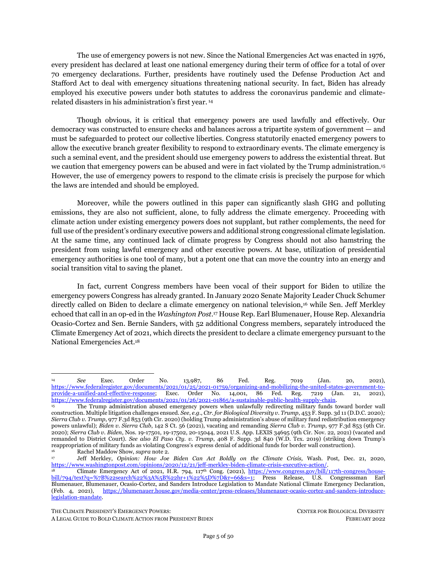financial transfers of any banking institution or other persons subject to U.S. jurisdiction<sup>164</sup> to address the climate emergency.

<span id="page-24-0"></span>Finance is foundational to the viability of fossil fuel infrastructure, a capital-intensive endeavor requiring upfront and maintenance capital.<sup>165</sup> Investment in new fossil fuel infrastructure results in "carbon lock-in," whereby financial investments made now can lock in decades-worth of fossil fuel extraction that breaks the carbon budget necessary to limit warming to a livable planet. <sup>166</sup> Globally, investments in oil, coal, and gas exploration, extraction, and transport have averaged approximately U.S. \$1 trillion annually and are poised to exceed U.S. \$20 trillion cumulatively over the next 20 years.<sup>167</sup>

Estimates of U.S. fossil fuel finance directed overseas are at least in the hundreds of billions of dollars. According to a 2020 report, 16 U.S. financial institutions invested over \$470 billion — nearly half of the total investments of \$1.1 trillion — in bonds and shares in 12 non-U.S. fossil fuel expansion projects in 2020.<sup>168</sup> These 12 projects alone are expected to pollute at least 175 gigatons of additional CO2-equivalent emissions — almost half of the 395 gigaton carbon budget remaining if we are to limit to  $1.5^{\circ}$  with a 50% probability.<sup>169</sup> Further, according to a 2021 report, the eight largest U.S. banks contributed \$356 billion in fossil fuel funding, in the form of lending and underwriting of debt and equity issuances, to non-U.S.-based companies from 2016-2020,<sup>170</sup> though we note this figure does not exclude finance for U.S.-based fossil fuel projects. Globally, the world's 60 largest banks have financed fossil fuels to the tune of \$3.8 trillion during that same five-year period. <sup>171</sup> These figures do not account for additional areas of fossil fuel financing that may be subject to IEEPA regulations, including financial ownership in non-U.S. companies investing in non-U.S. fossil fuel projects. The president should use his IEEPA authorities to sanction financial institutions within its jurisdiction investing in fossil fuels overseas.<sup>172</sup>

In addition to private fossil fuel finance, U.S. public finance has contributed more than \$11.3 billion in overseas oil, gas, and coal projects since 2016.<sup>173</sup> In December 2021 the Biden administration issued interim guidance to all agencies to stop public fossil fuel finance with exemptions for national security, energy access, and development in low-income and climate-vulnerable countries<sup>174</sup> as part of implementing an earlier pledge to divest federal finance from fossil fuels. <sup>175</sup> To enforce these commitments, Biden can use his IEEPA powers to formally restrict U.S. public finance of fossil fuel projects abroad.

 $164$  50 U.S.C. § 1702(a)(1)(A).

<sup>165</sup> Steven J. Davis & Robert H. Socolow, *Commitment Accounting of CO<sup>2</sup> Emissions*, 9 Environmental Research Letters 084018 (2014); Erickson et al., *supra* note [163;](#page-23-0) Peter Erickson et al., *Carbon Lock-in from Fossil Fuel Supply Infrastructure*, (Stockholm Env't Inst., Discussion Brief, 2015); Karen C. Seto et al., *Carbon Lock-In: Types, Causes, and Policy Implication*s, 41 Annual Review of Environmental Resources 425 (2016); Fergus Green & Richard Denniss, *Cutting with Both Arms of the Scissors: The Economic and Political Case for Restrictive Supply-Side Climate Policies*, 150 Climatic Change 73 (2018).

<sup>166</sup> Green & Denniss, *supra* not[e 165,](#page-24-0) at 78.

<sup>167</sup> Int'l Energy Agency, World Energy Outlook 2017 (2017); Int'l Energy Agency, World Energy Investment 2016 (2016).

<sup>&</sup>lt;sup>168</sup> Urgewald et al., *supra* not[e 152.](#page-22-0)<br> *Id at 6* 

*Id.* at 6.

<sup>170</sup> Rainforest Action Network, Banktrack, Indigenous Environmental Network, Sierra Club, Oil Change International, *Banking on Climate Chaos* (2021)[, https://www.bankingonclimatechaos.org/.](https://www.bankingonclimatechaos.org/) 

 $171 \t\t Id.$ <br> $172 \t\t If 2$ 

<sup>172</sup> If an entity is sanctioned under IEEPA, U.S. financial institutions, businesses, and banks are required to determine whether they hold any property belonging to that entity and freeze it. *See*, e.g., U.S. Dep't of the Treasury, *supra* not[e 154.](#page-22-1)

<sup>173</sup> Oil Change Int'l & Friends of the Earth*, Past Last Call: G20 Public Finance Institutions Are Still Bankrolling Fossil Fuels* (2021)[, https://priceofoil.org/2021/10/28/past-last-call-g20-public-finance-institutions-are-still-bankrolling-fossil-fuels/.](https://priceofoil.org/2021/10/28/past-last-call-g20-public-finance-institutions-are-still-bankrolling-fossil-fuels/) 

<sup>174</sup> Memorandum from U.S. State Department to Agencies and Embassies re: Interim International Energy Engagement Guidance (Dec. 2021)[, http://priceofoil.org/content/uploads/2021/12/US-Fossil-Fuel-Guidance-December-2021.pdf.](http://priceofoil.org/content/uploads/2021/12/US-Fossil-Fuel-Guidance-December-2021.pdf)

This guidance is part of implementing the Biden administration's commitment to a 20-plus-country pledge made during the November Glasgow climate negotiations to stop financing of "unabated" oil and gas projects by the end of 2022. *Statement on International Public Support for the Clean Energy Transition, UN Climate Change Conference UK 2021 (Apr. 11, 2021),* [https://ukcop26.org/statement-on-international-public-support-for-the-clean-energy-transition/.](https://ukcop26.org/statement-on-international-public-support-for-the-clean-energy-transition/) 

A LEGAL GUIDE TO BOLD CLIMATE ACTION FROM PRESIDENT BIDEN FEBRUARY 2022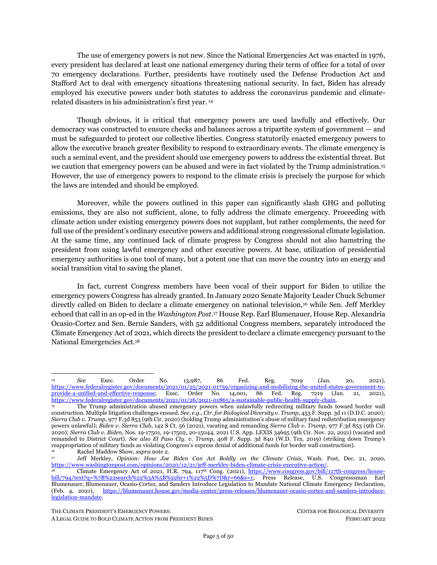## <span id="page-25-0"></span>**II. PRESIDENTIAL POWERS UNDER THE DEFENSE PRODUCTION ACT**

## <span id="page-25-1"></span>**1. Grow Domestic Green Manufacturing to Speed the Nationwide Transformation to Clean Energy and Transportation**

The Defense Production Act<sup>176</sup> ("DPA") is a wartime statute that permits the president to marshal domestic industry to manufacture critical materials needed for the national defense. While its historical uses have been applied to manufacturing weapons for combat in war, its most recent employment – by President Biden — has been fittingly used to produce vaccines, personal protection equipment, and other medical supplies to battle the coronavirus pandemic.<sup>177</sup> As a logical extension, President Biden should use the DPA to manufacture clean energy and transportation technologies that can be deployed domestically and internationally to fight the climate emergency.

While using the DPA alone cannot render the country's electricity and transportation systems 100% clean, it jumpstarts the market for that transformation. The DPA is arguably the most well-positioned executive vehicle to spur the green technology transition because it explicitly identifies renewable energy and storage as critical materials<sup>178</sup> for the national defense.<sup>179</sup> On the supply side, the president can give manufacturers security in producing clean technology with federal finance and government purchase agreements. On the demand side, the federal government can drive demand by leveraging its annual \$650 billion federal procurement budget, DPA funds, and other agency-managed grants to buy and install clean technology on public infrastructure and in partnership with environmental justice communities on climate change's frontlines. And job generation through a new U.S. manufacturing base can serve to rejuvenate the economy.

### *The DPA Provides a Missing Piece to Green Manufacturing Reticence, While Also Enabling Biden to Prioritize Equitable Deployment and High Labor Standards*

When confronting challenges in green technology deployment, policy makers have traditionally relied on tools like clean energy tax incentives, subsidies, and portfolio mandates. Recently, manufacturers have been reticent to expand or convert to renewable energy operations due to the uncertainty of clean energy tax incentives in pending climate legislation. <sup>180</sup> The DPA can complement and fill gaps in this policy equation. First, the DPA provides Biden with commanding authority to directly mobilize domestic industry to meet green technology demands, which can initially be fulfilled by federal procurement of \$650 billion per year. <sup>181</sup> Second, the DPA also empowers the president to plan for equitable allocation of these technologies in environmental justice communities using DPA funds. Finally, inserting presidential coordination of private industry permits the president to tie government contracts to goods made and installed with high labor standards, as well as involve labor unions in the industry coordination process.

THE CLIMATE PRESIDENT'S EMERGENCY POWERS: CENTER FOR BIOLOGICAL DIVERSITY

<sup>176</sup> 50 U.S.C. § 4567 *et seq*.

<sup>177</sup> *See* Exec. Order No. 13,987, 86 Fed. Reg. 7019, *supra* not[e 14;](#page-4-0) Exec. Order No. 14,001, 86 Fed. Reg. 7219, *supra* not[e 14.](#page-4-0) *See also* U.S. Gov't Accountability Office, GAO-22-105380, *COVID-19: Agencies are Taking Steps to Improve Future Use of Defense Production Act Authorities* (2021), [https://www.gao.gov/products/gao-22-105380.](https://www.gao.gov/products/gao-22-105380)

 $178$  50 U.S.C. §4516.

<sup>&</sup>lt;sup>179</sup> 50 U.S.C.  $\S 4502(a)(5)-(6)$ .<br><sup>180</sup> Jeff Stein & Steven Mutson

Jeff Stein & Steven Mufson, Democrats' Climate Plan Languishes, Putting Hundreds of Billions in Private Investment on Hold, Wash. Post, Feb. 16, 2022, https://www.washingtonpost.com/us-policy/2022/02/16/build-back-better-climate/. See, e.g., The Buy Green Act of 2021, S.1925, 117th Cong (2021), [https://www.congress.gov/bill/117th-congress/senate-](https://www.congress.gov/bill/117th-congress/senate-bill/1925/text?r=85&s=1)

[bill/1925/text?r=85&s=1](https://www.congress.gov/bill/117th-congress/senate-bill/1925/text?r=85&s=1) (expanding federal procurement budgets to \$1.5 trillion over the next ten years to specifically buy Americanmade products).

A LEGAL GUIDE TO BOLD CLIMATE ACTION FROM PRESIDENT BIDEN FEBRUARY 2022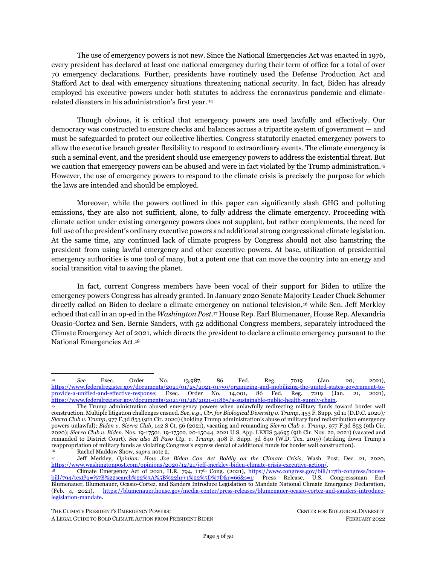#### *Legal Authority*

The DPA confers upon the president a broad set of authorities to coordinate an at-scale response from domestic industry players to combat matters threatening the national defense.<sup>182</sup> Specifically, Congress found that "the security of the United States is dependent on the ability of the domestic industrial base to supply materials and services for the national defense and to prepare for and respond to military conflicts, natural or *man-caused disasters* . . . within the United States."<sup>183</sup> Accordingly, DPA empowers the president<sup>184</sup> to shape the domestic industrial base so that, when called upon, it is capable of providing essential materials and goods needed for the national defense.<sup>185</sup> While use of the DPA does not require a national emergency declaration, certain provisions are triggered when a national emergency has been declared.

As a threshold matter, the use of any DPA authority must be directed toward promoting what is essential for the national defense.<sup>186</sup> The DPA defines "national defense" capaciously to include (emphasis added):

<span id="page-26-0"></span>programs for military and *energy production or construction*, military or *critical infrastructure* assistance to any foreign nation, homeland security, stockpiling, space, and any directly related activity. Such term includes *emergency preparedness activities* conducted pursuant to title VI of the [Stafford Act] and *critical infrastructure protection and restoration*. 187, 188

Importantly, Congress particularly identified that the buildout of distributed renewable energy, battery storage, and energy efficiency technologies should be optimally deployed to strengthen the national defense.<sup>189</sup> Congress found that:

to further assure the adequate maintenance of the domestic industrial base, to the maximum extent possible, domestic energy supplies should be augmented through reliance on *renewable energy sources (including solar, geothermal, wind, and biomass sources), more efficient energy storage and distribution technologies, and energy conservation measures*. 190

<sup>187</sup> 50 U.S.C. § 4552(14) (emphasis added).

Since 1950, the DPA has been reauthorized by Congress over 50 times. Congress last reauthorized the DPA in 2019 and extended the Act until 2025. Further extension of the Act's significant authorities will require Congressional reauthorization. *See* Cong. Research Serv., R43767, *The Defense Production Act of 1950: History, Authorities, and Considerations for Congress* (2020), [https://sgp.fas.org/crs/natsec/R43767.pdf.](https://sgp.fas.org/crs/natsec/R43767.pdf) 

 $\frac{183}{184}$  50 U.S.C.  $\frac{64502(a)(1)}{184}$  (emphasis added).

<sup>184</sup> While the DPA authorities are generally afforded to the President, in 2012, former President Obama delegated many of the DPA's presidential authorities to executive agencies. While DPA authorities are most frequently used and commonly associated with the Department of Defense ("DOD"), President Biden can and should extend the DPA authorities to other relevant agencies. See Exec. Order No. 13,603, 77 Fed. Reg. 16651 (Mar. 16, 2012), [https://www.govinfo.gov/content/pkg/DCPD-201200186/pdf/DCPD-](https://www.govinfo.gov/content/pkg/DCPD-201200186/pdf/DCPD-201200186.pdf)[201200186.pdf.](https://www.govinfo.gov/content/pkg/DCPD-201200186/pdf/DCPD-201200186.pdf) Under Executive Order 13,603, the President delegates priorities and allocations authority to the heads of six federal departments: the U.S. Department of Agriculture; the U.S. Department of Energy; the U.S. Department of Health and Human Services; the U.S. Department of Transportation; the U.S. Department of Defense; and the U.S. Department of Commerce. The agency heads have jurisdiction over the resources within their respective areas of responsibility and expertise. E.O. 13,603 provides that the priorities and allocations authority may only be used to support programs that are determined to be "necessary or appropriate to promote the national defense," and assigns responsibilities for making this determination.

<sup>185</sup> Additionally, federal departments and agencies are charged with shoring up domestic industrial base capacities under "both peacetime and emergency conditions." 50 U.S.C. §4502(b)(1).

The DPA contains several references to national defense throughout the DPA. See, e.g., Title I, Section 101 priorities and allocations authority requires the President to deem action as "necessary or appropriate to promote the national defense" (50 U.S.C. §4511(a)); Title III authorities can be used when "essential for the national defense" (50 U.S.C. §§4531(a), 4532(a), 4533(a)); and Title VII voluntary agreement authority requires that the use helps "provide for the national defense" (50 U.S.C. §4558(c)(1)).

<sup>188</sup> "Critical infrastructure" includes all assets "so vital to the United States that [their] degradation . . . would have a debilitating impact on national security, including, but not limited to, national economic security and national public health or safety. 50 U.S.C. §  $4552(2)$ .

<sup>50</sup> U.S.C. §4502(a)(5)-(6).

<sup>190</sup> 50 U.S.C. §4502(a)(6) (emphasis added).

THE CLIMATE PRESIDENT'S EMERGENCY POWERS: CENTER FOR BIOLOGICAL DIVERSITY

A LEGAL GUIDE TO BOLD CLIMATE ACTION FROM PRESIDENT BIDEN FEBRUARY 2022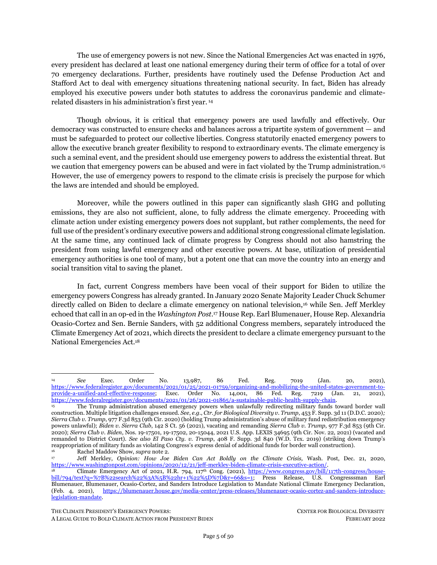The DPA includes three major authorities.

*Title I (Priorities and Allocations)*. Title I empowers the president to demand that private companies prioritize government contracts and allocate produced materials to meet national security requirements.<sup>191</sup> Under Title I the president can identify critical materials necessary for the national defense (§ 101(b)) and require corporations to: (1) prioritize and accept federal government contracts for these critical materials before any other competing interest or customer  $(\S$  101(a)); (2) allocate the general distribution of these critical materials as necessary to promote the national defense  $(\S$  101(a)); and  $(3)$ protect against company hoarding of such materials (§ 102).<sup>192</sup>

Importantly, as relevant to the climate emergency, Title I contains important provisions related to domestic energy. Section 106 of Title I identifies "energy" as a "strategic and critical material." <sup>193</sup> Further, Section 101(c) gives authority to the president to use his priority and allocation authorities to "maximize" domestic energy supplies" in certain circumstances. 194,195

*Title III (Expansion of Productive Capacity and Supply).* While Title I ensures that the government has priority access to materials being produced by domestic industry, Title III powers help create a sufficient domestic supply of those critical materials.<sup>196</sup> Specifically, Title III authorizes the president to generate a menu of financial incentives to create, expand or preserve domestic industrial manufacturing capabilities for national defense materials. <sup>197</sup> These financial incentives fall into three categories: (1) loan guarantees (§ 301)<sup>198</sup> and (2) direct loans (§ 302)<sup>199</sup>, both of which are extended by the federal government to private corporations or other governments to be used for the purpose of reducing current or projected shortfalls of essential resources and materials needed for national defense; and (3) "catchall" financing mechanisms (§ 303), including direct purchases and purchase commitments from the federal government, <sup>200</sup> subsidy payments for produced materials, <sup>201</sup> and direct equipment upgrades for government and privately owned industrial facilities to expand their productive capacity. <sup>202</sup> These Title III financial instruments do require a number of findings before the executive branch can use them, but those prerequisites are waived when the president or Congress declares a national emergency.<sup>203</sup>

THE CLIMATE PRESIDENT'S EMERGENCY POWERS: CENTER FOR BIOLOGICAL DIVERSITY

<sup>191</sup> Importantly, the priorities and allocation authority cannot be used for wage or price controls or contract of employment.<br>  $\frac{192}{50 \text{ J}} = 0.115 \text{ C}$ .

<sup>&</sup>lt;sup>192</sup> 50 U.S.C.  $\frac{5}{4511}$ .<br><sup>193</sup> 50 U.S.C.  $\frac{5}{4516}$ .

<sup>50</sup> U.S.C. §4516.

<sup>194</sup> These include if the president finds that "such materials, services, and facilities are scarce, critical, and essential (i) to maintain or expand . . . transportation; (ii) to conserve energy supplies; or (iii) to construct . . . energy facilities." 50 U.S.C. §4511(c).

<sup>195</sup> Further, Title I authorities have been used to specifically address energy and climate disaster needs. For example, the Department of Energy used Title I authorities to direct emergency supplies of methane gas continued to flow to California utilities to avoid threatened electrical blackouts in 2001, while the Federal Emergency Management Agency ("FEMA") utilized Title I powers to prioritize contracts to restore electrical transmission and distribution systems in Puerto Rico during the 2017 climate disaster season. *See California Energy Crisis and Use of the Defense Production Act*, *Hearing Before S. Comm. on Banking, Housing and Urban Affairs,* 107th Cong. (2001) S.Hrg. 107-215; Dep't of Homeland Security, *The Defense Production Act Committee: Report to Congress, Calendar Year 2017 Report* 10 (2018).

<sup>&</sup>lt;sup>196</sup> 50 U.S.C. §4531.

<sup>&</sup>lt;sup>197</sup> 50 U.S.C.  $\frac{5}{9}$  50 U.S.C.

<sup>198</sup> A loan guarantee allows the federal government to guarantee a loan made by a nonfederal lender to a nonfederal borrower, either by pledging to pay back all or part of the loan in cases when the borrower is unable to do so. *Id*. at 4531(a)(1).

<sup>199</sup> A direct loan is a loan from the federal government to another government or private sector borrower that requires repayment, with or without interest. *Id*. at 4532(a).<br> $\frac{200}{50}$  **50 U S C** & 4532(a)

<sup>50</sup> U.S.C. § 4533(a).

<sup>&</sup>lt;sup>201</sup> 50 U.S.C. § 4533(c).<br><sup>202</sup> 50 U.S.C. § 4533(e).

<sup>50</sup> U.S.C. § 4533(e).

<sup>203</sup> For example, to take action under the loan guarantee or the catchall program, the President must first find that the target resource is critical to national defense; the action is necessary and the most effective way to guarantee supply; and, in the case of loans, the loan is likely to be repaid. Id. §§ 4531(a)(2), 4533(a)(5). This finding requirement is waived if the President or Congress declares a national emergency. Id. §§ 4533(d)(1)(B)(i), 4532(d)(1)(B)(i), 4533(a)(7).

A LEGAL GUIDE TO BOLD CLIMATE ACTION FROM PRESIDENT BIDEN FEBRUARY 2022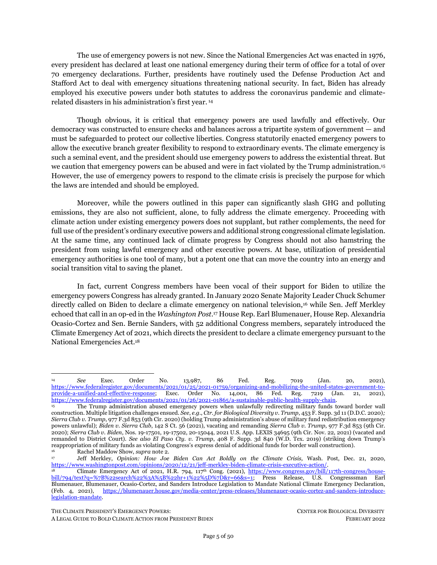The funding for Title III instruments involves congressional appropriations and helps provide a check on the president's use of DPA powers. Created under Title III as a Treasury account, the DPA Fund is available to carry out all of the provisions and purchases of Title III, as well as resale of DPA-procured commodities. <sup>204</sup> Congress can make appropriations for the DPA Fund in any of the bills providing funding to the numerous agencies delegated Title III authorities, which the president can expand through executive order.<sup>205</sup>

In 2015, section 711 of Title VII was amended to specifically authorize appropriations of \$133 million per fiscal year starting in FY 2015, as well as an additional \$117 million for each fiscal years 2020 through 2024 to carry out Title III activities<sup>206</sup> — amounting to base DPA Fund appropriations of \$250 million per fiscal year through at least 2024. In past years, the DPA Fund received appropriations, mainly from DOD appropriations acts, ranging widely from \$34.3 million to \$223 million. (See Table 2.207)

Moreover, to increase the base appropriations of \$250 million to the DPA Fund, the president can work with Congress to boost funding for clean technology manufacturing, as President Biden did with respect to Covid-19 medical products. In 2020 and 2021, Congress made two special appropriations to the DPA Fund for Covid-19 purposes: (1) an additional \$1 billion to respond to Covid-19 until March 2022 pursuant to the Coronavirus Aid, Relief, and Economic Security ("CARES") Act of 2020<sup>208</sup>; and (2) an additional \$10 billion to strengthen the medical industrial base in the American Rescue Plan Act of 2021. 209 This is an area where the president and Congress can work collaboratively to appropriate Title III DPA funds, which appears to have been the case with the Biden administration's use of the DPA to address Covid-19 and companion congressional appropriations in the Special American Rescue Plan Act.

Additionally, agencies also have the ability to make direct transfers to the DPA Fund, and Title III projects have also been cost-shared by private sector partners and through other federal agencies. <sup>210</sup> Any singular project receiving greater than \$50 million in a Title III financial instrument must receive congressional authorization first, but these prerequisites and funding caps are waived if the president or Congress declare a national emergency.<sup>211</sup>

<sup>204</sup> Statute also prohibits the fund from exceeding \$750 million at the end of any fiscal year 50 U.S.C. §4534.

<sup>205</sup> Exec. Order No. 13,603, 77 Fed. Reg. 16651, *supra* not[e 184.](#page-26-0) Under Executive Order 13603, the President delegates priorities and allocations authority to the heads of six federal departments: the U.S. Department of Agriculture (USDA); the U.S. Department of Energy (DOE); the U.S. Department of Health and Human Services (HHS); the U.S. Department of Transportation (DOT); the U.S. Department of Defense (DoD); and the U.S. Department of Commerce (DOC). The agency heads have jurisdiction over the resources within their respective areas of responsibility and expertise. E.O. 13603 provides that the priorities and allocations authority may only be used to support programs that are determined to be "necessary or appropriate to promote the national defense," and assigns responsibilities for making this determination. Under this structure, DHS makes determinations with respect to all other national defense programs, such as emergency preparedness and response, domestic counter-terrorism, critical infrastructure protection and restoration, and continuity of government. Given this is an executive order, President Biden would have the authority to expand this list to other relevant agencies.

<sup>&</sup>lt;sup>206</sup> 50 U.S.C.  $\S$ § 4561.<br><sup>207</sup> In FV2014-2016

<sup>207</sup> In FY2014-2016, the Department of Energy made transfers of \$45 million to the DPA Fund each year from other appropriations, under a joint memorandum of agreement with other agencies to support the construction of biofuels facilities. See *The Defense Production Act of 1950*, 13 (2020)[, https://sgp.fas.org/crs/natsec/R43767.pdf](https://sgp.fas.org/crs/natsec/R43767.pdf)

<sup>&</sup>lt;sup>208</sup> Coronavirus Aid, Relief, and Economic Security Act of 2020, Pub. L. No. 116-136, 134 Stat. 281, § 4017(1), Title III.<br><sup>209</sup> American Rescue Plan Act of 2021, Pub. J. No. 117-2, 135 Stat. 4, § 2101(a), Title III (ame

<sup>209</sup> American Rescue Plan Act of 2021, Pub. L. No. 117-2, 135 Stat. 4, § 3101(a), Title III (amending the DPA).<br>210 Cong Research Serv. R42767, The Defense Production 4ct of 1050.12 (2020), https://sgn. fas.org/crs/nat

<sup>210</sup> Cong. Research Serv., R43767, *The Defense Production Act of 1950* 13 (2020), [https://sgp.fas.org/crs/natsec/R43767.pdf.](https://sgp.fas.org/crs/natsec/R43767.pdf) <sup>211</sup> 50 U.S.C. §§ 4531(d)(1)(B)(i), 4532(d)(1)(B)(i), 4533(a)(7). Generally, though, very few projects exceed the \$50 million threshold. *See* Cong. Research Serv., R43767, *The Defense Production Act of 1950* 11, (2020), [https://sgp.fas.org/crs/natsec/R43767.pdf.](https://sgp.fas.org/crs/natsec/R43767.pdf)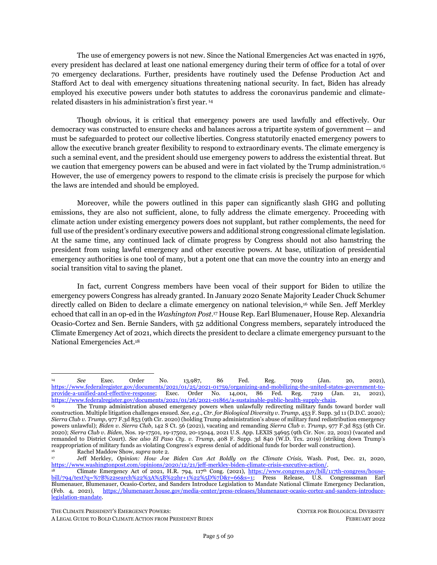<span id="page-29-0"></span>

| <b>Fiscal Year</b>                                    | Law                                 | <b>Appropriation Amount</b><br>(in millions) |
|-------------------------------------------------------|-------------------------------------|----------------------------------------------|
| 2010                                                  | Pub. L. No. 111-118, 123 Stat. 3422 | \$150.7                                      |
| 2011                                                  | Pub. L. No. 112-10, 125 Stat. 51    | \$34.3                                       |
| 2012                                                  | Pub. L. No. 112-74, 125 Stat. 800   | \$170.0                                      |
| 2013                                                  | Pub. L. No. 113-6, 127 Stat. 291    | \$223.5                                      |
| 2014                                                  | Pub. L. No. 113-76, 128 Stat. 98    | \$60.1                                       |
| 2015                                                  | Pub. L. No. 113-235, 128 Stat. 2246 | \$51.6                                       |
| 2016                                                  | Pub. L. No. 114-113, 129 Stat. 2345 | \$76.7                                       |
| 2017                                                  | Pub. L. No. 115-31, 131 Stat. 242   | \$64.1                                       |
| 2018                                                  | Pub. L. No. 115-141, 132 Stat. 458  | \$67.4                                       |
| 2019                                                  | Pub. L. No. 115-245, 132 Stat. 2995 | \$53.6                                       |
| 2020                                                  | Pub. L. No. 116-93, 133 Stat. 2331  | \$64.4                                       |
| 2021                                                  | Pub. L. No. 116-260, 134 Stat. 1299 | \$174.6                                      |
| <b>Special CARES</b><br>Appropriation: 2020 -<br>2022 | Pub. L. No. 116-136, 134 Stat. 281  | \$1,000.0                                    |
| Special ARPA<br>Appropriation: 2021-<br>2025          | Pub. L. No. 117-2, 135 Stat. 4      | \$10,000.0                                   |

**Table 2. Congressional Appropriations to the DPA Fund Since FY2010**

*Title VII (General Provisions).* Title VII empowers the president to transform relevant portions of the competitive market into a cooperative one in ways that might otherwise violate antitrust law.<sup>212</sup> Specifically, Title VII grants authorities to coordinate a nationwide domestic industry response to a national crisis, including the authority to establish voluntary agreements and plans of action with private industry for the national defense (§ 708). Section 705(a) of Title VII also gives the president authority to "obtain . . . information . . . as may be necessary or appropriate" to the Act's enforcement, including the authority to "perform industry studies assessing the capabilities of the United States industrial base to support the national defense."213

THE CLIMATE PRESIDENT'S EMERGENCY POWERS: CENTER FOR BIOLOGICAL DIVERSITY A LEGAL GUIDE TO BOLD CLIMATE ACTION FROM PRESIDENT BIDEN FEBRUARY 2022

 $212$  50 U.S.C. § 4588.

<sup>213</sup> 50 U.S.C. § 4555.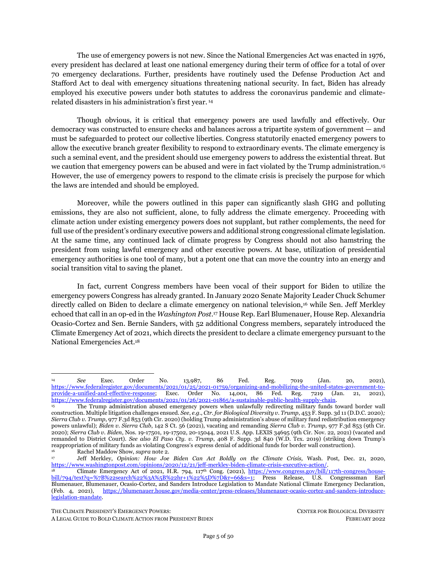The Act has been routinely used by previous administrations. Since the law's passage in 1950, it has been invoked by every administration to prioritize federal contracts or to shore up vulnerabilities in domestic production to protect national defense.<sup>214</sup> In its first week in office, the Biden administration utilized the DPA twice to shore up the public health supply chain of medical supplies and vaccines for Covid-19.<sup>215</sup>

### *Application to Climate Action: Grow Domestic Manufacturing of Clean Technologies to Spur Nationwide Green Transition*

The president can lawfully use DPA authorities to compel production and installation of clean technologies in the country's two leading climate-polluting sectors to boost national defense against the climate emergency: electricity and transportation. 216

### **A. The Climate Emergency Constitutes a Threat to National Defense that Warrants President Biden's Use of the Defense Production Act**

The climate emergency is irrefutably a threat to national defense. As described in Part 2(I), *infra*, the Biden administration has concluded that climate change threatens "national security and defense" because it is "reshaping the geostrategic, operational, and tactical environments" for the United States and is "exacerbating existing risks and creating new security challenges for U.S. interests." <sup>217</sup> These climate impacts are precisely the type of "man-caused disasters" that the DPA identifies as a security threat to the country and requires response from the "domestic industrial base" to strengthen national defense. <sup>218</sup>

<span id="page-30-0"></span>The DPA is arguably the most well-positioned executive vehicle to catalyze the green transition because it explicitly identifies renewable energy as critical to the national defense. The DPA defines the national defense as "programs for . . . energy production or construction"<sup>219</sup> and identifies energy as a "strategic and critical material" to the national defense.<sup>220</sup> But Congress goes even further by stating that "renewable energy sources (including solar, geothermal, wind, and biomass sources), more efficient energy storage and distribution technologies, and energy conservation measures" should be prioritized to strengthen the national defense.<sup>221</sup>

<sup>214</sup> *See* Cong. Research Serv., R43767, *The Defense Production Act of 1950* (2020)[, https://sgp.fas.org/crs/natsec/R43767.pdf.](https://sgp.fas.org/crs/natsec/R43767.pdf) <sup>215</sup> Exec. Order No. 13,987, 86 Fed. Reg. 7019, *supra* note [14;](#page-4-0) Exec. Order No. 14,001, 86 Fed. Reg. 7219, *supra* note [14.](#page-4-0) Additionally, President Biden issues three executive orders with potential relevance to the DPA, including: Exec. Order No. 13,994, 86 Fed. Reg. 7189 (Jan. 26, 2021), [https://www.federalregister.gov/documents/2021/01/26/2021-01849/ensuring-a-data-driven](https://www.federalregister.gov/documents/2021/01/26/2021-01849/ensuring-a-data-driven-response-to-covid-19-and-future-high-consequence-public-health-threats)[response-to-covid-19-and-future-high-consequence-public-health-threats;](https://www.federalregister.gov/documents/2021/01/26/2021-01849/ensuring-a-data-driven-response-to-covid-19-and-future-high-consequence-public-health-threats) Exec. Order No. 13,996, 86 Fed. Reg. 7197 (Jan. 26, 2021), [https://crsreports.congress.gov/product/pdf/IN/IN11593;](https://crsreports.congress.gov/product/pdf/IN/IN11593) Exec. Order No. 13,999, 86 Fed. Reg. 7211 (Jan. 21, 2021), [https://www.federalregister.gov/documents/2021/01/26/2021-01863/protecting-worker-health-and-safety.](https://www.federalregister.gov/documents/2021/01/26/2021-01863/protecting-worker-health-and-safety)

In addition to using the DPA authorities to coordinate domestic transportation, if the president declares a national climate <sup>216</sup> U.S. Env't Protection Agency, *Sources of Greenhouse Gas Emissions*, [https://www.epa.gov/ghgemissions/sources](https://www.epa.gov/ghgemissions/sources-greenhouse-gas-emissions)[greenhouse-gas-emissions](https://www.epa.gov/ghgemissions/sources-greenhouse-gas-emissions) (last visited Feb. 11, 2022).

<sup>&</sup>lt;sup>217</sup> U.S. Dep't of Defense, *supra* not[e 56.](#page-9-0)<br><sup>218</sup>  $=$  50 U.S.C.  $84502(a)(1)$  (emphasis add

<sup>50</sup> U.S.C. §4502(a)(1) (emphasis added).

<sup>&</sup>lt;sup>219</sup> 50 U.S.C. § 4552(14) (emphasis added).<br><sup>220</sup> 50 U.S.C. § 4516

<sup>50</sup> U.S.C. §4516.

<sup>221</sup> 50 U.S.C. §4502(a)(6) (emphasis added). The president has also recognized domestic transportation as vital to maintaining "resilient, diverse, and secure supply chains to ensure our economic prosperity and national security." Exec. Order No. 14,017, 86 Fed. Reg. 11849 (Mar. 1, 2021). *See also* Proclamation No. 10212, 86 Fed. Reg. 27021 (May 14, 2021) ("Since our Nation's founding, our transportation infrastructure has enabled our economic growth and enhanced our national security.").

THE CLIMATE PRESIDENT'S EMERGENCY POWERS: CENTER FOR BIOLOGICAL DIVERSITY

A LEGAL GUIDE TO BOLD CLIMATE ACTION FROM PRESIDENT BIDEN FEBRUARY 2022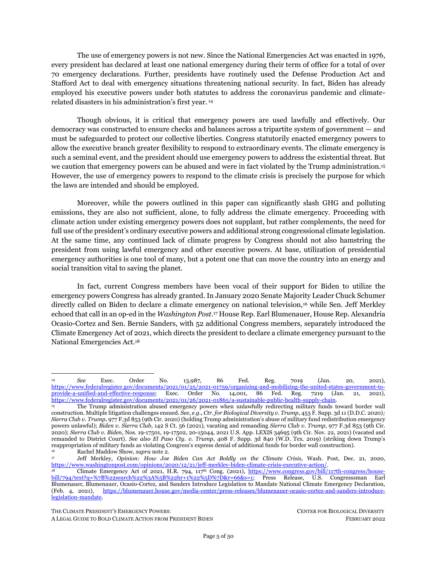### **B. Setting the Gameplan for a Green Technology Transition with Industry Players, Environmental Justice Leaders, Unions, Agencies, and Other Stakeholders under DPA Title VII**

Under Title VII authorities, the president can coordinate industry players and other key stakeholders to create a game plan — and ultimately, enter into cooperative voluntary agreements — for the manufacturing and deployment of green energy and transportation technologies. Specifically, the president should leverage the planning and agreement stage to spur the design of electricity and transportation systems that are not only decarbonized but center justice and equity to redress harms experienced by communities and environments disproportionately harmed by the fossil fuel energy complex.

Title VII permits the president to lead a coordinated plan among private and public players and immunizes private corporations from antitrust claims. The president should create a task force consisting not only of relevant private manufacturers but also engineers, scientists, and planning experts in the field of equitable energy, energy democracy and transportation design; environmental justice community leaders; labor unions; and Departments of Energy, Transportation, Labor, national laboratory staff and other relevant federal, state, and local agencies. <sup>222</sup> This task force should play an active role throughout the DPA process.

<span id="page-31-0"></span>With regard to electricity, the Biden administration should intentionally design an electricity system that not just ends fossil fuels but optimizes generation from distributed energy resources ("DERs") — including rooftop and community solar and storage installed on homes and public buildings across the country. Congress in the DPA already encouraged the president to bolster "renewable energy resources," "storage and distribution technologies" to improve the energy system in the national defense.<sup>223</sup> When compared with utility-scale clean energy,<sup>224</sup> DERs provide greater social and environmental benefits of climate resilience and reliability, avoided environmental costs, <sup>225</sup> electricity affordability, energy democracy and local job generation.<sup>226</sup> Further, as an investment proposition, a recent report from Vibrant Clean Energy found that renewable electricity generation would be \$473 billion cheaper with dramatic rooftop solar and batteries than proceeding with status quo ramp-ups of centralized, utility-scale solar and wind

<sup>222</sup> This task force can work in companionship with Biden's newly created Buy Clean Task Force designed to wield the \$650 billion in annual purchases of the federal government to support construction materials and goods made with lower emissions. These measures can be combined with the Biden administration's current objective of lowering emissions of high-polluting industrial manufacturing sectors. *See* Emily Pontecorvo, *Biden Administration Could Finally Define What 'Clean' Manufacturing Is*, Grist, Feb. 15, 2022[, https://grist.org/transportation/biden-administration-could-finally-define-what-clean-manufacturing-is/.](https://grist.org/transportation/biden-administration-could-finally-define-what-clean-manufacturing-is/)

<sup>&</sup>lt;sup>223</sup> 50 U.S.C.  $\frac{500}{224}$  50 U.S.C.  $\frac{54502(a)(6)}{224}$  emphasis added).

DERs are often left out of clean energy policy debates because regulators and policymakers have assumed that large-scale wind and solar farms have an inherent cost advantage over the rooftop alternative due to utilities of scale. Incumbent utilities also lobby against DER deployment because DERs are viewed as a competing generation source and threaten incumbent utility business models. *See*, *e.g*., Edison Electric Inst., *Disruptive Challenges* (2013), [http://roedel.faculty.asu.edu/PVGdocs/EEI-2013-report.pdf;](http://roedel.faculty.asu.edu/PVGdocs/EEI-2013-report.pdf) J. David Lippeatt et al., Environment America, Frontier Group & U.S. PIRG Education Fund, *Blocking Rooftop Solar* (2021), [https://uspirg.org/reports/usp/blocking-rooftop-solar.](https://uspirg.org/reports/usp/blocking-rooftop-solar) However, studies have shown DERs offer far greater economic, social, and environmental benefits that policymakers should take into account and should inform favorability for DERs over incumbent utilityscale systems. *See* Paul Denholm et al., Nat'l Renewable Energy Lab'y, *Methods for Analyzing the Benefits and Costs of Distributed Photovoltaic Generation the U.S. Electric Utility System* (2014), <u>https://www.nrel.gov/docs/fy14osti/62447.pdf</u>; Gideon Weissman et al., Environment America & Frontier Group, The True Value of Solar (2019), et al., Environment America & Frontier Group, *The True Value of Solar* (2019), [https://environmentamerica.org/sites/environment/files/resources/AME%20Rooftop%20Solar%20Jul19%20web.pdf.](https://environmentamerica.org/sites/environment/files/resources/AME%20Rooftop%20Solar%20Jul19%20web.pdf)

<sup>225</sup> *See* R.R. Hernandez et al., *Techno-Ecological Synergies of Solar Energy for Global Sustainability,* 2 Nature Sustain. 560 (2019); D. Richard Cameron et al., *An Approach to Enhance the Conservation-Compatibility of Solar Energy Development*, 7 PLOS One e38437 (2012). *See also* Jacobson et al., *supra* note 12 (finding that a clean energy grid with DERs requires only ~0.29% and 0.55% of U.S. land area for footprint and spacing, respectively, for new energy technologies. The sum is less than the 1.3% occupied by the fossil fuel industry today).

<sup>226</sup> Baker, *supra* note 92; Weinrub & Fairchild, *supra* note 92; Sherry Stout et al., Nat'l Renewable Energy Lab'y., *Distributed Energy Planning for Climate Resilience* (2018)[, https://www.nrel.gov/docs/fy18osti/71310.pdf;](https://www.nrel.gov/docs/fy18osti/71310.pdf) John Farrell, The New Rules Project, *Community Solar Power: Obstacles and Opportunities* (2010), [https://ilsr.org/wp](https://ilsr.org/wp-content/uploads/files/communitysolarpower2.pdf)[content/uploads/files/communitysolarpower2.pdf.](https://ilsr.org/wp-content/uploads/files/communitysolarpower2.pdf)

A LEGAL GUIDE TO BOLD CLIMATE ACTION FROM PRESIDENT BIDEN FEBRUARY 2022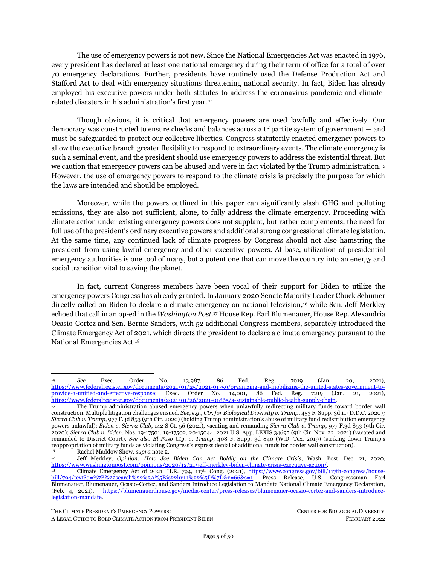<span id="page-32-2"></span>farms. <sup>227</sup> Indeed, the National Renewable Energy Laboratory found that greater use of rooftop solar can reduce the need for new transmission lines, displace expensive power plants, and save the energy that is lost when electricity is moved long distances.<sup>228</sup> A recent study also demonstrated that storage paired with renewable resources avoided summer blackouts in California in 2020 and winter blackouts in Texas in 2021, highlighting the importance of DERs in securing energy resilience in the face of climate disasters. <sup>229</sup>

<span id="page-32-0"></span>Similarly, with regard to transportation, the Biden administration should design a comprehensive transportation system that maximizes construction, deployment, and access to zero-emission vehicles ("ZEVs") — including freight transport and equipment, public transit buses and trains, ride sharing, and private vehicles. Low-wealth communities and communities of color bear the brunt of the nation's climate, pollution and health impacts,<sup>230</sup> resulting from a legacy of environmental racism in zoning and redlining, housing, and placement of shipping hubs and transport corridors, as well as an economy based on consumption of imported items, planned obsolescence, and fossil fuel extraction. Rapidly transitioning to ZEVs would save billions of dollars in health costs and thousands of lives annually, especially in overburdened communities. <sup>231</sup> Building out ZEV public transition systems will also help improve transportation options in communities of color and rural communities,<sup>232</sup> reduce fossil-fueled vehicle miles traveled, and cut climate emissions.<sup>233</sup>

<span id="page-32-1"></span>The DPA can accelerate the clean transportation reformation by precipitously manufacturing and deploying ZEVs and ZEV infrastructure, <sup>234</sup> and prioritizing investment, access, and deployment in low-

THE CLIMATE PRESIDENT'S EMERGENCY POWERS: CENTER FOR BIOLOGICAL DIVERSITY

<sup>227</sup> Christopher T. M. Clack et al., Vibrant Clean Energy, *Why Local Solar For All Costs Less: A New Roadmap for the Lowest Cost Grid* 3 (2020), [https://www.vibrantcleanenergy.com/wp-content/uploads/2020/12/WhyDERs\\_TR\\_Final.pdf.](https://www.vibrantcleanenergy.com/wp-content/uploads/2020/12/WhyDERs_TR_Final.pdf) *See also* Sammy Roth, *How Rooftop Solar Could Save Americans \$473 Billion*, L.A. Times, Jan. 7, 2021, [https://www.latimes.com/environment/newsletter/2021-01-07/how-rooftop-solar-could-save-americans-473-billion-dollars-](https://www.latimes.com/environment/newsletter/2021-01-07/how-rooftop-solar-could-save-americans-473-billion-dollars-boiling-point)

[boiling-point;](https://www.latimes.com/environment/newsletter/2021-01-07/how-rooftop-solar-could-save-americans-473-billion-dollars-boiling-point) Saul Griffith & Sam Calisch*, No Place Like Home: Fighting Climate Change (and Saving Money) by Electrifying America's Households (2*020), [https://static1.squarespace.com/static/5e540e7fb9d1816038da0314/t/5f9125184a17493652db0ba9/1603347768714/No\\_Place\\_Lik](https://static1.squarespace.com/static/5e540e7fb9d1816038da0314/t/5f9125184a17493652db0ba9/1603347768714/No_Place_Like_Home_RA.pdf) [e\\_Home\\_RA.pdf](https://static1.squarespace.com/static/5e540e7fb9d1816038da0314/t/5f9125184a17493652db0ba9/1603347768714/No_Place_Like_Home_RA.pdf) (finding that a national transition to solar-powered, fully electrified homes could save the average household more than \$2,500 per year).

<sup>228</sup> *See* Denholm et al., *supra* not[e 224.](#page-31-0)

<sup>229</sup> See Jacobson et al., *supra* note 12.

<sup>230</sup> Moving Forward Network, *Making the Case for Zero-Emission Solutions in Freight: Community Voices for Equity and Environmental Justice* (2021), [https://www.movingforwardnetwork.com/wp-content/uploads/2021/10/MFN\\_Making-the-](https://www.movingforwardnetwork.com/wp-content/uploads/2021/10/MFN_Making-the-Case_Report_May2021.pdf)[Case\\_Report\\_May2021.pdf.](https://www.movingforwardnetwork.com/wp-content/uploads/2021/10/MFN_Making-the-Case_Report_May2021.pdf) Our transportation network was built through neighborhoods of color, exacerbating inequalities. And decades of disinvestment have allowed our transportation infrastructure to fall into disrepair. As the President has acknowledged, we need to rapidly modernize our transportation system and infrastructure to "reconnect[] communities, provide[] equitable access to transportation services, and mitigate[] the devastating effects of climate change." Proclamation No. 10212, 86 Fed. Reg. 27021, *supra*  not[e 221.](#page-30-0)

<sup>231</sup> Moving Forward Network, *supra* note [230;](#page-32-0) American Lung Association, *Fact Sheet: Medium and Heavy Duty Vehicles* [\(https://www.lung.org/getmedia/bb0d60ba-eff2-4084-907b-916839ae985d/medium-and-heavy-duty-vehicles-fact-sheet.pdf.](https://www.lung.org/getmedia/bb0d60ba-eff2-4084-907b-916839ae985d/medium-and-heavy-duty-vehicles-fact-sheet.pdf)

<sup>232</sup> *See e.g.,* Electrification Coalition, *Electric Vehicles in Rural Communities* (2022), [https://www.electrificationcoalition.org/wp-content/uploads/2022/02/rural-guide.pdf;](https://www.electrificationcoalition.org/wp-content/uploads/2022/02/rural-guide.pdf) Will Englund, *Without Access to Charging Stations, Black and Hispanic Communities May be Left Behind in the Era of Electric Vehicles*, Wash. Post, Dec. 9, 2021; Evan Halper, *A Neglected California City Reinvents Itself with Electric Cars – and Plots a Road Map for the Nation*, L.A. Times, Jan. 10, 2022, [https://www.latimes.com/politics/story/2022-01-10/neglected-california-town-reinvents-itself-with-electric-cars-and-plots-a-](https://www.latimes.com/politics/story/2022-01-10/neglected-california-town-reinvents-itself-with-electric-cars-and-plots-a-roadmap-for-the-nation)

[roadmap-for-the-nation.](https://www.latimes.com/politics/story/2022-01-10/neglected-california-town-reinvents-itself-with-electric-cars-and-plots-a-roadmap-for-the-nation) It would also save on vehicle maintenance costs. Chris Harto, Consumer Reports, *Electric Vehicle Ownership Costs: Today's Electric Vehicles Offer Big Savings for Consumers* (2020), [https://advocacy.consumerreports.org/wp](https://advocacy.consumerreports.org/wp-content/uploads/2020/10/EV-Ownership-Cost-Final-Report-1.pdf)[content/uploads/2020/10/EV-Ownership-Cost-Final-Report-1.pdf.](https://advocacy.consumerreports.org/wp-content/uploads/2020/10/EV-Ownership-Cost-Final-Report-1.pdf) *See also* American Lung Association*, supra* note [231.](#page-32-1)

<sup>233</sup> Increased vehicle miles traveled is a main reason that emissions from cars and trucks continue to increase. U.S. Env't Protection Agency, *Inventory of U.S. Greenhouse Gas Emissions and Sinks 1990-2019* at ES-13 – 14 (2021), [https://www.epa.gov/sites/default/files/2021-04/documents/us-ghg-inventory-2021-main-](https://www.epa.gov/sites/default/files/2021-04/documents/us-ghg-inventory-2021-main-text.pdf?VersionId=wEy8wQuGrWS8Ef_hSLXHy1kYwKs4.ZaU)

[text.pdf?VersionId=wEy8wQuGrWS8Ef\\_hSLXHy1kYwKs4.ZaU;](https://www.epa.gov/sites/default/files/2021-04/documents/us-ghg-inventory-2021-main-text.pdf?VersionId=wEy8wQuGrWS8Ef_hSLXHy1kYwKs4.ZaU) Brad Plumer, *How Billions in Infrastructure Funding Could Worsen Global Warming, N.Y. Times, Feb. 14, 2021, [https://www.nytimes.com/2022/02/10/climate/highways-climate-change](https://www.nytimes.com/2022/02/10/climate/highways-climate-change-traffic.html)*[traffic.html](https://www.nytimes.com/2022/02/10/climate/highways-climate-change-traffic.html)

<sup>234</sup> Note that to support the transition to electric vehicles the International Council on Clean Transportation estimates the need for approximately 2.4 million public chargers, 17 million home charges, and one million multi-unit dwelling chargers to support apartment residents, by 2030. Gorden Bauer et al., Int'l Council on Clean Transp., *Charging Up America: Assessing the Growing*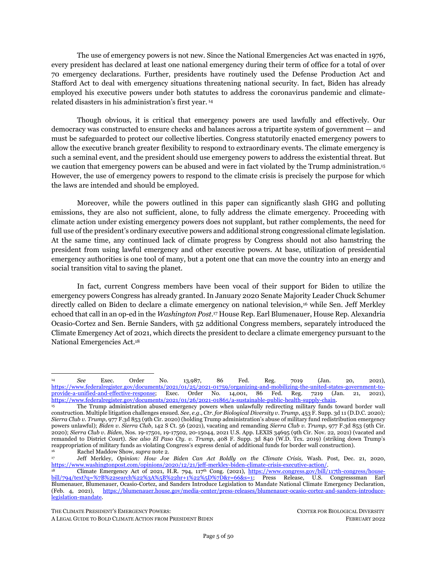wealth and rural communities and communities of color. Also, the DPA can help the administration build out a high-speed rail network, already in place in Europe and Asia, which can significantly shift activity from more polluting sectors such as conventional rail and aviation.<sup>235</sup> And the DPA can help the administration increase efficiencies at ports and airports with clean technologies, while decarbonizing shipping and aviation as quickly as possible.<sup>236</sup>

Importantly, advances in the massive manufacturing and deployment of local energy and transportation systems result in greater green jobs generation — helping to fulfill Biden's American Jobs Plan. According to one study, maximizing DER deployment could increase jobs up to 10 million by 2050, while other studies found that operating a clean, renewable grid with DERs could create 5 million long-term jobs through 2035. <sup>237</sup> Other studies estimate that the transition to electric vehicles could generate 1.9 million new jobs.<sup>238</sup> The president should work with unions and industry players in the coordination and execution process to ensure that labor is unionized and upholds Buy America and Buy Clean standards, pays prevailing wages, honors project labor agreements, uses Department of Labor-registered apprenticeship programs, adheres to local and equitable hiring standards, and maintains high environmental standards.

#### **C. Identifying Clean Technologies and Financing Domestic Green Manufacturing Under DPA Titles I and III**

Pursuant to his Title I DPA authorities, the president should identify the manufacturing needs to realize the plans for renewable energy and transportation systems. Regarding the electricity system that optimizes DERs, he should prioritize the manufacturing of solar panels, photovoltaic cells, photovoltaic

THE CLIMATE PRESIDENT'S EMERGENCY POWERS: CENTER FOR BIOLOGICAL DIVERSITY

*Need for U.S. Charging Infrastructure through 2030* (2021), [https://theicct.org/wp-content/uploads/2021/12/charging-up](https://theicct.org/wp-content/uploads/2021/12/charging-up-america-jul2021.pdf)[america-jul2021.pdf.](https://theicct.org/wp-content/uploads/2021/12/charging-up-america-jul2021.pdf) This estimate is based on 100% light-duty zero-emission vehicles sales by 2040, far fewer sales than climate science demands. President Biden's stated goal of only 500,000 public electric vehicle chargers by 2030 is woefully inadequate to meet demand and would vastly benefit from a coordinated and concerted effort under the DPA. White House, *Fact Sheet: The Biden-Harris Electric Vehicle Charging Action Plan* (Dec. 13, 2021), [https://www.whitehouse.gov/briefing-room/statements](https://www.whitehouse.gov/briefing-room/statements-releases/2021/12/13/fact-sheet-the-biden-harris-electric-vehicle-charging-action-plan/)[releases/2021/12/13/fact-sheet-the-biden-harris-electric-vehicle-charging-action-plan/.](https://www.whitehouse.gov/briefing-room/statements-releases/2021/12/13/fact-sheet-the-biden-harris-electric-vehicle-charging-action-plan/)

<sup>235</sup> For example, high-speed rail can reduce aviation and conventional rail activity on the same corridors as much as 80% shortly after becoming operational. Int'l Energy Agency, *The Future of Rail: Opportunities for Energy and the Environment* (2019), at 99, [https://iea.blob.core.windows.net/assets/fb7dc9e4-d5ff-4a22-ac07-ef3ca73ac680/The\\_Future\\_of\\_Rail.pdf.](https://www.iea.org/reports/the-future-of-rail) A switch to electric rail would cut the industry's annual CO<sub>2</sub> emissions by more than half, and it would sharply curtail the \$6.5 billion in health costs and 1,000 premature deaths that result from train-related air pollution each year. Natalie Popovich et al., *Economic, Environmental and Grid-* $Battery-Electric, 6$ https://www.nature.com/articles/s41560-021-00915-5. These improvements are especially significant as U.S. freight rail capacity is expected to double by 2050. *Id.*

<sup>236</sup> For instance, the federal government can work with industry to ensure that when the federal government is "directly in charge of arranging shipments of goods," "the most efficient ships," routes, modes of transportation, "and the maximum of operational measures are used on the voyage to or around the United States to reduce greenhouse gas emissions." Aoife O'Leary, *Shipping*, *in:* Legal Pathways to Deep Decarbonization in the United States (Env'tl. Law Inst., Michael Gerrard & John C. Dernback eds., 2018). It can also incentivize more efficient air travel, such as by requiring airline owners to evaluate flight occupancy, paths, days, and timing to determine which routes justify reducing the numbers of flights and to operate their planes only if they are at least a certain percentage full. *See generally,* John Fleming, Ctr. for Biological Diversity, *Flight Path: A Trajectory for U.S. Aviation to Meet Global Climate Goals* (2020), [https://www.biologicaldiversity.org/programs/climate\\_law\\_institute/pdfs/Flight-Path-A-Trajectory-for-U-](https://www.biologicaldiversity.org/programs/climate_law_institute/pdfs/Flight-Path-A-Trajectory-for-U-S-Aviation-to-Meet-Global-Climate-Goals.pdf)[S-Aviation-to-Meet-Global-Climate-Goals.pdf.](https://www.biologicaldiversity.org/programs/climate_law_institute/pdfs/Flight-Path-A-Trajectory-for-U-S-Aviation-to-Meet-Global-Climate-Goals.pdf) Further, it can catalyze research and development of newer technologies, such as inductive charging (roads embedded with wireless vehicle charging systems).

In addition to using the DPA authorities to coordinate domestic transportation, if the president declares a national climate emergency, he also has the option of invoking section 114(g) of the Aviation and Transportation Security Act, which charges the Transportation Security Administration ("TSA") with the responsibility to "coordinate domestic transportation, including aviation, rail, and other surface transportation, and maritime transportation (including port security)." This emergency provision also requires TSA "to coordinate and oversee the transportation-related responsibilities" of *other* federal agencies during such emergency. The TSA's responsibility over security extends to all modes of transportation, including the nation's interstate pipeline system. 49 U.S.C.  $\S\S114(d)(2)$ , (g)(1)(A).

<sup>237</sup> Clack et al., *supra* not[e 227,](#page-32-2) at 3; *see also* Jacobson et al., *supra* note 12, (estimating that a clean energy transition will create 4.7 million more long-term, full-time jobs than lost across the U.S.).

<sup>238</sup> Karla Walter et al., Ctr. for Am. Progress, *Electric Vehicles Should Be a Win for American Workers* (2020), [https://www.americanprogress.org/ issues/economy/reports/2020/09/23/489894/electric-vehicles-win-american-workers/.](https://www.americanprogress.org/%20issues/economy/reports/2020/09/23/489894/electric-vehicles-win-american-workers/)

A LEGAL GUIDE TO BOLD CLIMATE ACTION FROM PRESIDENT BIDEN FEBRUARY 2022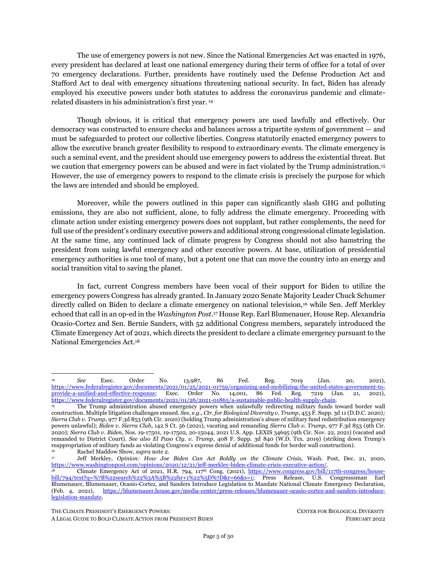<span id="page-34-2"></span>wafers, solar modules, solar grade polysilicon, inverters, racking equipment, trackers, direct current optimizers and other relevant solar components; microgrids and related components; home and community storage technologies and related components; and energy efficiency technologies.<sup>239</sup> The assessment of technologies should also include a supply analysis of which components should be sourced as imports as opposed to domestically manufactured products. This careful analysis should consider severe supply chain delays for imported products driven by Covid-19 and exposing potential national security vulnerabilities of the country240; human rights and environmental abuses related to solar panel production, particularly Uyghur slave labor and mineral mining241; both international and domestic concerns to ensure that mining and labor practices adhere to environmentally safe and high labor standards<sup>242</sup>; and considerations regarding compliance with international trade laws and free trade agreements.

<span id="page-34-1"></span><span id="page-34-0"></span>Similarly, for transportation, the president should identify the critical materials necessary to maximize ZEV deployment, including minerals, batteries, microchips, steel, and electricity components for as described above, for the vehicles themselves and their infrastructure, including necessary acquisitions and materials for building out a high-speed rail network. As with DER, the assessment of technologies must include a supply assessment of which components can and should be manufactured domestically, as opposed to being imported. Its analysis should take into account the severe supply chain delays for imported products driven by Covid-19, which has exposed potential national security vulnerabilities, <sup>243</sup> as well as human rights, labor, and environmental abuses related to mineral mining.<sup>244</sup>

Unfortunately, the United States lacks a robust manufacturing sector for these needed technologies, and Biden should provide financial incentives for renewable energy and clean transportation technologies. In particular, solar, wind, and battery storage manufacturing have all particularly languished in the United States and are produced primarily in Asia and Europe to fulfill global markets. <sup>245</sup> Meanwhile, while automakers have boasted in recent months about ramping up their ZEV manufacturing, they have, in

<sup>239</sup> In 2019, more than 35,000 Americans were employed in U.S. solar manufacturing facilities, most of which focus on the production of steel, racking systems, and trackers. The United States currently has significant production capacity for polysilicon, modest production capacity for solar panels, encapsulants, backsheet, and inverters but no meaningful production capacity for ingots, wafers, cells, solar glass, machine tools, and many balance of system components. There is, thus, a tremendous opportunity to grow the U.S. solar manufacturing base across a broad category of products. See Solar Energy Indus. Ass'n, *American Renewable Energy Manufacturing* (2020), [https://www.seia.org/sites/default/files/2020-09/SEIA-American-Manufacturing-Vision-](https://www.seia.org/sites/default/files/2020-09/SEIA-American-Manufacturing-Vision-2020_FINAL.pdf)2020 FINAL.pdf.<br><sup>240</sup> Bradley

<sup>240</sup> Bradley Martin, *Supply Chains and National Security*, RAND: The RAND Blog (Apr. 12, 2021), [https://www.rand.org/blog/2021/04/supply-chains-and-national-security.html.](https://www.rand.org/blog/2021/04/supply-chains-and-national-security.html)

<sup>&</sup>lt;sup>241</sup> The Biden administration has already banned imports of polysilicon, used to make solar panels, because it is allegedly sources from Uyghur slave labor. *See* White House, *Fact Sheet: New U.S. Government Actions on Forced Labor in Xinjiang* (June 24, 2021), [https://www.whitehouse.gov/briefing-room/statements-releases/2021/06/24/fact-sheet-new-u-s-government-actions](https://www.whitehouse.gov/briefing-room/statements-releases/2021/06/24/fact-sheet-new-u-s-government-actions-on-forced-labor-in-xinjiang/)[on-forced-labor-in-xinjiang/;](https://www.whitehouse.gov/briefing-room/statements-releases/2021/06/24/fact-sheet-new-u-s-government-actions-on-forced-labor-in-xinjiang/) Press Release, Senator Jeff Merkley, Merkley's Bipartisan Uyghur Forced Labor Prevention Act has been Signed into Law (Dec. 23, 2021), [https://www.merkley.senate.gov/news/press-releases/merkleys-bipartisan-uyghur-forced-labor](https://www.merkley.senate.gov/news/press-releases/merkleys-bipartisan-uyghur-forced-labor-prevention-act-has-been-signed-into-law#:~:text=The%20Uyghur%20Forced%20Labor%20Prevention,goods%20in%20work%20camps%2C%20prisons%2C)[prevention-act-has-been-signed-into-](https://www.merkley.senate.gov/news/press-releases/merkleys-bipartisan-uyghur-forced-labor-prevention-act-has-been-signed-into-law#:~:text=The%20Uyghur%20Forced%20Labor%20Prevention,goods%20in%20work%20camps%2C%20prisons%2C)

[law#:~:text=The%20Uyghur%20Forced%20Labor%20Prevention,goods%20in%20work%20camps%2C%20prisons%2C;](https://www.merkley.senate.gov/news/press-releases/merkleys-bipartisan-uyghur-forced-labor-prevention-act-has-been-signed-into-law#:~:text=The%20Uyghur%20Forced%20Labor%20Prevention,goods%20in%20work%20camps%2C%20prisons%2C)

*Coalition to End Forced Labour in the Uyghur Region*, End Uyghur Forced Labor[, https://enduyghurforcedlabour.org/](https://enduyghurforcedlabour.org/) (last visited Feb. 14, 2022); Phred Dvorak & Matthew Dalton, *Solar-Energy Supply Chain Depends on Region Where China Is Accused of Genocide*, Wall St. J., April 11, 2021, [https://www.wsj.com/articles/solar-energy-supply-chain-depends-on-region-where-china-is](https://www.wsj.com/articles/solar-energy-supply-chain-depends-on-region-where-china-is-accused-of-genocide-11618147228)[accused-of-genocide-11618147228.](https://www.wsj.com/articles/solar-energy-supply-chain-depends-on-region-where-china-is-accused-of-genocide-11618147228) 

<sup>242</sup> Payal Sampat, *Can Mining Certification Benefit Communities, Workers, and the Environment?,* Earthworks: EARTHblog (July 6, 2018), [https://earthworks.org/blog/can-mining-certification-benefit-communities-workers-and-the-environment/;](https://earthworks.org/blog/can-mining-certification-benefit-communities-workers-and-the-environment/) Blaine Miller-McFeeley, *To Create a Clean Energy Future, Mining Reform Must be Front and Center*, Earthjustice: From the Experts (June 28, 2021)[, https://earthjustice.org/from-the-experts/2021-june/to-create-a-clean-energy-future-mining-reform-must-be-front-and](https://earthjustice.org/from-the-experts/2021-june/to-create-a-clean-energy-future-mining-reform-must-be-front-and-center)[center.](https://earthjustice.org/from-the-experts/2021-june/to-create-a-clean-energy-future-mining-reform-must-be-front-and-center)

<sup>&</sup>lt;sup>243</sup> Martin, *supra* not[e 240.](#page-34-0)<br><sup>244</sup> See e.g., Earthworks, <sup>244</sup> *See e.g.,* Earthworks, *Declaration on Mining and the Energy Transition for COP 26*, <https://earthworks.org/campaigns/making-clean-energy-clean/declaration-on-mining-and-the-energy-transition-for-cop26/> (last visited Oct. 30, 2021). *See also* Sampat, *supra* not[e 242,](#page-34-1) [https://earthworks.org/blog/can-mining-certification-benefit-communities](https://earthworks.org/blog/can-mining-certification-benefit-communities-workers-and-the-environment/)[workers-and-the-environment/;](https://earthworks.org/blog/can-mining-certification-benefit-communities-workers-and-the-environment/) Miller-McFeeley, *supra* not[e 242.](#page-34-1) <sup>245</sup> *See* Solar Energy Indus. Ass'n, *supra* not[e 239](#page-34-2)

THE CLIMATE PRESIDENT'S EMERGENCY POWERS: CENTER FOR BIOLOGICAL DIVERSITY

A LEGAL GUIDE TO BOLD CLIMATE ACTION FROM PRESIDENT BIDEN FEBRUARY 2022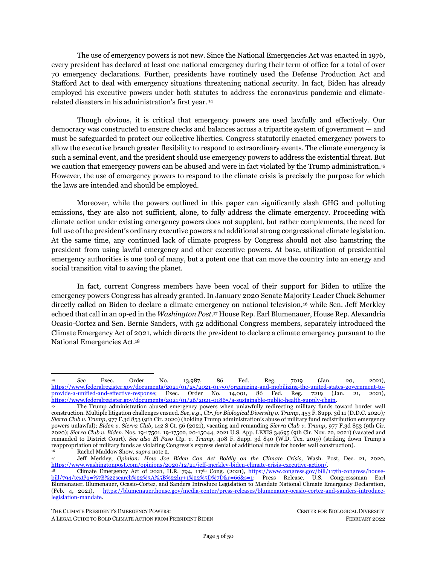fact, lobbied against much stronger emissions standards.<sup>246</sup> For model year 2020, EVs and hybrids comprised only 2.2% of new vehicle fleets, and are expected to have reached a mere 4.2% for model year 2021.<sup>247</sup> At the same time, China has quickly ramped up its ZEV manufacturing, racing far ahead of American automakers with the aim of dominating the global ZEV market.<sup>248</sup>

Pursuant to his Title III DPA authorities, the president can offer loan guarantees, loans, and grants to government or privately-owned manufacturing plants to expand their productive capacity and repurpose equipment to meet the manufacturing demands in clean energy and transportation technologies.<sup>249</sup> To increase the amounts available to support industrial players, the president can work with Congress to appropriate additional funds to the DPA Fund as was accomplished in the additional \$10 billion recently appropriated to shore up domestic manufacturing of Covid-19 medical supplies.250,251 The president can also collaborate within federal agencies to transfer funds to the DPA Fund that align with the purposes of addressing the climate emergency, drawing from the Departments of Energy and Transportation in particular.

Finally, the president can also work with existing agency programs to reach similar ends. For example, the Department of Energy loan program can be directed to prioritize loans for manufacturing goods identified. And the Department of Transportation could offer loans and loan guarantees to "any contractor, subcontractor, provider of critical infrastructure, or other person in support of production capabilities" for ZEVs and ZEV infrastructure, including toward electrified and high-speed rail and zeroemission freight transport.<sup>252</sup> These actions should be done in coordination with existing offices – including the Department of Energy's Office of Small and of Small and Disadvantaged Business Utilization and Office of Economic Impact and Diversity, as well as the Department of Transportation's Disadvantaged Business Enterprise (DBE) program — which were established to remedy past and ongoing discrimination and level the playing field for small businesses owned and controlled by economically disadvantaged individuals to compete for federal contracts.

<sup>246</sup> *See* Hope Yen & Tom Krisher, *Auto Industry Urges Emissions Deal Weaker than Obama's*, AP News, Mar. 12, 2021, [https://apnews.com/article/joe-biden-donald-trump-technology-climate-climate-change-fe2e9ea95ac1a987b63251eeb99433b9;](https://apnews.com/article/joe-biden-donald-trump-technology-climate-climate-change-fe2e9ea95ac1a987b63251eeb99433b9) InfluenceMap, *2021 Climate Policy Footprint* (2021), [https://influencemap.org/report/The-Carbon-Policy-Footprint-Report-2021-](https://influencemap.org/report/The-Carbon-Policy-Footprint-Report-2021-670f36863e7859e1ad7848ec601dda97)

 $\frac{670f_36863e7859e1ad7848ec601dda97}{247}$  U.S. Env't Protection <sup>247</sup> U.S. Env't Protection Agency, *The 2021 EPA Automotive Trends Report* (2021) 55-56, [https://nepis.epa.gov/Exe/ZyPDF.cgi?Dockey=P1013L1O.pdf.](https://nepis.epa.gov/Exe/ZyPDF.cgi?Dockey=P1013L1O.pdf)

<sup>248</sup> Michael Schuman, *The Electric-Car Lesson That China is Serving Up for America*, Atlantic*,* May 21, 2021, [https://www.theatlantic.com/international/archive/2021/05/joe-biden-china-infrastructure/618921/;](https://www.theatlantic.com/international/archive/2021/05/joe-biden-china-infrastructure/618921/) *see also Fact Sheet: The American Jobs Plan*, *supra* not[e 63.](#page-10-2)

<sup>249</sup> DOD has used the Title III program and funding from the DPAF to develop emerging military technologies for six decades, with over \$1 billion in combined government and industry investment as of 2017. U.S. Dep't of Defense, *Annual Industrial Capabilities*, *Fiscal Year 2017 Report to Congress* 33 (2018). DOE and DOT can use these resources instead to develop and deploy clean, zero-emission technologies.<br><sup>250</sup> American Rescue Plan A

<sup>250</sup> American Rescue Plan Act of 2021, Pub. L. No. 117-2, 135 Stat. 4, § 3101(a), Title III.

<sup>251</sup> In May 2021, the Biden administration changed the DPA loan program to ensure the all funds are dedicated to Covid-19 response. A similar approach can be adopted for clean energy and transportation technologies. Ben Kesslen*, Biden Announces Changes to Defense Production Act, Ensuring Funds go to Direct Covid-19 Response*, NBC, May 7, 2021, [https://www.nbcnews.com/politics/joe-biden/biden-announces-changes-defense-production-act-ensuring-funds-go-direct](https://www.nbcnews.com/politics/joe-biden/biden-announces-changes-defense-production-act-ensuring-funds-go-direct-n1266698)[n1266698.](https://www.nbcnews.com/politics/joe-biden/biden-announces-changes-defense-production-act-ensuring-funds-go-direct-n1266698) 

<sup>252</sup> 50 U.S.C. §§ 4531, 4531.

THE CLIMATE PRESIDENT'S EMERGENCY POWERS: CENTER FOR BIOLOGICAL DIVERSITY

A LEGAL GUIDE TO BOLD CLIMATE ACTION FROM PRESIDENT BIDEN FEBRUARY 2022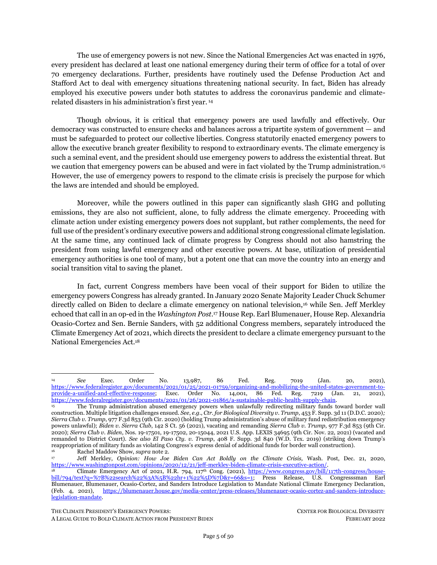### *The Renewable Energy Transition Cannot Repeat the Ecological and Human Rights Harms of Status Quo Fossil Fuel and Mining Practices*

Rapid and widescale deployment of renewable energy and clean transportation is essential to addressing the climate emergency. However, such actions must be conducted in ways that do not exacerbate the biodiversity crisis and commit human rights abuses traditionally undertaken by the fossil fuel and mining industries.

Battery storage technologies require materials extraction, with most commercial batteries relying on often contentious and harmful lithium, cobalt, and other critical minerals mining abroad.<sup>253</sup> Lithium batteries are particularly important for distributed solar generation, including community solar and solar microgrids, which themselves bring benefits of avoided ecosystem destruction and energy democracy opportunities that centralized energy systems do not. The issue is how to ensure the supply chain for these technologies respects environmental and human dignity.

Any renewable energy mining, manufacturing, and siting should be undertaken responsibly and be designed to avoid, minimize, and/or mitigate impacts on imperiled species and communities. Care must be taken to ensure projects do not destroy sensitive habitat, violate the rights of Indigenous and environmental justice communities, or unduly deplete groundwater resources. Some technologies such as direct lithium extraction ("DLE") hold promise for reducing the impacts of lithium production. The U.S. should embark on a large-scale planning effort to identify low-conflict places to produce lithium and low-footprint technologies to produce it with. Overall, the renewable energy transition should be consistent with the societal goals of biodiversity conservation and climate and energy justice.

### **D. Buying and Allocating Manufactured Goods to Be Deployed to Federal Government Agencies, Environmental Justice Communities, and Public Entities Under DPA Titles I and III**

Under DPA Title I, Biden can mandate domestic manufacturers prioritize federal government purchasing contracts for clean technologies, as well as allocate the technologies per the president's discretion. Under DPA Title III, the president can offer federal government purchasing contracts to compel clean manufacturing.

First, under Title I, the president can direct domestic manufacturers to prioritize government contracts purchasing clean technologies and allocate them to federal agencies. The federal government is the single largest energy consumer in the country with a budget of \$650 billion per year. <sup>254</sup> Under section 3 of Title III authorities, the president can offer government purchase contracts as a way to fund the

<sup>253</sup> For more information on critical minerals concerns, *see, e.g.,* Benjamin K. Sovacool, Saleem H. Ali, Morgan Bazilian, Ben Radley, Benoit Nemery, Julia Okatz, Dustin Mulvaney, *Sustainable minerals and metals for a low-carbon future,* 367 Science 30 (2020), [https://science.sciencemag.org/content/sci/367/6473/30.full.pdf?ijkey=p2yHdYIUFKUPg&keytype=ref&siteid=sci.](https://science.sciencemag.org/content/sci/367/6473/30.full.pdf?ijkey=p2yHdYIUFKUPg&keytype=ref&siteid=sci) 

<sup>254</sup> "As the nation's largest energy consumer, the federal government is poised to play a significant role in mitigating the most severe impacts of climate change. With more than 350,000 energy-utilizing buildings and 600,000 vehicles, the U.S. government consumes more energy than New Zealand. Vehicle and equipment use accounts for 60% of total federal government energy use, while the remaining 40% represents energy used in buildings and facilities. Federal buildings spend roughly \$6 billion for electricity and natural gas and produce more than 30 million metric tons of GHG emissions each year. Thus, federal procurement policies can either reinforce our current reliance on fossil resources, or provide a model template for a broader societal shift towards an emission free, renewable electricity and transportation sector." Snape, *supra* not[e 67;](#page-10-3) U.S. Dep't of Energy, *Energy Efficiency & Renewable Energy, Comprehensive Annual Energy Data and Sustainability Performance FY 2020,*  [https://ctsedwweb.ee.doe.gov/Annual/Report/Report.aspx.](https://ctsedwweb.ee.doe.gov/Annual/Report/Report.aspx)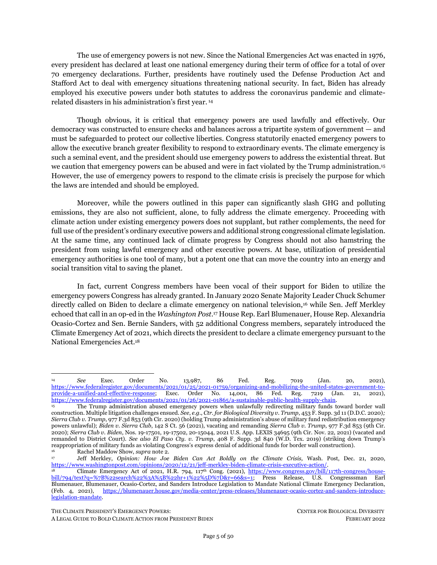manufacturing transition, offering industry players security in new clean technology investments with stable and substantial purchasing agreements. <sup>255,256</sup> Under this purchase and allocation scheme, DER and renewable energy systems can be constructed on federal buildings to power the approximately 8,700 federally-owned and leased properties across the country, as well as generate community solar for surrounding commercial and residential properties and sites for electric vehicle charging. <sup>257</sup> In addition, the government contracts can be used to electrify the federal vehicle fleet — including U.S. Postal Service delivery vehicles (currently the largest federal fleet, poised to execute a procurement contract for 165,000 new vehicles, 90% of which are fossil-fueled trucks), <sup>258</sup> National Park Service shuttles, and Department of Defense vehicles, among many other federal fleets. 259

Second, under both Titles I and III, the president can purchase clean technologies through government contracts and allocate the technologies in collaboration with environmental justice and lowwealth communities. As a matter of national defense, these communities are the most vulnerable to climate change impacts because of historical redlining and other racist housing policies (see Part 2(I), *infra*) and thus warrant priority deployment to mitigate national climate harms. To finance this purchasing, he should adhere to the Justice40 initiatives and draw from the DPA Fund. The administration can also work with existing financing programs, like the Department of Energy's loan program, including the renewable energy and efficient energy projects division and the Tribal energy loan guarantee program, to fund these government contracts under Title III.

Third, to the extent there remains funds in the DPA Fund, the president should prioritize subsidized purchasing and allocation of clean technologies to state, local, and other public entities pursuant to Title I and II powers. As a matter of national defense, the DPA encourages that energy complexes are strategically dispersed to optimize defense capabilities.<sup>260</sup> Public buildings are systematically dispersed across the country and states, acting as hubs for local community solar to generate renewable energy for their own needs and for surrounding homes and buildings. These entities can also be anchor institutions for green vehicle fleets and charging infrastructure.

Bolstering domestic industrial supply also enables the potential for demand to be met through renewable and clean technology exports internationally, supporting Biden's objectives in The American Jobs Plan. The government can work with international climate aid and other aid programs, including the U.S. Agency for International Development, to provide American-made clean energy products and services abroad. Doing so not only secures international demand for domestic DER and clean transportation technologies but also enables other countries to expedite their own respective renewable and clean energy

<sup>255</sup> The DPA serves to complement the president's January 2021 directive to fully utilize the federal government's procurement power to "catalyze private sector investment into, and accelerate the advancement of America's industrial capacity to supply, domestic clean energy, buildings, vehicles, and other necessary products and materials." Exec. Order No. 14,008, *supra* note [1,](#page-1-2) at Section 5, "Federal Clean Electricity and Vehicles Procurement Strategy".

<sup>256</sup> *The Biden Plan for a Clean Energy Revolution and Environmental Justice* (2020)[, https://joebiden.com/climate-plan/;](https://joebiden.com/climate-plan/) White House, *Paris Climate Agreement: Acceptance on Behalf of the United States of America* (Jan. 20, 2021), [https://www.whitehouse.gov/briefing-room/statements-releases/2021/01/20/paris-climate-agreement/.](https://www.whitehouse.gov/briefing-room/statements-releases/2021/01/20/paris-climate-agreement/) 257

<sup>&</sup>lt;sup>257</sup> Snape, *supra* not[e 67.](#page-10-3)<br>The new USPS trucks <sup>258</sup> The new USPS trucks have a fuel economy of, at best, 14.7 mpg fuel economy without air conditioning 8.6 mpg with air conditioning, a negligible (0.4 mpg) improvement over the existing trucks that admittedly do not have air conditioning, but which are, on average, 30 years old. U.S. Postal Serv., *supra* note [68,](#page-10-4) at 2-2, 3-2, B-144, G-2. The average real-world fuel economy for truck SUVs and minivans is 23 mpg and for pickup trucks is 19 mpg. U.S. Env't Protection Agency, *Highlights of the Automotive Trends Report,* Automotive Trends Report <https://www.epa.gov/automotive-trends/highlights-automotive-trends-report> (last visited Feb. 8, 2022).

<sup>259</sup> Snape, *supra* not[e 67.](#page-10-3)

 $2^{60}$  50 U.S.C. §4502(b)(6).

THE CLIMATE PRESIDENT'S EMERGENCY POWERS: CENTER FOR BIOLOGICAL DIVERSITY

A LEGAL GUIDE TO BOLD CLIMATE ACTION FROM PRESIDENT BIDEN FEBRUARY 2022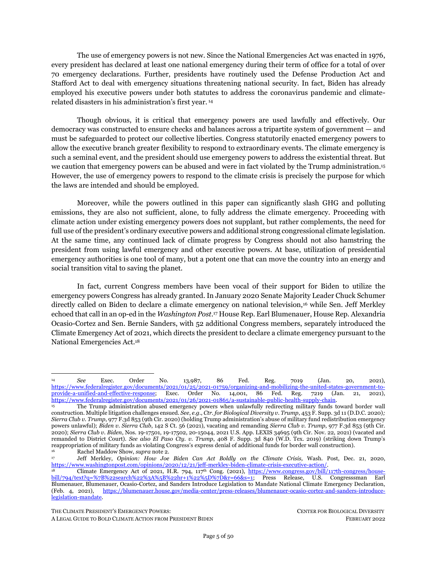transitions in concert with the United States. This ultimately serves to fulfill the country's fair share of climate debt by providing technological assistance and financial aid to other countries. 261

### *Transportation Priorities and Allocations System*

DOT promulgated regulations under Title I of the DPA in 2012.<sup>262</sup> Called the Transportation Priorities and Allocation System ("TPAS"), the regulations establish the process for prioritizing federal contracts and allocating resources and scarce materials related to civil transportation.<sup>263</sup> The nation's largest energy consumer, the federal government consumes more energy than New Zealand and sets an important precedent for other private fleets and the consumer marketplace. <sup>264</sup> Vehicle and equipment use accounts for 60% of total federal government energy use.<sup>265</sup> DOT should revise the TPAS so that the federal government prioritizes orders for ZEVs and ZEV infrastructure, ensuring that those orders would be fulfilled before lower-rated private ZEV orders and lower-rated conventional vehicle orders. <sup>266</sup> This would serve Biden's plan to "purchase 100 precent zero-emission vehicle acquisitions by 2035."<sup>267</sup> Such prioritization would also be in the best long-term interests of vehicle manufacturers, almost all of which have announced ambitious plans to shift their production to ZEVs in the coming years.<sup>268</sup>

THE CLIMATE PRESIDENT'S EMERGENCY POWERS: CENTER FOR BIOLOGICAL DIVERSITY

<sup>261</sup> The U.S. Climate Fair Share, *supra* note [86.](#page-12-0)

<sup>&</sup>lt;sup>262</sup> Prioritization and Allocation Authority Exercised by the Secretary of Transportation Under the Defense Production Act, 77 Fed. Reg. 69769 (Nov. 21, 2012) (to be codified at 49 C.F.R. Pt. 33).

<sup>263</sup> 49 C.F.R. Part 33. Note too: Exec. Order No. 13,603 allows DOT to authorize other agencies to make use of the TPAS regulations and prioritize their own orders for products related to civil transportation. *See* Exec. Order No. 13,603, 77 Fed. Reg. 16651, *supra* not[e 184,](#page-26-0) at 16652.

<sup>264</sup> U.S. Dep't of Energy, *About the Federal Energy Management Program* (2021)[, https://www.energy.gov/eere/femp/about](https://www.energy.gov/eere/femp/about-federal-energy-management-program)[federal-energy-management-program](https://www.energy.gov/eere/femp/about-federal-energy-management-program) (last visited Feb. 14, 2022).

 $\frac{265}{266}$  *Id.* 

<sup>266</sup> Notably, the federal government has several authorities under which it can mobilize its purchasing power to buy ZEVs. The General Services Administration is authorized by 40 U.S.C. 501 to prescribe policies and methods governing the acquisition and supply of utility services for Federal agencies.(40 U.S.C. § 501(b).) This authority includes taking action for an executive agency "to the extent that the Administrator of General Services determines that the action is advantageous to the Federal Government in terms of economy, efficiency, or service…." (40 U.S.C. §501(a)(1).) In addition to GSA's general statutory procurement authority, they are also required to purchase sustainable products and services that reduce greenhouse gas emissions and promote clean energy under the Federal Acquisition Regulations System Part 23. (48 CFR 23.) Snape, *supra* not[e 67.](#page-10-3)

<sup>267</sup> *See* Exec. Order No. 14,057 § 102, 86 Fed. Reg. 70,935, 70,935–36 (Dec. 13, 2021). Notably, rapidly ramping up federal procurement of zero-emission vehicles to 40% of the purchases by 2025 will save the federal government over \$1 billion over the lifetime of vehicles (and could save the Postal Service even more, provided that it nullifies its recent NGDV – fill in – a executes a contract for ZEVs instead). James Di Filippo et al., Atlas Pub. Policy, *Federal Fleet Electrification Assessment* (2021), https://atlaspolicy.com/wp-content/uploads/2021/09/Federal\_Fleet\_Electrification\_Assessment.pdf

<sup>268</sup> *See, e.g.,* Annie White, *Here Are All the Promises Automakers Have Made About Electric Cars*, Car and Driver, Jun. 21, 2021, [https://www.caranddriver.com/news/g35562831/ev-plans-automakers-timeline/.](https://www.caranddriver.com/news/g35562831/ev-plans-automakers-timeline/)

A LEGAL GUIDE TO BOLD CLIMATE ACTION FROM PRESIDENT BIDEN FEBRUARY 2022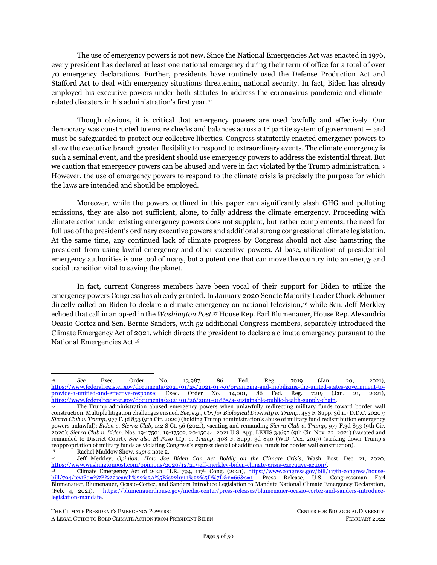## <span id="page-39-0"></span>**III. PRESIDENTIAL POWERS UNDER THE STAFFORD ACT**

*"FEMA is no longer looking at itself as just a response agency but a true resilience agency."*

– White House National Climate Advisor Gina McCarthy<sup>269</sup>

## <span id="page-39-1"></span>**1. Direct FEMA to Construct Climate-Resilient Energy Systems in Frontline Communities**

President Biden can use the Robert T. Stafford Disaster Relief and Emergency Assistance Act ("Stafford Act")<sup>270</sup> to unlock significant finance to construct resilient renewable energy systems in frontline and environmental justice communities vulnerable to climate disasters, as well as direct disaster funding away from fossil fuel investments. Once he declares the climate crisis as an emergency and when he declares major disasters in states, Tribal nations, and territories, the Stafford Act permits the president to deploy federal assistance to supplement state and local efforts towards disaster and emergency relief. <sup>271</sup> As of now, FEMA has budgeted \$19 billion for FY2022 to address ongoing disasters — which can be supplemented by congressional appropriations. By directing a large proportion of this funding toward pre-disaster mitigation and building clean, resilient, efficient energy systems — prioritizing underserved communities that bear the brunt of climate harm and that have been historically neglected — the president and FEMA can help reduce emissions, better prepare communities to withstand future climate disasters, realize the Biden administration's Justice40 goals, and redress historical patterns of environmental racism in FEMA's relief work.

### *Legal Authority*

Under the Stafford Act, the president can undertake two types of declarations to unlock several forms of financial assistance to states, Tribal states, and local governments: *emergency* and *major disaster* declarations. Both declarations provide different ranges of assistance and financial support, as well as differ in the process of triggering such declarations. The declaration of one does not prevent the declaration of the other. This section outlines (1) the general types of funding assistance made available under declarations; (2) the funding and programmatic scope of each type of declaration.

### <span id="page-39-2"></span>**1. Funding Assistance**

As a threshold matter, the Disaster Relief Fund ("DRF") is the primary source of funding for the federal government's disaster relief program.<sup>272</sup> As FEMA coordinates federal disaster relief efforts, it manages the DRF, though funds from the DRF are directed toward disaster preparedness and relief programs of several agencies, including FEMA itself.<sup>273</sup> In addition to annual and continuing appropriations from Congress, FEMA also receives supplemental appropriations from Congress in the wake of specific

<sup>269</sup> FEMA, *2022-2026 Strategic Plan: Building the FEMA Our Nation Needs and Deserves* (2021), [https://www.fema.gov/sites/default/files/documents/fema\\_2022-2026-strategic-plan.pdf.](https://www.fema.gov/sites/default/files/documents/fema_2022-2026-strategic-plan.pdf)

<sup>&</sup>lt;sup>270</sup> 42 U.S.C. § 5121 *et seq.*<br><sup>271</sup> 42 U.S.C. § 5122(1) The

<sup>271</sup> 42 U.S.C. § 5122(1). The definition of "emergency" in the Stafford Act is broad, and includes "any occasion or instance for which, in the determination of the President, Federal assistance is needed to supplement State and local efforts and capabilities to save lives and to protect property and public health and safety, or to less or avert the threat of a catastrophe in any part of the United States."

<sup>272</sup> Cong. Research Serv., R45484, *The Disaster Relief Fund: Overview and Issues* (2022), <https://sgp.fas.org/crs/homesec/R45484.pdf> [hereinafter *CRS, Disaster Relief Fund*]. <sup>273</sup> *Id.*

A LEGAL GUIDE TO BOLD CLIMATE ACTION FROM PRESIDENT BIDEN FEBRUARY 2022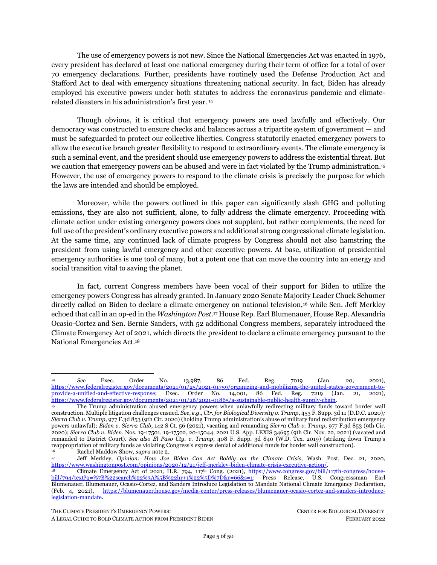incidents — usually not limited to relief for a specific incident, timeframe, or program — for the DRF.<sup>274</sup> FEMA's budgeted DRF spending for FY2022 is approximately \$19 billion, and includes some support for confronting climate change.<sup>275</sup>

The president's declaration of an emergency or major disaster under the Stafford Act unlocks the following principal forms of federal assistance to support state, local, and Tribal governments in disaster management: <sup>276</sup> All of these forms of assistance receive funds from the DRF.<sup>277</sup> There are three primary buckets of assistance: (A) Public Assistance (which includes funds for hazard mitigation); (B) Individual Assistance; and (C) Pre-disaster Mitigation Grants.

- <span id="page-40-2"></span><span id="page-40-1"></span><span id="page-40-0"></span>*A. Public Assistance ("PA")***:** Provides grants to state, territorial, Tribal, and local governments, and certain private nonprofit organizations to provide emergency protective services, conduct debris removal operations, and repair or replace damaged public infrastructure. PA constitutes the largest draw from the DRF of any Stafford Act program<sup>278</sup> and includes three buckets of aid:<sup>279</sup>
	- (i) *Emergency Work.* Emergency Work assistance is for immediate threats to lives, safety, and property. This bucket includes work such as debris removal and emergency protective measures, such as medical care, evacuations and sheltering, search and rescue, dissemination of information, security, and fighting floods. <sup>280</sup> This assistance is *available for emergency and major disaster declarations*. 281
	- (ii) *Permanent Work.* Permanent Work assistance is for longer-term restoration work. It includes restoration of roads and bridges, water control facilities, buildings and equipment, utilities and infrastructure, and parks, recreational, and other facilities.<sup>282</sup> This assistance is *available for major disaster declarations only*. 283

THE CLIMATE PRESIDENT'S EMERGENCY POWERS: CENTER FOR BIOLOGICAL DIVERSITY

<sup>274</sup> Cong. Research Serv., *supra* note [272,](#page-39-2) at 4; Cong. Research Serv., IF11529, *A Brief Overview of FEMA's Public Assistance Program* (Mar. 8, 2021)[, https://crsreports.congress.gov/product/pdf/IF/IF11529](https://crsreports.congress.gov/product/pdf/IF/IF11529) [hereinafter Cong. Research Serv., *IF11529*]. <sup>275</sup> U.S. Dep't of Homeland Security, *Budget-in-Brief Fiscal Year 2022* (2021), https://www.dhs.gov/sites/default/files/publications/dhs\_bib\_-\_web\_version\_-\_final\_508.pdf.

<sup>&</sup>lt;sup>276</sup> The assistance FEMA provides for emergencies and major disasters is subject to cost share with the state and Tribal governments. In general, the federal government's share not less than 75 percent. FEMA, FP 104-009-2, *Public Assistance Program and Policy Guide, Version 4* (June 1, 2020), [https://www.fema.gov/sites/default/files/documents/fema\\_pappg-v4-updated](https://www.fema.gov/sites/default/files/documents/fema_pappg-v4-updated-links_policy_6-1-2020.pdf)[links\\_policy\\_6-1-2020.pdf](https://www.fema.gov/sites/default/files/documents/fema_pappg-v4-updated-links_policy_6-1-2020.pdf) [hereinafter FEMA, *Public Assistance Program and Policy Guide*]. However, President Biden made FEMA assistance for the COVID-19 emergency available at 100 percent federal cost share for a specified period of time. White House, *Memorandum to Extend Federal Support to Governors' Use of the National Guard to Respond to COVID-19 and to Increase Reimbursement and Other Assistance Provided to States* (Jan. 21, 2021)[, https://www.whitehouse.gov/briefing-room/presidential](https://www.whitehouse.gov/briefing-room/presidential-actions/2021/01/21/extend-federal-support-to-governors-use-of-national-guard-to-respond-to-covid-19-and-to-increase-reimbursement-and-other-assistance-provided-to-states/)[actions/2021/01/21/extend-federal-support-to-governors-use-of-national-guard-to-respond-to-covid-19-and-to-increase](https://www.whitehouse.gov/briefing-room/presidential-actions/2021/01/21/extend-federal-support-to-governors-use-of-national-guard-to-respond-to-covid-19-and-to-increase-reimbursement-and-other-assistance-provided-to-states/)[reimbursement-and-other-assistance-provided-to-states/.](https://www.whitehouse.gov/briefing-room/presidential-actions/2021/01/21/extend-federal-support-to-governors-use-of-national-guard-to-respond-to-covid-19-and-to-increase-reimbursement-and-other-assistance-provided-to-states/) 

<sup>277</sup> Cong. Research Serv., R45484, *supra* not[e 272](#page-39-2)*: Overview and Issues* (2022)[, https://sgp.fas.org/crs/homesec/R45484.pdf](https://sgp.fas.org/crs/homesec/R45484.pdf) at 5. While the majority of federal financial disaster assistance is made available from FEMA under the Stafford Act, there are additional programs administration by other agencies that also provide federal assistance in disasters. See Cong. Research Serv., R41981, *Congressional Primer on Responding to and Recovering from Major Disasters and Emergencies* 15-16 (2020), [https://sgp.fas.org/crs/homesec/R41981.pdf.](https://sgp.fas.org/crs/homesec/R41981.pdf)

<sup>&</sup>lt;sup>278</sup> Cong. Research Serv., *IF11529*, *supra* not[e 274,](#page-40-0) at 24.<br><sup>279</sup> See generally FEMA Public Assistance Program and

<sup>279</sup> *See generally,* FEMA*, Public Assistance Program and Policy Guide, supra* note [276](#page-40-1)*.*

<sup>&</sup>lt;sup>280</sup> *Id.* at Ch. 7.<br><sup>281</sup> Cong Rese

<sup>281</sup> Cong. Research Serv., *IF11529*, *supra* note [274.](#page-40-0) The two forms of PA emergency work authorized for an emergency declaration are debris removal (authorized under Stafford Act Sections 403, 407, and 502) and emergency protective measures (authorized under Stafford Act Sections 402, 403, 418, 419, and 502). *See also* FEMA, *How a Disaster Gets Declared*, <https://www.fema.gov/disaster/how-declared> (last updated Jan. 4, 2022) [hereinafter FEMA, *How a Disaster Gets Declared*].

<sup>282</sup> FEMA*, Public Assistance Program and Policy Guide*, *supra* note [276](#page-40-1)*,* at Ch. 7. Note that funding is capped based on the estimated amount to restore the damaged facility to its pre-disaster design and function. *Id.* at 163.

<sup>283</sup> Cong. Research Serv., *IF11529*, *supra* not[e 274;](#page-40-0) FEMA, *How a Disaster Gets Declared*, *supra* note [281.](#page-40-2)

A LEGAL GUIDE TO BOLD CLIMATE ACTION FROM PRESIDENT BIDEN FEBRUARY 2022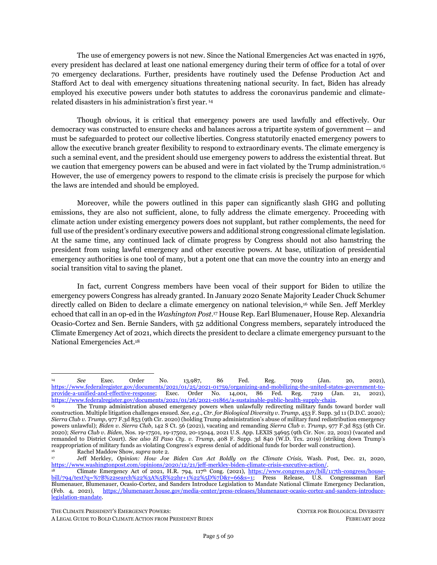- <span id="page-41-2"></span><span id="page-41-1"></span><span id="page-41-0"></span>(iii) *Hazard Mitigation Assistance*. Funding for hazard mitigation comes through FEMA's Hazard Mitigation Grant Program ("HMGP"), <sup>284</sup> which includes both mitigation projects that reduce the risks of future disasters, and resiliency projects that increase community resilience to future disasters. <sup>285</sup> The funding amounts are capped depending on the overall amount of assistance for the disaster and as provided in FEMA-approved Hazard Mitigation Plans, required to be in place prior to a recipient receiving any Permanent Work PA assistance.286,287 FEMA obligated approximately \$8.5 billion dollars total for PA mitigation projects from 1999 to Aug. 21, 2020.<sup>288</sup> On Aug. 8, 2021, Biden approved more than \$3.46 billion (4% of the overall Covid-19 pandemic disaster costs) in hazard mitigation funding for the Covid-19 pandemic to be used for mitigation projects to reduce the impacts of climate change.<sup>289</sup> *This assistance is available for major disaster declarations only.*<sup>290</sup>
- *B. Individual Assistance ("IA")*: Provides direct aid to affected individuals and households, including housing assistance, with caps at \$35,500 for any individual or household in FY2020 (and adjusted annually). <sup>291</sup> *This assistance is available for emergency and major disaster declarations.<sup>292</sup>*
- *C. Pre-disaster Mitigation Grants***.** In addition to the Hazard Mitigation Grant Program, FEMA administers the Flood Mitigation Assistance program<sup>293</sup> and the Building Resilient Infrastructure and Communities ("BRIC") program (previously, the Pre-Disaster Mitigation Program), a competitive grant program that provides funds annually for hazard mitigation

<sup>284</sup> 42 U.S.C. §§ 5170c, 5172(e); 44 C.F.R. § 206.226(e). Hazard Mitigation Assistance Grants include Post-Fire Grants.

<sup>285</sup> The HMGP includes Fire Management Assistance Grants available to mitigation future fire disasters. 42 U.S.C. §§ 5170c; 5187(d). *See* FEMA, *Fire Management Assistance Grants*,<https://www.fema.gov/assistance/public/fire-management-assistance> (last updated July 1, 2021) [hereinafter FEMA, *Fire Management Assistance Grants*].

<sup>286</sup> 42 U.S.C. § 5170c(a). Hazard Mitigation Grant Funding is authorized with a Presidential Major Disaster Declaration. The amount of funding made available to the applicant is up to 20 percent of the total federal assistance amount provided for recovery from the presidentially declared disaster (42 U.S.C. 5165(e); 44 C.F.R. § 206.432(b)), though it is more commonly around 15 percent.<br>FEMA, Fact Sheet: Summary of FEMA Hazard Mitigation Assistance Grant Programs (2021), FEMA, *Fact Sheet: Summary of FEMA Hazard Mitigation Assistance Grant Programs* (2021), [https://www.fema.gov/sites/default/files/documents/fema\\_summary-fema-hazard-mitigation-assistance-grant-](https://www.fema.gov/sites/default/files/documents/fema_summary-fema-hazard-mitigation-assistance-grant-programs_032321.pdf)

[programs\\_032321.pdf](https://www.fema.gov/sites/default/files/documents/fema_summary-fema-hazard-mitigation-assistance-grant-programs_032321.pdf) [hereinafter FEMA, *Summary of Hazard Mitigation Assistance Grant Programs*].

Recipients of funding for PA Permanent Work must have a FEMA-approved Hazard Mitigation Plan in place, showing how they intend to reduce risks from natural hazards. The plan must be updated every 5 years. 44 C.F.R. §§ 201.3(c)(1), (e)(1), 206.226(a). Hazard Mitigation Plans can be funded through PA Mitigation as well as non-emergency Hazard Mitigation Assistance funds, such as the BRIC program. FEMA, *Mitigation Planning and Grants*, [https://www.fema.gov/emergency-managers/risk](https://www.fema.gov/emergency-managers/risk-management/hazard-mitigation-planning/requirements)[management/hazard-mitigation-planning/requirements](https://www.fema.gov/emergency-managers/risk-management/hazard-mitigation-planning/requirements) (last updated May 29, 2021).

<sup>288</sup> Cong. Research Serv., R46749, *FEMA's Public Assistance Program: A Primer and Considerations for Congress* 23 (2021), [https://crsreports.congress.gov/product/pdf/R/R46749.](https://crsreports.congress.gov/product/pdf/R/R46749)

<sup>289</sup> Press Release, FEMA, Biden Administration Commits Historic \$3.46 Billion in Hazard Mitigation Funds to Reduce Effects of Climate Change (Aug. 5, 2021), [https://www.fema.gov/press-release/20210805/biden-administration-commits-historic-346](https://www.fema.gov/press-release/20210805/biden-administration-commits-historic-346-billion-hazard-mitigation-funds) [billion-hazard-mitigation-funds.](https://www.fema.gov/press-release/20210805/biden-administration-commits-historic-346-billion-hazard-mitigation-funds) The investment is available for natural hazard mitigation measures across the 59 major disaster declarations issued due to the COVID-19 pandemic.

<sup>290</sup> 42 U.S.C. § 5170c; FEMA, *How a Disaster Gets Declared*, *supra* note [281;](#page-40-2) FEMA, *Summary of Hazard Mitigation Assistance Grant Programs, supra* note [286.](#page-41-0)

<sup>291</sup> 42 U.S.C. § 5174(h)(1); Notice of Maximum Amount of Assistance Under the Individuals and Households Program, 84 Federal Register 55324 (Oct. 16, 2019), [https://www.govinfo.gov/content/pkg/FR-2019-10-16/pdf/2019-22471.pdf.](https://www.govinfo.gov/content/pkg/FR-2019-10-16/pdf/2019-22471.pdf) It is adjusted annually to reflect changes in the Consumer Price Index for All Urban Consumers published by the Department of Labor (42 U.S.C.  $\S5174(h)(3)$ ).

<sup>292</sup> FEMA, *How a Disaster Gets Declared*, *supra* note [281;](#page-40-2) FEMA, FP 104-009-03, *Individual Assistance Program and Policy Guide (IIAPPG), Version 1.1* (2021)[, https://www.fema.gov/sites/default/files/documents/fema\\_iappg-1.1.pdf.](https://www.fema.gov/sites/default/files/documents/fema_iappg-1.1.pdf)  293

The Flood Mitigation Assistance Program, which provides funding for flood mitigation projects and flood hazard mitigation planning in order to reduce or eliminate claims under the National Flood Insurance Program. FEMA, *Flood Mitigation Assistance (FMA) Grant*,<https://www.fema.gov/grants/mitigation/floods> (last updated Feb. 8, 2022). This paper will focus generally on the BRIC program, however.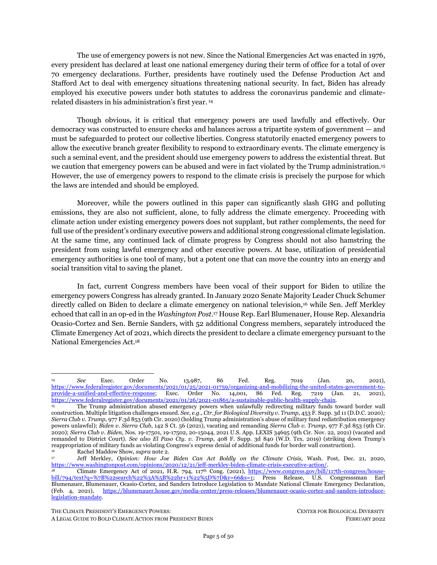planning and projects.<sup>294</sup> The BRIC program prioritizes projects that: incentivize activities that mitigate risk to public infrastructure; benefit disadvantaged communities or mitigate risk to one or more community lifelines; incorporate nature-based solutions; enhance climate resilience and adaptation; and facilitate the adoption and enforcement of the latest building codes.<sup>295</sup> The Stafford Act authorizes FEMA to set aside six percent of estimated disaster expenses for each major disaster to fund the BRIC program.<sup>296</sup> In 2021, Biden set aside \$1 billion for the BRIC program.<sup>297</sup> The projected budget for the FY2022 BRIC program includes an additional \$500 million specifically set aside for climate resilience projects. <sup>298</sup> The ability to apply for BRIC funds requires only that the state or Tribal government within the state received a *major disaster declaration within the last 7 years*. 299

#### **2. Presidential Declarations**

*A. Emergency declaration*. The first type of presidential declaration is an emergency declaration, which is defined as:

any occasion or instance for which, in the determination of the President, Federal assistance is needed to supplement [State](https://www.law.cornell.edu/definitions/uscode.php?width=840&height=800&iframe=true&def_id=42-USC-80204913-1248715824&term_occur=999&term_src=) and local efforts and capabilities to save lives and to protect property and public health and safety, or to lessen or avert the threat of a catastrophe in any part of the [United](https://www.law.cornell.edu/definitions/uscode.php?width=840&height=800&iframe=true&def_id=42-USC-2032517217-1248715825&term_occur=999&term_src=title:42:chapter:68:subchapter:I:section:5122)  [States.](https://www.law.cornell.edu/definitions/uscode.php?width=840&height=800&iframe=true&def_id=42-USC-2032517217-1248715825&term_occur=999&term_src=title:42:chapter:68:subchapter:I:section:5122) 300

An emergency declaration is far more limited than a major disaster declaration in the type of assistance it can provide through federal agencies alone, cloistered to Individual Assistance and Public Assistance Emergency Work only. Emergency declarations may be declared prior to an incident occurring to "lessen or avert the threat of a catastrophe" to protect the public.<sup>301</sup> However, the assistance provided for a single emergency declaration is capped at \$5 million, though it may (and often does) exceed the cap upon the president's determination that continued emergency assistance is required. 302

While the type of assistance is more limited, the process of declaring an emergency is arguably more flexible than the declaration of a major disaster. The president may declare an emergency under two circumstances: (1) at the request of a state governor or the chief executive of a Tribal government "based on a finding that the [disaster or] situation is of such severity and magnitude that effective response is beyond the capabilities of the State and the affected local governments and that Federal assistance is necessary"; 303

<sup>295</sup> FEMA, *Notice of Funding Opportunity for Fiscal Year 2021 Building Resilient Infrastructure and Communities Grants* (Aug. 9, 2021)[, https://www.fema.gov/fact-sheet/notice-funding-opportunity-fiscal-year-2021-building-resilient-infrastructure-and;](https://www.fema.gov/fact-sheet/notice-funding-opportunity-fiscal-year-2021-building-resilient-infrastructure-and) *see also* Cong. Research Serv., IN11515, *FEMA Pre-Disaster Mitigation: The Building Resilient Infrastructure and Communities (BRIC) Program* (updated Sept. 17, 2021), [https://crsreports.congress.gov/product/pdf/IN/IN11515;](https://crsreports.congress.gov/product/pdf/IN/IN11515) 42 USC § 5133(g).

<sup>294</sup> 42 U.S.C § 5133.

<sup>296</sup> 42 U.S.C. § 5133(i). *See also* Hazard Mitigation Assistance: Building Resilient Infrastructure and Communities, 85 Fed Reg. 20291 (Noticed Apr. 10, 2020), [https://www.federalregister.gov/documents/2020/04/10/2020-07609/hazard-mitigation](https://www.federalregister.gov/documents/2020/04/10/2020-07609/hazard-mitigation-assistance-building-resilient-infrastructure-and-communities)[assistance-building-resilient-infrastructure-and-communities.](https://www.federalregister.gov/documents/2020/04/10/2020-07609/hazard-mitigation-assistance-building-resilient-infrastructure-and-communities)

<sup>297</sup> White House, *Fact Sheet: Biden Administration Invests \$1 Billion to Protect Communities, Families, and Businesses Before Disaster Strikes* (May 24, 2021), [https://www.whitehouse.gov/briefing-room/statements-releases/2021/05/24/fact-sheet-biden](https://www.whitehouse.gov/briefing-room/statements-releases/2021/05/24/fact-sheet-biden-administration-invests-1-billion-to-protect-communities-families-and-businesses-before-disaster-strikes/)[administration-invests-1-billion-to-protect-communities-families-and-businesses-before-disaster-strikes/.](https://www.whitehouse.gov/briefing-room/statements-releases/2021/05/24/fact-sheet-biden-administration-invests-1-billion-to-protect-communities-families-and-businesses-before-disaster-strikes/) 

<sup>298</sup> U.S. Dep't of Homeland Security, Federal Emergency Management Agency, *Disaster Relief Fund: Fiscal Year 2022 Funding Requirements* 5 (2021), [https://www.dhs.gov/sites/default/files/publications/fema\\_-](https://www.dhs.gov/sites/default/files/publications/fema_-_disaster_relief_fund_fy_2022_funding_requirements.pdf) [\\_disaster\\_relief\\_fund\\_fy\\_2022\\_funding\\_requirements.pdf;](https://www.dhs.gov/sites/default/files/publications/fema_-_disaster_relief_fund_fy_2022_funding_requirements.pdf) Cong. Research Serv., R46822, *DHS Budget Request Analysis: FY2022*  21-22 (2021), [https://sgp.fas.org/crs/homesec/R46822.pdf.](https://sgp.fas.org/crs/homesec/R46822.pdf)

<sup>&</sup>lt;sup>299</sup> 42 U.S.C. § 5133(g).<br><sup>300</sup> 42 U.S.C. § 5122(1)

<sup>300</sup> 42 U.S.C. § 5122(1).

<sup>301</sup> 42 U.S.C. §§ 5122, 5192(a)(1)

<sup>302</sup> 42 U.S.C. § 5193; Press Release, FEMA, Statement Regarding FEMA's Emergency Declaration \$5 Million Cap (Jan. 13, 2020), [https://www.fema.gov/press-release/20210318/statement-regarding-femas-emergency-declaration-5-million-cap.](https://www.fema.gov/press-release/20210318/statement-regarding-femas-emergency-declaration-5-million-cap)  <sup>303</sup> 42 U.S.C. § 5191.

THE CLIMATE PRESIDENT'S EMERGENCY POWERS: CENTER FOR BIOLOGICAL DIVERSITY

A LEGAL GUIDE TO BOLD CLIMATE ACTION FROM PRESIDENT BIDEN FEBRUARY 2022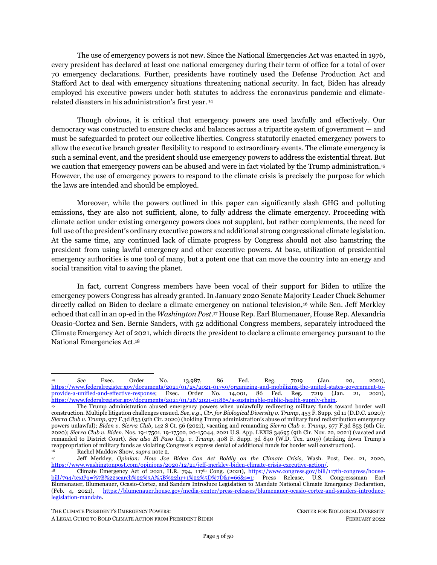or (2) unilaterally declare that an emergency exists in situations where the primary responsibility for responding to an emergency rests with the federal government.<sup>304</sup> While presidents are only permitted to unilaterally announce emergencies with respect to areas that are of the primary responsibility of the federal government,<sup>305</sup> the climate crisis is an issue of grave national security whose protection lies first and foremost with the federal government.

*B***.** *Major disaster declaration*. The second type of presidential declaration is the major disaster declaration, which is defined as:

any natural catastrophe (including any hurricane, tornado, storm, high water, winddriven water, tidal wave, tsunami, earthquake, volcanic eruption, landslide, mudslide, snowstorm, or drought), or, regardless of cause, any fire, flood, or explosion, in any part of the [United States,](https://www.law.cornell.edu/definitions/uscode.php?width=840&height=800&iframe=true&def_id=42-USC-2032517217-1248715825&term_occur=999&term_src=title:42:chapter:68:subchapter:I:section:5122) which in the determination of the President causes damage of sufficient severity and magnitude to warrant [major](https://www.law.cornell.edu/definitions/uscode.php?width=840&height=800&iframe=true&def_id=42-USC-1870883208-1248715826&term_occur=999&term_src=)  [disaster](https://www.law.cornell.edu/definitions/uscode.php?width=840&height=800&iframe=true&def_id=42-USC-1870883208-1248715826&term_occur=999&term_src=) assistance under this chapter to supplement the efforts and available resources of [States,](https://www.law.cornell.edu/definitions/uscode.php?width=840&height=800&iframe=true&def_id=42-USC-80204913-1248715824&term_occur=999&term_src=) [local governments,](https://www.law.cornell.edu/definitions/uscode.php?width=840&height=800&iframe=true&def_id=42-USC-801009210-1248715820&term_occur=999&term_src=title:42:chapter:68:subchapter:I:section:5122) and disaster relief organizations in alleviating the damage, loss, hardship, or suffering caused thereby. <sup>306</sup>

A major disaster declaration unlocks all types of assistance. Most notably for climate mitigation and resilience, this includes Public Assistance Permanent Work (in addition to Emergency Work also available with an emergency declaration) and Hazard Mitigation Assistance. The process of declaring a major disaster is arguably more limited than an emergency declaration: the president can only declare a major disaster at the request of a state governor or the chief executive of an Indian tribal government. Without such "bottom up" requests, he cannot unilaterally declare a major disaster.

Past presidents have frequently invoked the Stafford Act. According to analysis by the Brennan Center, "[b]etween 1953 and 2014, averages of 35.5 major disaster declarations were issued annually by Presidents under the Stafford Act and its predecessor Disaster Relief Acts. Emergency declarations under this Act have been issued on average 9 times annually between 1974 and 2014."<sup>307</sup>

<sup>304</sup> See *id*. § 5191(b). Note that a President cannot unilaterally declare a "major disaster," however.

<sup>42</sup> U.S.C. § 5191(b).

<sup>306</sup> A42 U.S.C. § 5122(1). Of note for climate change, FEMA has also established a third type of declaration, Fire Management Assistance Grant (FMAG) declarations, through regulation. That process differs significantly from the emergency and major disaster processes and is not discussed here. *See* FEMA, *Fire Management Assistance Grants, supra* not[e 285.](#page-41-1)

<sup>307</sup> Brennan Center, *supra* not[e 93.](#page-14-2)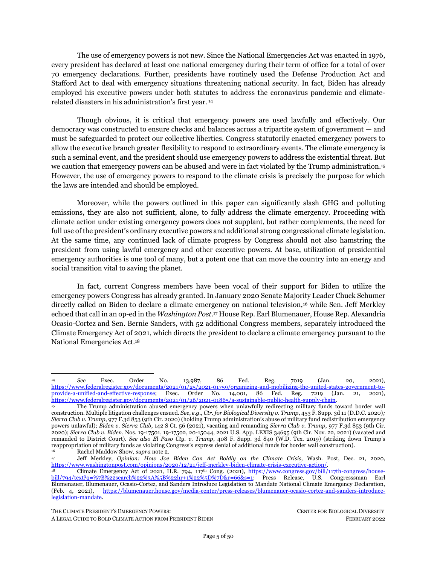#### <span id="page-44-0"></span>**FEMA and the Defense Production Act**

 FEMA has been delegated significant authority under the DPA. FEMA is responsible for government-wide coordination for use of DPA authorities.<sup>308</sup> To protect national security, the agency can use DPA Title I priorities and allocations authorities to support emergency and disaster activities, including for emergency preparedness programs under Title VI of the Stafford Act and programs to protect or restore critical infrastructure.<sup>309</sup> The agency also has authority under Title VII of the DPA to develop national plans of action and voluntary agreements to address emergencies, such as the Covid-19 pandemic.<sup>310</sup> Through both the DPA and the Stafford Act, FEMA can coordinate the Departments of Energy, Transportation, and Defense to facilitate the creation of a game plan and cooperative agreements among industry players and deploy DER and clean transportation infrastructure. By using its authorities under the Stafford Act in combination with those conferred by the DPA, FEMA can expedite a coordinated government effort to transform our nation's energy and transportation systems with a priority concentration on climate-vulnerable communities.

### *Application to Climate Action: Develop Climate-Resilient Communities Prioritizing Frontline Communities and Redress Disaster Aid Inequities*

The president should declare the climate crisis as an emergency and major disaster, where states have requested such declarations. He should ensure all mitigation funding unlocked through emergency and major disaster declarations is allocated, and that all FEMA funding undertaking pre- or post-disaster relief work prioritizes climate resiliency and equity instead of polluting, fossil-fuel-based infrastructure. At the same time, the president should work with Congress to: 1) boost funding for climate mitigation, including by expanding appropriations and lifting statutory spending caps for mitigation projects; and 2) clarify FEMA's role in funding projects that minimize or prevent slow-onset, compounding, or cascading disasters like desertification, sea-level rise, and coastal erosion.<sup>311</sup> As past FEMA Administrator Brock Long testified before Congress, "I cannot overstate the importance of focusing on investing in mitigation before

THE CLIMATE PRESIDENT'S EMERGENCY POWERS: CENTER FOR BIOLOGICAL DIVERSITY

<span id="page-44-1"></span><sup>308</sup> Exec. Order No. 13,603, 77 Fed. Reg. 16651, *supra* not[e 184,](#page-26-0) at sec. 202; Dep't of Homeland Security, Delegation 09052 Rev. 00, *Delegation of Defense Production Act Authority to the Administrator of the Federal Emergency Management Agency* (Jan. 3, 2017), [https://www.dhs.gov/sites/default/files/publications/2017-HQFO-01350%20records.pdf;](https://www.dhs.gov/sites/default/files/publications/2017-HQFO-01350%20records.pdf) FEMA, *Defense Production Act Authority and Functions of the FEMA Administrator*, <https://www.fema.gov/es/node/481474> [hereinafter FEMA, *Defense Production Act Authority*]. *See also* DPA Act, 50 U.S.C. § 4502(b)(8) (identifying FEMA as a coordinating body for geographic dispersal of industrial facilities in the interest of the national defense).

<sup>309</sup> FEMA, *Department of Homeland Security (DHS) Approved Programs,* FEMA[, https://www.fema.gov/disaster/defense](https://www.fema.gov/disaster/defense-production-act/dhs-approved-programs)[production-act/dhs-approved-programs](https://www.fema.gov/disaster/defense-production-act/dhs-approved-programs) (last updated July 6, 2021); FEMA, *Defense Production Act Authority, supra* not[e 308.](#page-44-0) See also 44 C.F.R. § 330.2 authorizing FEMA to use priorities and allocations authority under Section 101(c) of the DPA to "maximize domestic energy supplies" through "transportation, or conservation of energy supplies, or the construction and maintenance of energy facilities" if materials are "scarce, critical, and essential," and those activities cannot otherwise reasonably be accomplished without using this authority.

<sup>310</sup> Voluntary Agreements Under Section 708 of the Defense Production Act of 1950, 44 C.F.R. Part 332 (2022). *See e.g.,* Plan of Action to Establish a National Strategy for the Manufacture, Allocation, and Distribution of Personal Protective Equipment (PPE) to Respond to Covid-19 Implemented Under the Voluntary Agreement for the Manufacture and Distribution of Critical Healthcare Resources Necessary to Respond to a Pandemic, 85 Fed. Reg. 79,020 (Noticed Dec. 7, 2020), [https://www.regulations.gov/document/FEMA-2020-0016-0044.](https://www.regulations.gov/document/FEMA-2020-0016-0044) 

<sup>311</sup> Congressman Earl Blumenauer, *From Ruin to Resilience: Protecting Communities and Preventing Disasters* 13 (2021), https://blumenauer.house.gov/sites/blumenauer.house.gov/files/2021 CommunityResilience\_web.pdf; Cong. Research Serv., IN11696, *Climate Change, Slow-Onset Disasters, and the Federal Emergency Management Agency* (updated Nov. 12, 2021), [https://crsreports.congress.gov/product/pdf/IN/IN11696.](https://crsreports.congress.gov/product/pdf/IN/IN11696)

A LEGAL GUIDE TO BOLD CLIMATE ACTION FROM PRESIDENT BIDEN FEBRUARY 2022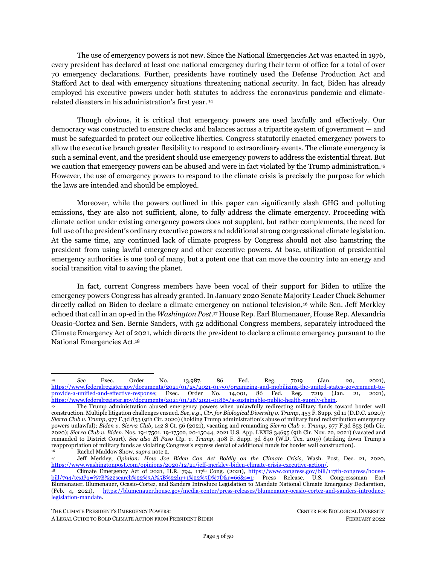a disaster strikes . . . building more resilient communities is the best way to reduce risks to people, property, and taxpayer dollars."<sup>312</sup>

Over the past several decades, the United States has experienced almost 300 weather and climate disasters that cost more than \$1 billion dollars.<sup>313</sup> At the same time, legacy fossil fuel systems are also immensely vulnerable to the threats of climate change.<sup>314</sup> Climate-induced disasters and extreme weather events threaten the integrity of infrastructure used to transmit and distribute fossil fuels, as well as fossil fuel production, particularly where fossil fuel power plants are located along the coasts and may be compromised by sea-level rise.<sup>315</sup>

As a general matter, Biden should address two problems that plague FEMA's aid regarding climate: (1) inequitable distributions of aid whereby low-income and environmental justice communities — which disproportionately suffer climate impacts — are disproportionately denied FEMA aid and assistance; and (2) favoritism of stopgap fossil fuel solutions that perpetuate the climate emergency and environmental justice in disaster response and recovery.

First, as discussed above (*see* Part 2(I), *supra*), communities of color and low-income communities not only disproportionately experience climate disasters but are more harmed and face more difficulty in recovering from those disasters. While FEMA is the central agency tasked with preparing for and responding to disasters, numerous studies, including FEMA's own internal analyses, demonstrate how FEMA has disproportionately provided aid to white and higher-income disaster victims as compared to people of color and those with lower incomes, including in cases where homeowners across these groups have suffered equal amounts of damage.<sup>316</sup> Thus, as the FEMA National Advisory Council noted, FEMA recovery programs currently "provide an additional boost to wealthy homeowners and others with less need, while lower-income individuals and others sink further into poverty after disasters." <sup>317</sup> These systemic inequities have been found to pervade FEMA's programs.<sup>318</sup> Additionally, lower-income communities are further disadvantaged because they lack the money to match federal grants or resources to prepare competitive grant applications. 319

<sup>312</sup> *Emergency Response and Recovery: Central Takeaways from Unprecedented 2017 Hurricane Season: Hearing Before the H. Comm. on Transp. and Infrastructure*, 115th Cong. (2017) (statement of William B. Long, Administrator, FEMA), [http://docs.house.gov/meetings/PW/PW00/20171102/106571/HHRG-115-PW00-Wstate-LongW-20171102.pdf.](http://docs.house.gov/meetings/PW/PW00/20171102/106571/HHRG-115-PW00-Wstate-LongW-20171102.pdf)

<sup>313</sup> NOAA, Nat'l Ctrs. for Env't Info., *U.S. Billion-Dollar Weather and Climate Disasters* (2021), [https://www.ncdc.noaa.gov/billions/,](https://www.ncdc.noaa.gov/billions/) DOI: 10.25921/stkw-7w73.

<sup>314</sup> Mark Dyson & Becky Li, Rocky Mountain Inst., *Reimagining Grid Resilience* (2020), [https://rmi.org/wp](https://rmi.org/wp-content/uploads/2020/07/reimagining_grid_resilience.pdf)[content/uploads/2020/07/reimagining\\_grid\\_resilience.pdf.](https://rmi.org/wp-content/uploads/2020/07/reimagining_grid_resilience.pdf)

<sup>315</sup> U.S. Dep't of Energy, *U.S. Energy Sector Vulnerabilities to Climate Change and Extreme Weather* (2013), [https://www.energy.gov/sites/default/files/2013/07/f2/20130716-Energy%20Sector%20Vulnerabilities%20Report.pdf.](https://www.energy.gov/sites/default/files/2013/07/f2/20130716-Energy%20Sector%20Vulnerabilities%20Report.pdf)

<sup>316</sup> Junia Howell & James R. Elliott, *As Disaster Costs Rise, So Does Inequality,* 4 Socius: Soc. Res. for a Dynamic World (2018), [https://doi.org/10.1177/2378023118816795](https://doi.org/10.1177%2F2378023118816795) (finding that, "holding disaster costs constant, the more [FEMA] money a county receives, the more whites' wealth tends to grow and the more blacks' wealth tends to decline, all else equal"); Junia Howell & James R. Elliot, *Damage Done: The Longitudinal Impacts of Natural Hazards on Wealth Polarization in the United States,* 66 Soc. Problems 448 (2018), <https://doi.org/10.1093/socpro/spy016> (finding that "as local hazard damages increase, so too does wealth inequality, especially along the lines of race, education, and homeownership. Results also indicate that the more funds areas receive from FEMA, the more this wealth inequality increases"). *See also* Flavelle, *supra* not[e 38;](#page-7-2) Hersher, *supra* not[e 38.](#page-7-2)

<sup>317</sup> FEMA Nat'l Advisory Council, *National Advisory Council Report to the FEMA Administrator* (2020), [https://www.fema.gov/sites/default/files/documents/fema\\_nac-report\\_11-2020.pdf;](https://www.fema.gov/sites/default/files/documents/fema_nac-report_11-2020.pdf) *see also* Oronde Drakes et al*., Social Vulnerability and Short-Term Disaster Assistance in the United States*, 53 Int'l J.of Disaster Risk Reduction 102010 (2021), [https://doi.org/10.1016/j.ijdrr.2020.102010.](https://doi.org/10.1016/j.ijdrr.2020.102010)

<sup>318</sup> *See* Christopher T. Emrich et al., Measuring Social Equity in Flood Recovery Funding, 19 Env't Hazards 228 (2020), [https://doi.org/10.1080/17477891.2019.1675578.](https://doi.org/10.1080/17477891.2019.1675578)

<sup>319</sup> Congressman Blumenauer, *supra* note [311,](#page-44-1) at 1; Thomas Frank, *FEMA Climate Grants Pose Challenge for Poor Communities*, ClimateWire, June 1, 2021, [https://www.eenews.net/articles/fema-climate-grants-pose-challenge-for-poor](https://www.eenews.net/articles/fema-climate-grants-pose-challenge-for-poor-communities/)[communities/.](https://www.eenews.net/articles/fema-climate-grants-pose-challenge-for-poor-communities/)

A LEGAL GUIDE TO BOLD CLIMATE ACTION FROM PRESIDENT BIDEN FEBRUARY 2022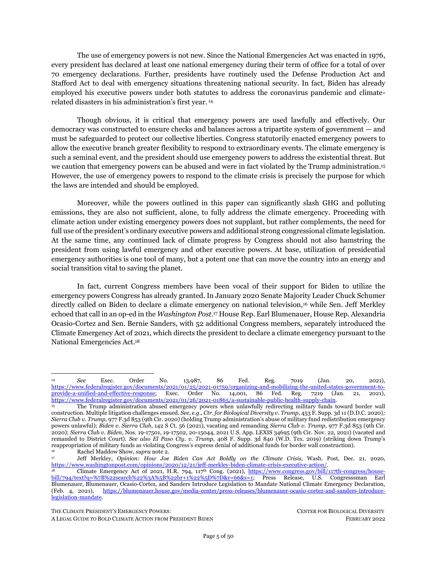Second, many of FEMA's current policies perpetuate a reliance on fossil-fuel power, which further harms communities of color and low-income communities. Multiple FEMA programs allow fossil fuelpowered generators to qualify as emergency equipment and receive federal funds; <sup>320</sup> the emissions from these generators include toxic air contaminants that threaten human health and the environment.<sup>321</sup> FEMA grants are also used to repair and develop larger fossil fuel infrastructure, unnecessarily locking in polluting power sources and undermining resilience in future emergencies.

Added to these systemic deficiencies is the fact that mitigation programs are chronically underfunded. According to Rep. Earl Blumenauer, for example, "[f]or the Fiscal Year 2020 grant application cycle, FEMA received nearly \$4 billion in applications for the BRIC and [Flood Mitigation Assistance] programs but had only \$700 million total to disburse."<sup>322</sup>

As discussed above in Part 2(II)(1) *infra*, DER systems and energy efficiency are fundamental to protecting the public health and safety threatened by the climate emergency because they eliminate polluting sources of energy and offer resilient energy to withstand climate-induced disasters. A recent study also demonstrated that storage paired with renewable resources avoided blackouts during the 2021 Texas freeze spell and 2020 California summer power outages, highlighting the importance of DER in securing energy resilience. <sup>323</sup> Critically, FEMA should deploy DER systems and energy efficiency technologies in partnership with the communities of color that are not only at the fencelines of fossil fuel pollution and the frontlines of climate disasters, but also which FEMA itself has historically neglected in its aid relief.<sup>324</sup> In addition to establishing distributed renewable energy and transport technology, FEMA should implement additional best practices to protect communities from future risks — including avoiding (re-)construction in areas prone to flooding, wildfire, and other climate disasters and investing in community water resilience, conservation, and efficiency.<sup>325</sup>

### *1. Declaration of a climate emergency to target recovery to support climate resiliency*

The president can declare a climate emergency under the Stafford Act. As described in Part 2(I), *supra*, the climate emergency has proven to endanger Americans and their property, thus qualifying the emergency requirement under the Stafford Act as an "occasion for which Federal assistance is needed to supplement [State](https://www.law.cornell.edu/definitions/uscode.php?width=840&height=800&iframe=true&def_id=42-USC-80204913-1248715824&term_occur=999&term_src=) and local efforts and capabilities" in order to "to lessen or avert the threat of a catastrophe in any part of the [United States](https://www.law.cornell.edu/definitions/uscode.php?width=840&height=800&iframe=true&def_id=42-USC-2032517217-1248715825&term_occur=999&term_src=title:42:chapter:68:subchapter:I:section:5122)."<sup>326</sup>

<sup>320</sup> Currently, diesel-powered generators and related equipment purchases (e.g. hoo.k-ups) are eligible under the Hazard Mitigation Grant Program (HMGP), which assists in implementing long-term hazard mitigation planning and projects following a Presidential major disaster declaration, and the Building Resilient Infrastructure & Communities (BRIC) program (previously, the Pre-Disaster Mitigation Program), which provides funds annually for hazard mitigation planning and projects. FEMA, *Generator*, <https://www.fema.gov/hmgp-appeal-categories/generator> (last visited Feb. 17, 2022).

<sup>321</sup> Niyi Awofeso, *Generator Diesel Exhaust: A Major Hazard to Health and the Environment in Nigeria,* 183 Am. J. of Respiratory and Critical Care Med. 1437[, https://doi.org/10.1164/ajrccm.183.10.1437.](https://doi.org/10.1164/ajrccm.183.10.1437)

<sup>322</sup> Congressman Blumenauer, *supra* not[e 311,](#page-44-1) at 17. While the BRIC program is capped at six percent of the funding provided for declared major disasters, in March 2020, the CARES Act, P.L. 116-136, Div. B, appropriated \$45 billion in emergency- and disasterrelief supplemental spending for Stafford Act programs broadly, six percent of which is \$2.7 billion.

<sup>323</sup> *See* Jacobson et al., *supra* note 12.

<sup>324</sup> Ilana Cohen, Howard Crystal, Jaclyn Lopez, Ctr. for Biological Diversity, Comments Submitted re: Docket ID FEMA-2021- 0011 (Notice and Request for Information) (July 21, 2021)[, https://www.regulations.gov/comment/FEMA-2021-0011-0265;](https://www.regulations.gov/comment/FEMA-2021-0011-0265) Howard Crystal, Opinion, *FEMA Must Protect the Hardest-Hit Communities from Climate Change*, The Hill, Sept. 9, 2021, [https://thehill.com/opinion/energy-environment/571334-fema-must-protect-the-hardest-hit-communities-from-climate-change.](https://thehill.com/opinion/energy-environment/571334-fema-must-protect-the-hardest-hit-communities-from-climate-change) 

<sup>325</sup> *See* Congressman Blumenauer, *supra* not[e 311;](#page-44-1) Tiffany Yap et al., *Built to Burn: California's Wildlands Developments are Playing With Fire, Bold Land-Use Reforms Needed Now to Ensure Safer, Sustainable Future* (2021), [https://www.biologicaldiversity.org/programs/urban/pdfs/Built-to-Burn-California-Wildfire-Report-Center-Biological-](https://www.biologicaldiversity.org/programs/urban/pdfs/Built-to-Burn-California-Wildfire-Report-Center-Biological-Diversity.pdf)

[Diversity.pdf;](https://www.biologicaldiversity.org/programs/urban/pdfs/Built-to-Burn-California-Wildfire-Report-Center-Biological-Diversity.pdf) Jaclyn Lopez, *From Bail Out to Righting the Course: The Commonsense Action the United States Must Take to Address Its Flood Crisis*, 33 Tulane Env't L. J. 1 (2020), [https://www.biologicaldiversity.org/publications/papers/Lopez-2020-From-Bail-](https://www.biologicaldiversity.org/publications/papers/Lopez-2020-From-Bail-Out-to-Righting-the-Course.pdf)[Out-to-Righting-the-Course.pdf.](https://www.biologicaldiversity.org/publications/papers/Lopez-2020-From-Bail-Out-to-Righting-the-Course.pdf) 

 $3^{26}$  42 U.S.C. § 5122(1).

THE CLIMATE PRESIDENT'S EMERGENCY POWERS: CENTER FOR BIOLOGICAL DIVERSITY A LEGAL GUIDE TO BOLD CLIMATE ACTION FROM PRESIDENT BIDEN FEBRUARY 2022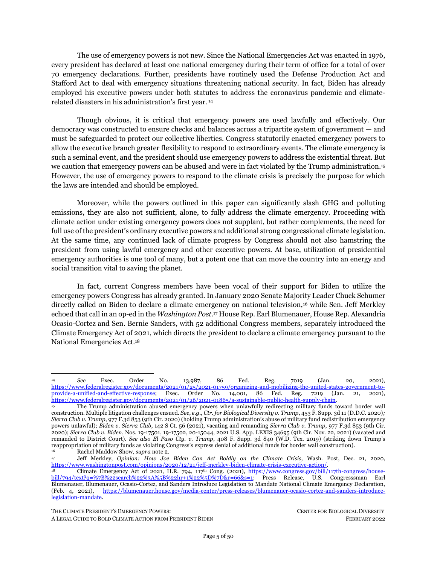Under a climate emergency declaration, the president can unlock key emergency funding streams to maximize mitigation against a future climate disasters. Specifically, the president is empowered to provide Individual Assistance through the Individuals and Households Program, which provides financial and direct services to individuals and households affected by an emergency or disaster to help homeowners repair or rebuild stronger, more durable homes.<sup>327</sup> This can entail equipping homes with independent solar and battery systems, as well as greater energy efficiency technologies to cut down energy demand, within limits of around \$35,500 per household in FY2020 (and annually adjusted). <sup>328</sup> This aid can help fund solar plus storage systems and low-cost weatherization technologies. It can also entail equipping homes and multi-family dwellings with fast chargers for electric vehicles, which will become increasingly essential as the country decarbonizes its transportation system.

Additionally, the president can unlock Public Assistance for immediate threats, such as emergency protective measures to prevent or mitigate risks to lives, health, safety, or property.<sup>329</sup> The president should ban those funds from going toward fossil fuel stopgap solutions like diesel generators and restoration of large fossil fuel infrastructure and instead prioritize, when feasible, portable electric generators to power essential services and other electric recovery equipment. 330

### <span id="page-47-0"></span>*2. Declaration of a climate major disaster to undertake pre-disaster mitigation and target recovery to support resilient, clean systems*

The president can also declare a major disaster when states, territories, and Tribal governments that request it. Climate-induced extreme weather events constitute "natural catastrophes," including flood and fire, that cause sufficient damage to warrant major disaster assistance" from the federal government.<sup>331</sup> States should be encouraged to request declarations when faced with climate disaster in the same way the federal government encouraged states to request disaster declarations when faced with COVID-19. <sup>332</sup> In 2020-2021 alone, climate-induced disasters including flooding from Hurricane Ida and wildfires compelled California, Pennsylvania, North Carolina, New York and several other states to declare major disasters under the Stafford Act to receive federal assistance. 333

Under a major disaster declaration, the president may unlock the full bevy of assistance programs for both pre-disaster mitigation and post-disaster relief, including: Public Assistance funding for emergency *and* permanent work — which includes the restoration of damaged facilities, including utilities and public works facilities, roads and bridges, buildings, and other facilities; <sup>334</sup> Individual Assistance; and HMGP

<sup>327</sup> FEMA, *Individuals and Households Program*[, https://www.fema.gov/assistance/individual/program](https://www.fema.gov/assistance/individual/program) (last updated Oct. 4, 2021).

<sup>328</sup> 42 U.S.C. §5174(h)(1); Notice of Maximum Amount of Assistance Under the Individuals and Households Program, 84 Federal Register 55324 (Oct. 16, 2019), [https://www.govinfo.gov/content/pkg/FR-2019-10-16/pdf/2019-22471.pdf.](https://www.govinfo.gov/content/pkg/FR-2019-10-16/pdf/2019-22471.pdf) It is adjusted annually to reflect changes in the Consumer Price Index for All Urban Consumers published by the Department of Labor (42 U.S.C.  $\S5174(h)(3)$ ).

<sup>329</sup> FEMA*, Public Assistance Program and Policy Guide, supra* note [276,](#page-40-1) at 97.

<sup>330</sup> Nat'l Renewable Energy Lab'y, *Counting on Solar Power for Disaster Relief* (1999), [https://www.nrel.gov/docs/fy99osti/26042.pdf.](https://www.nrel.gov/docs/fy99osti/26042.pdf)

 $331$  42 U.S.C. § 5122(1).

<sup>332</sup> *See Letter from President Donald J. Trump on Emergency Determination Under the Stafford Act* (Mar. 13, 2020), [https://trumpwhitehouse.archives.gov/briefings-statements/letter-president-donald-j-trump-emergency-determination-stafford-](https://trumpwhitehouse.archives.gov/briefings-statements/letter-president-donald-j-trump-emergency-determination-stafford-act/) $\frac{\text{act}}{\text{act}}$  ("I believe that the disaster is of such severity and magnitude nationwide that requests for a declaration of a major disaster as set

forth in section 401(a) of the Stafford Act may be appropriate. I encourage all governors and tribal leaders to consider requesting Federal assistance under this provision of the Stafford Act, pursuant to the statutory criteria. I stand ready to expeditiously consider any such request.")

<sup>333</sup> *New FEMA Major and Emergency Disaster Declarations*, HUD Exchange (Jan. 3, 2022), [https://www.hudexchange.info/news/new-fema-major-disaster-declarations/.](https://www.hudexchange.info/news/new-fema-major-disaster-declarations/)  <sup>334</sup> 42 U.S.C. § 5172; 44 CFR § 206.226(b).

THE CLIMATE PRESIDENT'S EMERGENCY POWERS: CENTER FOR BIOLOGICAL DIVERSITY

A LEGAL GUIDE TO BOLD CLIMATE ACTION FROM PRESIDENT BIDEN FEBRUARY 2022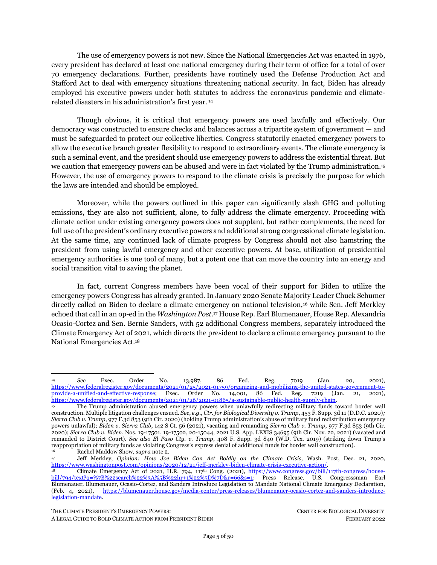assistance. <sup>335</sup> At the outset, the president must ensure that the full amount of available mitigation funding allowed under disaster declarations be allocated, and that the funding is focused on climate, resilience, and equity. For instance, FEMA can prescribe guidance and regulations requiring that PA permanent work and HMGP assistance provided in the wake of a major disaster declaration fund DER, microgrids, public transportation, and zero-emission transportation infrastructure over the simple restoration of traditional stopgap fossil fuel infrastructure.<sup>336,337</sup> In doing so, FEMA should give priority to historically underserved communities within the areas affected by climate disaster by directing at least 40% of the PA and IA to those communities, pursuant to Biden's Justice40 initiative. Finally, the president should ensure that FEMA dispenses the full amount of BRIC funding unlocked by disaster declarations each year, and as with HMGP assistance, that BRIC funding prioritize DER and climate resilient projects in historically neglected communities. FEMA also must provide more assistance to communities with few resources to prepare competitive applications and to help them receive funds.

<sup>335</sup> Cong. Research Serv., *supra* not[e 288,](#page-41-2) at 23.

<sup>336</sup> Pursuant to his Stafford Act authority to prescribe rules and regulations to carry out the Stafford Act and to assist Governors in requesting the declaration of an emergency in advance of a natural or man-made disaster, the President should enshrine these resiliency principles by adopting regulations that proactively require that emergency and disaster assistance as well as hazard mitigation planning prioritize long-term climate-resilient infrastructure to avoid even more catastrophic climate-fueled harms in the future. 42 U.S.C. §§ 5164, 5192(c), 5201(a)(1).<br>337 As but one example of a regulatory

As but one example of a regulatory reforms, FEMA should lift the cap on funding projects that have significant changes to the pre-disaster configuration of a facility in order to facilitate more innovative climate-resilient projects that achieve the same function – such as replacing outdated fossil-fueled power plants with DER. *See* FEMA, *Public Assistance Program and Policy Guide, supra* note [276,](#page-40-1) at 163, [https://www.fema.gov/sites/default/files/documents/fema\\_pappg-v4-updated-links\\_policy\\_6-1-2020.pdf](https://www.fema.gov/sites/default/files/documents/fema_pappg-v4-updated-links_policy_6-1-2020.pdf) ("FEMA provides three options that provide flexibility for the Applicant to use PA funding differently than restoring pre-disaster design and function of the facility. For these options, FEMA caps the amount of PA funding based on the estimated amount to restore the damaged facility to its pre-disaster design and function, including current eligible codes and standards…."). As another example, FEMA should prioritize portable electric generators with accompanying solar generation over gasoline or diesel-powered engine generators to provide emergency power. Diesel-powered generators and related equipment purchases (e.g. hook-ups) are currently eligible under the HGMP and the BRIC program. FEMA, *Generator*[, https://www.fema.gov/hmgp-appeal-categories/generator](https://www.fema.gov/hmgp-appeal-categories/generator) (last visited Feb. 17, 2022). By steering federal assistance toward further fossil fuel power in this manner, FEMA promotes reliance on the very emissions fueling the climate emergency. In addition, fossil fuel-powered engine generators are less safe, less reliable, more polluting, and more expensive than their electric alternatives. *See* U.S. Dep't of Energy*, When Disaster Strikes, the Sun Can Still Shine Through* (1994); *see also* Nat'l Renewable Energy Lab'y, *supra* not[e 330.](#page-47-0)

A LEGAL GUIDE TO BOLD CLIMATE ACTION FROM PRESIDENT BIDEN FEBRUARY 2022